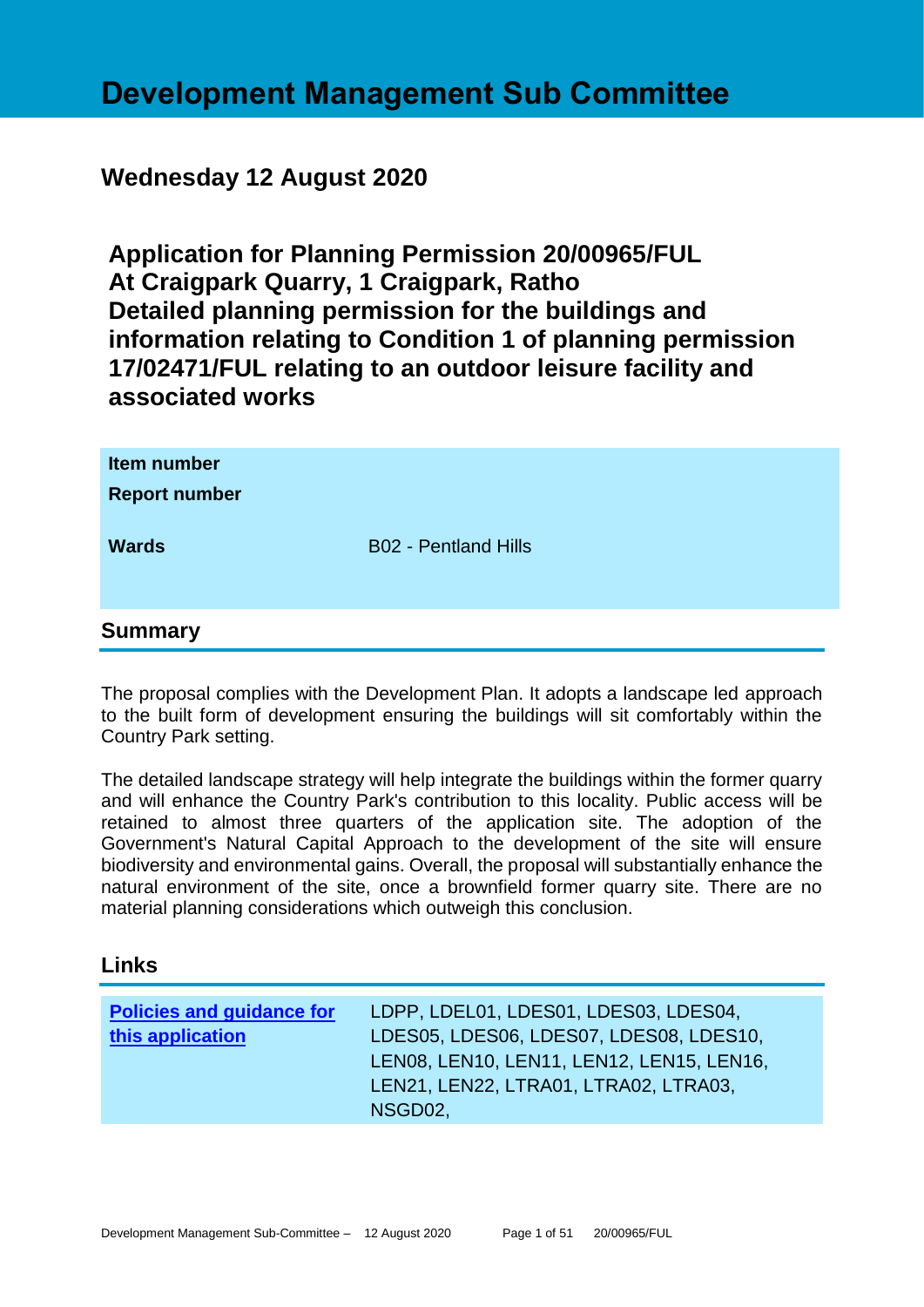# **Development Management Sub Committee**

# **Wednesday 12 August 2020**

**Application for Planning Permission 20/00965/FUL At Craigpark Quarry, 1 Craigpark, Ratho Detailed planning permission for the buildings and information relating to Condition 1 of planning permission 17/02471/FUL relating to an outdoor leisure facility and associated works**

| Item number<br><b>Report number</b> |                             |
|-------------------------------------|-----------------------------|
| <b>Wards</b>                        | <b>B02 - Pentland Hills</b> |
| <b>Summary</b>                      |                             |

The proposal complies with the Development Plan. It adopts a landscape led approach to the built form of development ensuring the buildings will sit comfortably within the Country Park setting.

The detailed landscape strategy will help integrate the buildings within the former quarry and will enhance the Country Park's contribution to this locality. Public access will be retained to almost three quarters of the application site. The adoption of the Government's Natural Capital Approach to the development of the site will ensure biodiversity and environmental gains. Overall, the proposal will substantially enhance the natural environment of the site, once a brownfield former quarry site. There are no material planning considerations which outweigh this conclusion.

#### **Links**

| <b>Policies and guidance for</b><br>this application | LDPP, LDEL01, LDES01, LDES03, LDES04,<br>LDES05, LDES06, LDES07, LDES08, LDES10,<br>LEN08, LEN10, LEN11, LEN12, LEN15, LEN16,<br>LEN21, LEN22, LTRA01, LTRA02, LTRA03, |
|------------------------------------------------------|------------------------------------------------------------------------------------------------------------------------------------------------------------------------|
|                                                      | NSGD02,                                                                                                                                                                |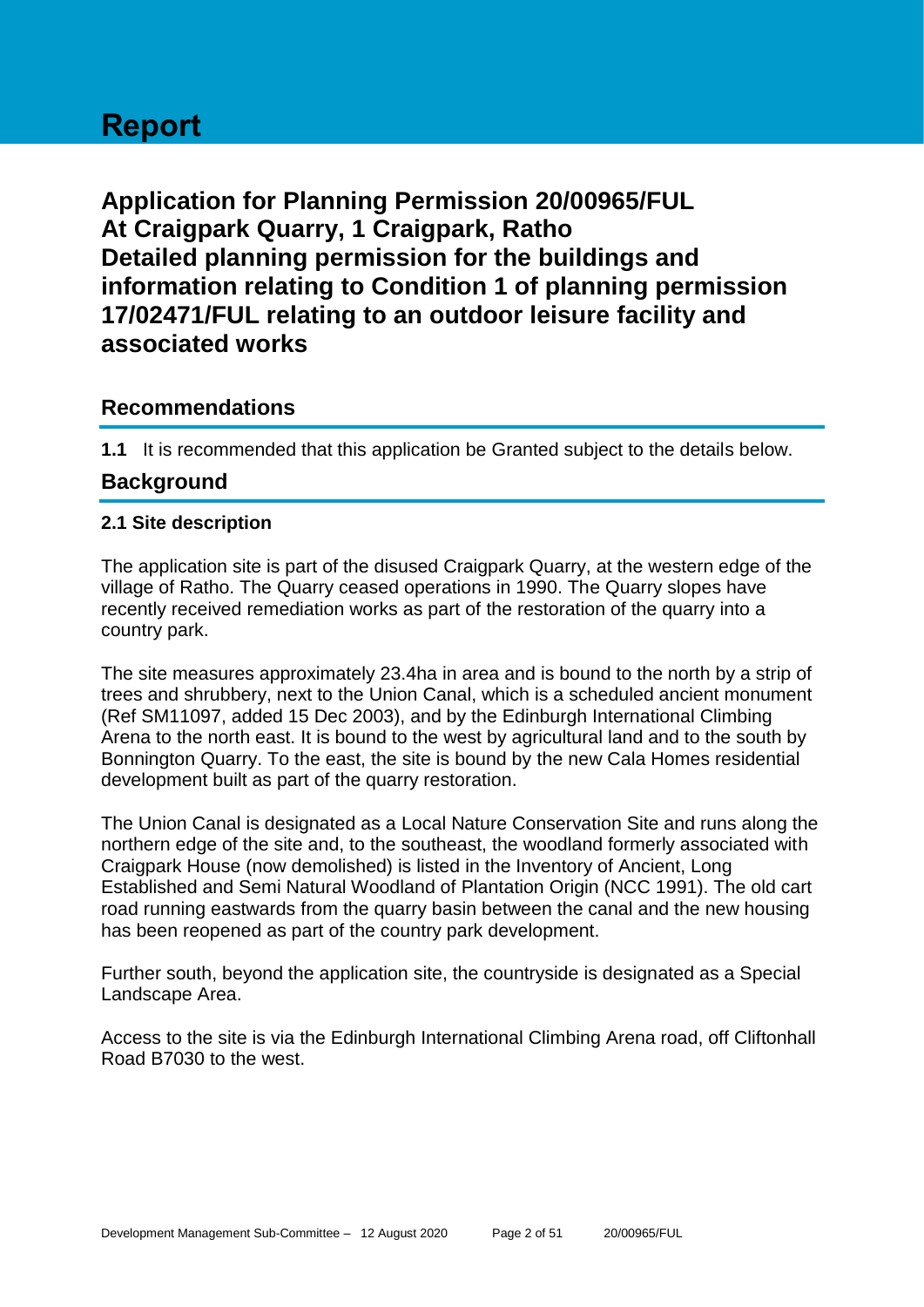# **Report**

**Application for Planning Permission 20/00965/FUL At Craigpark Quarry, 1 Craigpark, Ratho Detailed planning permission for the buildings and information relating to Condition 1 of planning permission 17/02471/FUL relating to an outdoor leisure facility and associated works**

# **Recommendations**

**1.1** It is recommended that this application be Granted subject to the details below.

# **Background**

# **2.1 Site description**

The application site is part of the disused Craigpark Quarry, at the western edge of the village of Ratho. The Quarry ceased operations in 1990. The Quarry slopes have recently received remediation works as part of the restoration of the quarry into a country park.

The site measures approximately 23.4ha in area and is bound to the north by a strip of trees and shrubbery, next to the Union Canal, which is a scheduled ancient monument (Ref SM11097, added 15 Dec 2003), and by the Edinburgh International Climbing Arena to the north east. It is bound to the west by agricultural land and to the south by Bonnington Quarry. To the east, the site is bound by the new Cala Homes residential development built as part of the quarry restoration.

The Union Canal is designated as a Local Nature Conservation Site and runs along the northern edge of the site and, to the southeast, the woodland formerly associated with Craigpark House (now demolished) is listed in the Inventory of Ancient, Long Established and Semi Natural Woodland of Plantation Origin (NCC 1991). The old cart road running eastwards from the quarry basin between the canal and the new housing has been reopened as part of the country park development.

Further south, beyond the application site, the countryside is designated as a Special Landscape Area.

Access to the site is via the Edinburgh International Climbing Arena road, off Cliftonhall Road B7030 to the west.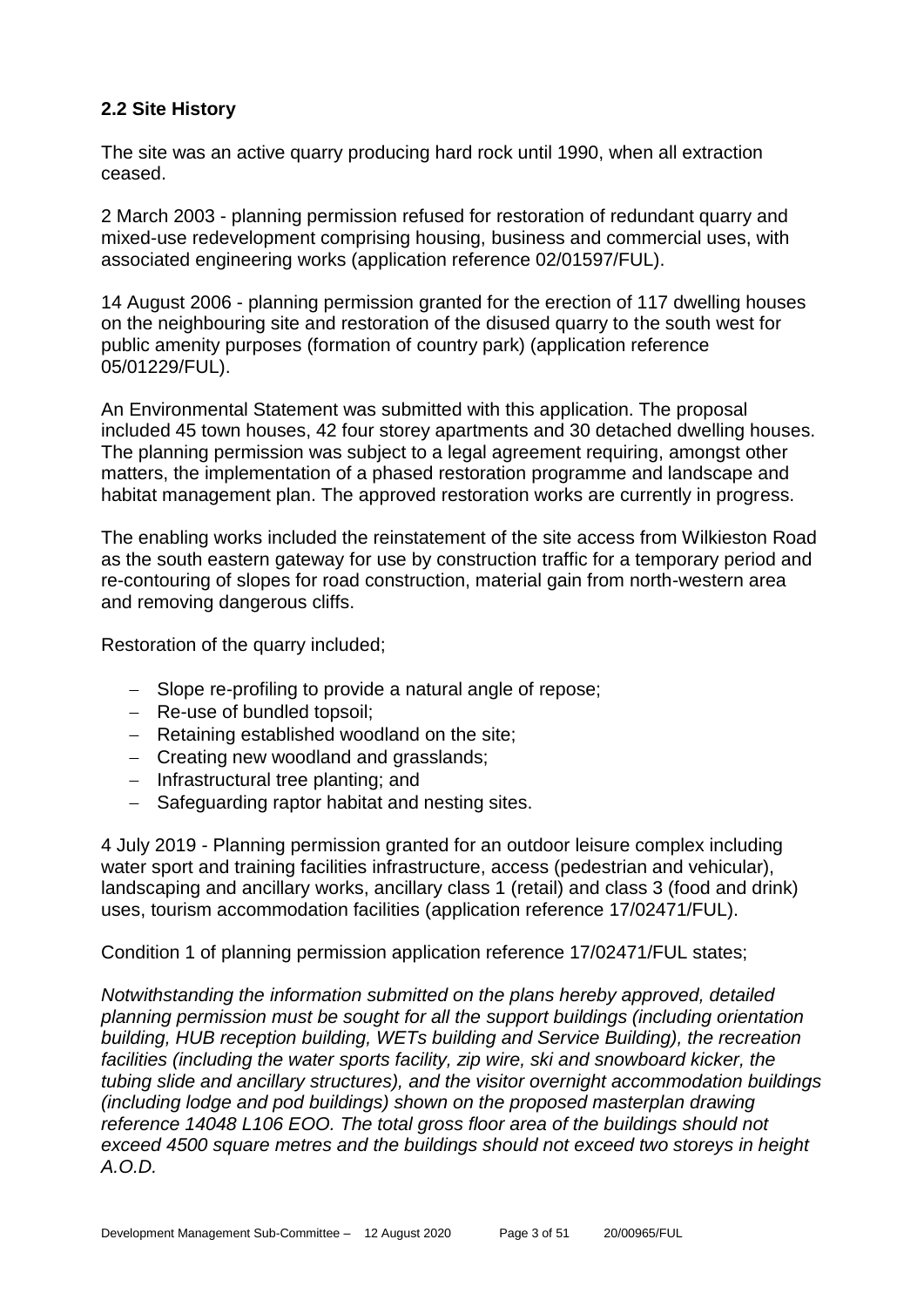# **2.2 Site History**

The site was an active quarry producing hard rock until 1990, when all extraction ceased.

2 March 2003 - planning permission refused for restoration of redundant quarry and mixed-use redevelopment comprising housing, business and commercial uses, with associated engineering works (application reference 02/01597/FUL).

14 August 2006 - planning permission granted for the erection of 117 dwelling houses on the neighbouring site and restoration of the disused quarry to the south west for public amenity purposes (formation of country park) (application reference 05/01229/FUL).

An Environmental Statement was submitted with this application. The proposal included 45 town houses, 42 four storey apartments and 30 detached dwelling houses. The planning permission was subject to a legal agreement requiring, amongst other matters, the implementation of a phased restoration programme and landscape and habitat management plan. The approved restoration works are currently in progress.

The enabling works included the reinstatement of the site access from Wilkieston Road as the south eastern gateway for use by construction traffic for a temporary period and re-contouring of slopes for road construction, material gain from north-western area and removing dangerous cliffs.

Restoration of the quarry included;

- − Slope re-profiling to provide a natural angle of repose;
- − Re-use of bundled topsoil;
- − Retaining established woodland on the site;
- − Creating new woodland and grasslands;
- − Infrastructural tree planting; and
- − Safeguarding raptor habitat and nesting sites.

4 July 2019 - Planning permission granted for an outdoor leisure complex including water sport and training facilities infrastructure, access (pedestrian and vehicular), landscaping and ancillary works, ancillary class 1 (retail) and class 3 (food and drink) uses, tourism accommodation facilities (application reference 17/02471/FUL).

Condition 1 of planning permission application reference 17/02471/FUL states;

*Notwithstanding the information submitted on the plans hereby approved, detailed planning permission must be sought for all the support buildings (including orientation building, HUB reception building, WETs building and Service Building), the recreation facilities (including the water sports facility, zip wire, ski and snowboard kicker, the tubing slide and ancillary structures), and the visitor overnight accommodation buildings (including lodge and pod buildings) shown on the proposed masterplan drawing reference 14048 L106 EOO. The total gross floor area of the buildings should not exceed 4500 square metres and the buildings should not exceed two storeys in height A.O.D.*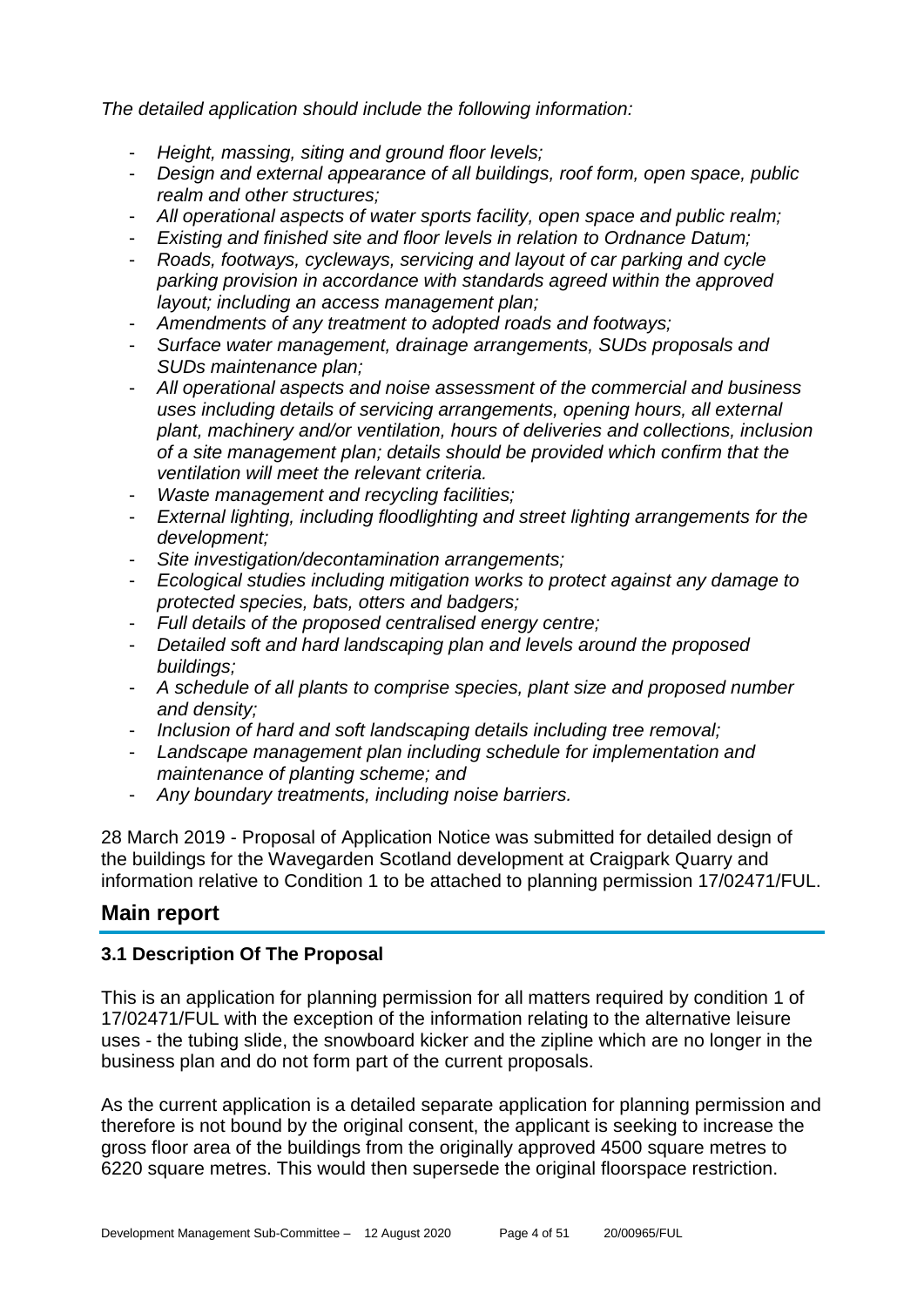*The detailed application should include the following information:* 

- *Height, massing, siting and ground floor levels;*
- *Design and external appearance of all buildings, roof form, open space, public realm and other structures;*
- *All operational aspects of water sports facility, open space and public realm;*
- *Existing and finished site and floor levels in relation to Ordnance Datum;*
- *Roads, footways, cycleways, servicing and layout of car parking and cycle parking provision in accordance with standards agreed within the approved layout; including an access management plan;*
- *Amendments of any treatment to adopted roads and footways;*
- *Surface water management, drainage arrangements, SUDs proposals and SUDs maintenance plan;*
- *All operational aspects and noise assessment of the commercial and business uses including details of servicing arrangements, opening hours, all external plant, machinery and/or ventilation, hours of deliveries and collections, inclusion of a site management plan; details should be provided which confirm that the ventilation will meet the relevant criteria.*
- *Waste management and recycling facilities;*
- *External lighting, including floodlighting and street lighting arrangements for the development;*
- *Site investigation/decontamination arrangements;*
- *Ecological studies including mitigation works to protect against any damage to protected species, bats, otters and badgers;*
- *Full details of the proposed centralised energy centre;*
- *Detailed soft and hard landscaping plan and levels around the proposed buildings;*
- *A schedule of all plants to comprise species, plant size and proposed number and density;*
- *Inclusion of hard and soft landscaping details including tree removal;*
- *Landscape management plan including schedule for implementation and maintenance of planting scheme; and*
- *Any boundary treatments, including noise barriers.*

28 March 2019 - Proposal of Application Notice was submitted for detailed design of the buildings for the Wavegarden Scotland development at Craigpark Quarry and information relative to Condition 1 to be attached to planning permission 17/02471/FUL.

# **Main report**

# **3.1 Description Of The Proposal**

This is an application for planning permission for all matters required by condition 1 of 17/02471/FUL with the exception of the information relating to the alternative leisure uses - the tubing slide, the snowboard kicker and the zipline which are no longer in the business plan and do not form part of the current proposals.

As the current application is a detailed separate application for planning permission and therefore is not bound by the original consent, the applicant is seeking to increase the gross floor area of the buildings from the originally approved 4500 square metres to 6220 square metres. This would then supersede the original floorspace restriction.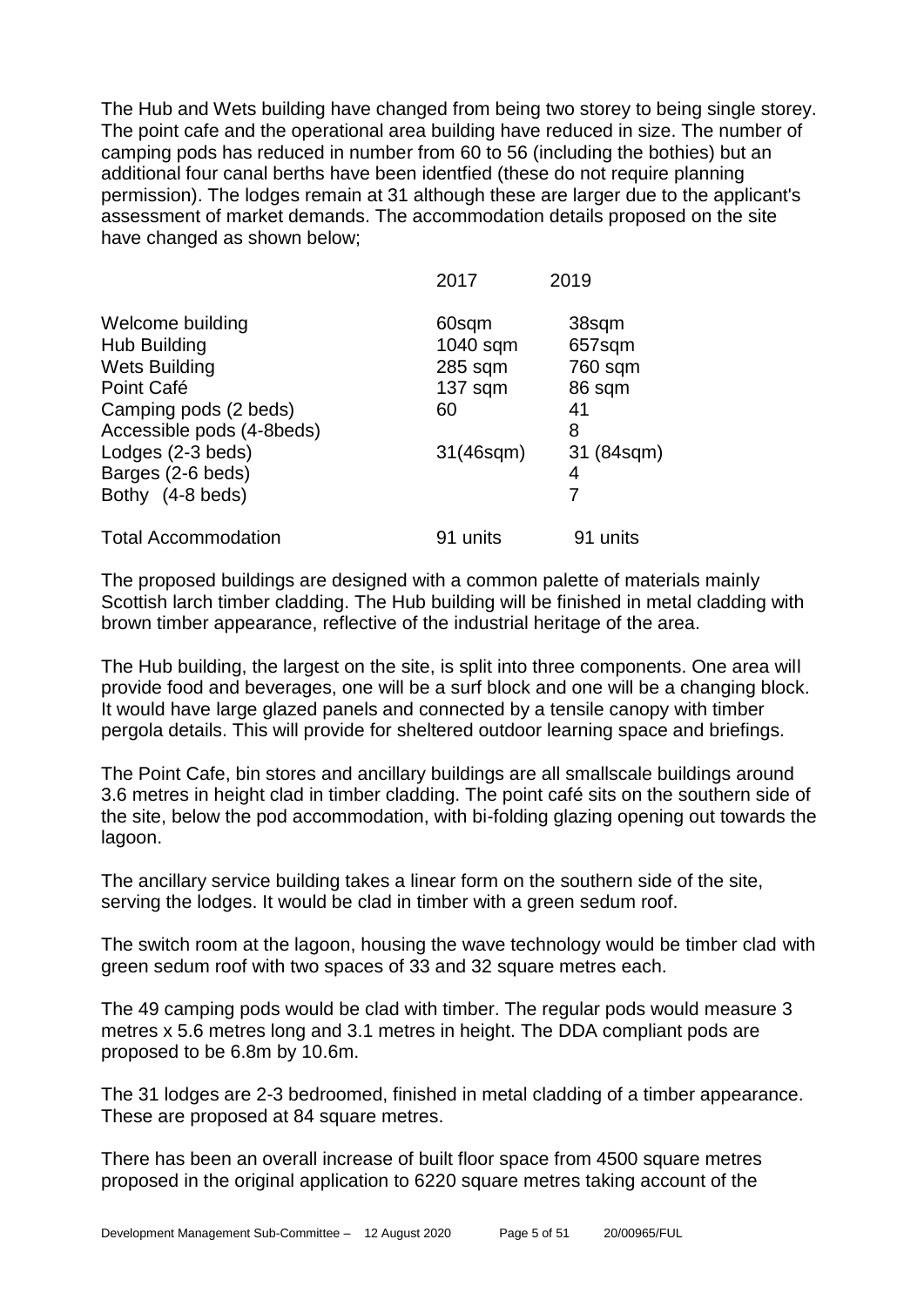The Hub and Wets building have changed from being two storey to being single storey. The point cafe and the operational area building have reduced in size. The number of camping pods has reduced in number from 60 to 56 (including the bothies) but an additional four canal berths have been identfied (these do not require planning permission). The lodges remain at 31 although these are larger due to the applicant's assessment of market demands. The accommodation details proposed on the site have changed as shown below;

|                            | 2017      | 2019       |
|----------------------------|-----------|------------|
| Welcome building           | 60sqm     | 38sqm      |
| Hub Building               | 1040 sqm  | 657sqm     |
| <b>Wets Building</b>       | 285 sqm   | 760 sqm    |
| Point Café                 | $137$ sqm | 86 sqm     |
| Camping pods (2 beds)      | 60        | 41         |
| Accessible pods (4-8beds)  |           | 8          |
| Lodges (2-3 beds)          | 31(46sqm) | 31 (84sqm) |
| Barges (2-6 beds)          |           | 4          |
| Bothy (4-8 beds)           |           | 7          |
| <b>Total Accommodation</b> | 91 units  | 91 units   |

The proposed buildings are designed with a common palette of materials mainly Scottish larch timber cladding. The Hub building will be finished in metal cladding with brown timber appearance, reflective of the industrial heritage of the area.

The Hub building, the largest on the site, is split into three components. One area will provide food and beverages, one will be a surf block and one will be a changing block. It would have large glazed panels and connected by a tensile canopy with timber pergola details. This will provide for sheltered outdoor learning space and briefings.

The Point Cafe, bin stores and ancillary buildings are all smallscale buildings around 3.6 metres in height clad in timber cladding. The point café sits on the southern side of the site, below the pod accommodation, with bi-folding glazing opening out towards the lagoon.

The ancillary service building takes a linear form on the southern side of the site, serving the lodges. It would be clad in timber with a green sedum roof.

The switch room at the lagoon, housing the wave technology would be timber clad with green sedum roof with two spaces of 33 and 32 square metres each.

The 49 camping pods would be clad with timber. The regular pods would measure 3 metres x 5.6 metres long and 3.1 metres in height. The DDA compliant pods are proposed to be 6.8m by 10.6m.

The 31 lodges are 2-3 bedroomed, finished in metal cladding of a timber appearance. These are proposed at 84 square metres.

There has been an overall increase of built floor space from 4500 square metres proposed in the original application to 6220 square metres taking account of the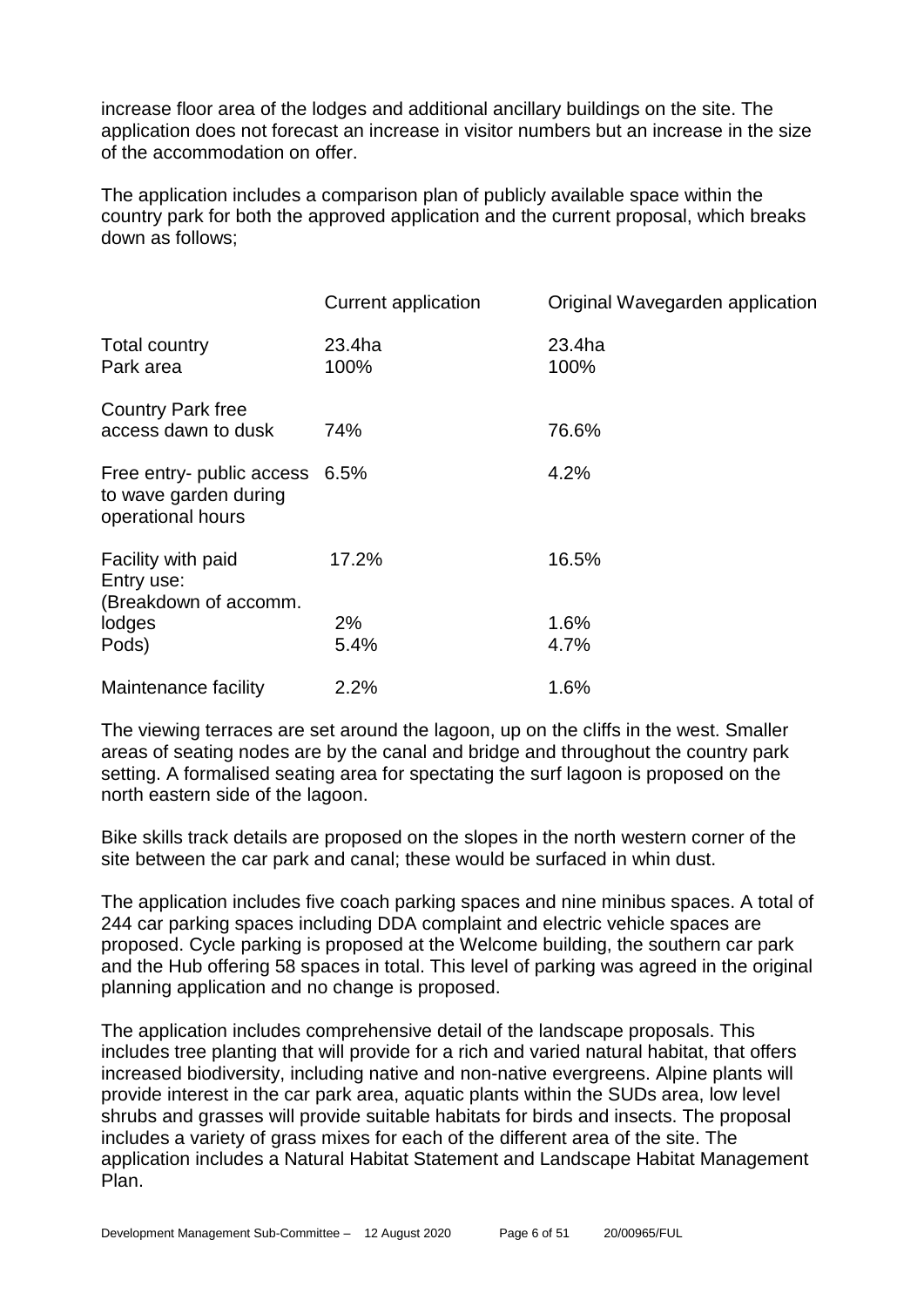increase floor area of the lodges and additional ancillary buildings on the site. The application does not forecast an increase in visitor numbers but an increase in the size of the accommodation on offer.

The application includes a comparison plan of publicly available space within the country park for both the approved application and the current proposal, which breaks down as follows;

|                                                                              | <b>Current application</b> | Original Wavegarden application |
|------------------------------------------------------------------------------|----------------------------|---------------------------------|
| Total country<br>Park area                                                   | 23.4ha<br>100%             | 23.4ha<br>100%                  |
| <b>Country Park free</b><br>access dawn to dusk                              | 74%                        | 76.6%                           |
| Free entry- public access 6.5%<br>to wave garden during<br>operational hours |                            | 4.2%                            |
| Facility with paid<br>Entry use:<br>(Breakdown of accomm.                    | 17.2%                      | 16.5%                           |
| lodges                                                                       | 2%                         | 1.6%                            |
| Pods)                                                                        | 5.4%                       | 4.7%                            |
| Maintenance facility                                                         | 2.2%                       | 1.6%                            |

The viewing terraces are set around the lagoon, up on the cliffs in the west. Smaller areas of seating nodes are by the canal and bridge and throughout the country park setting. A formalised seating area for spectating the surf lagoon is proposed on the north eastern side of the lagoon.

Bike skills track details are proposed on the slopes in the north western corner of the site between the car park and canal; these would be surfaced in whin dust.

The application includes five coach parking spaces and nine minibus spaces. A total of 244 car parking spaces including DDA complaint and electric vehicle spaces are proposed. Cycle parking is proposed at the Welcome building, the southern car park and the Hub offering 58 spaces in total. This level of parking was agreed in the original planning application and no change is proposed.

The application includes comprehensive detail of the landscape proposals. This includes tree planting that will provide for a rich and varied natural habitat, that offers increased biodiversity, including native and non-native evergreens. Alpine plants will provide interest in the car park area, aquatic plants within the SUDs area, low level shrubs and grasses will provide suitable habitats for birds and insects. The proposal includes a variety of grass mixes for each of the different area of the site. The application includes a Natural Habitat Statement and Landscape Habitat Management Plan.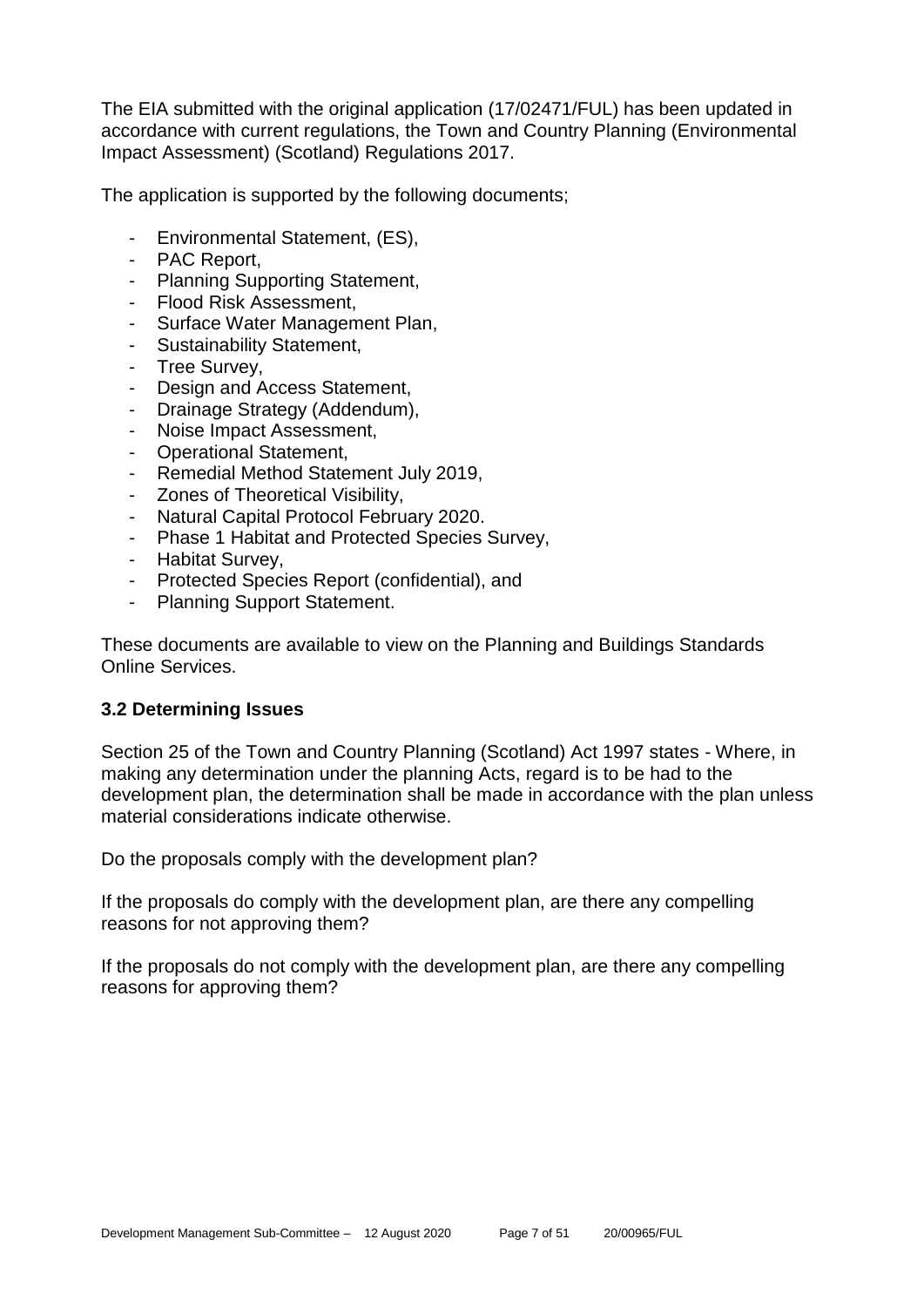The EIA submitted with the original application (17/02471/FUL) has been updated in accordance with current regulations, the Town and Country Planning (Environmental Impact Assessment) (Scotland) Regulations 2017.

The application is supported by the following documents;

- Environmental Statement, (ES),
- PAC Report,
- Planning Supporting Statement,
- Flood Risk Assessment,
- Surface Water Management Plan,
- Sustainability Statement,
- Tree Survey,
- Design and Access Statement,
- Drainage Strategy (Addendum),
- Noise Impact Assessment,
- Operational Statement,
- Remedial Method Statement July 2019,
- Zones of Theoretical Visibility,
- Natural Capital Protocol February 2020.
- Phase 1 Habitat and Protected Species Survey,
- Habitat Survey,
- Protected Species Report (confidential), and
- Planning Support Statement.

These documents are available to view on the Planning and Buildings Standards Online Services.

# **3.2 Determining Issues**

Section 25 of the Town and Country Planning (Scotland) Act 1997 states - Where, in making any determination under the planning Acts, regard is to be had to the development plan, the determination shall be made in accordance with the plan unless material considerations indicate otherwise.

Do the proposals comply with the development plan?

If the proposals do comply with the development plan, are there any compelling reasons for not approving them?

If the proposals do not comply with the development plan, are there any compelling reasons for approving them?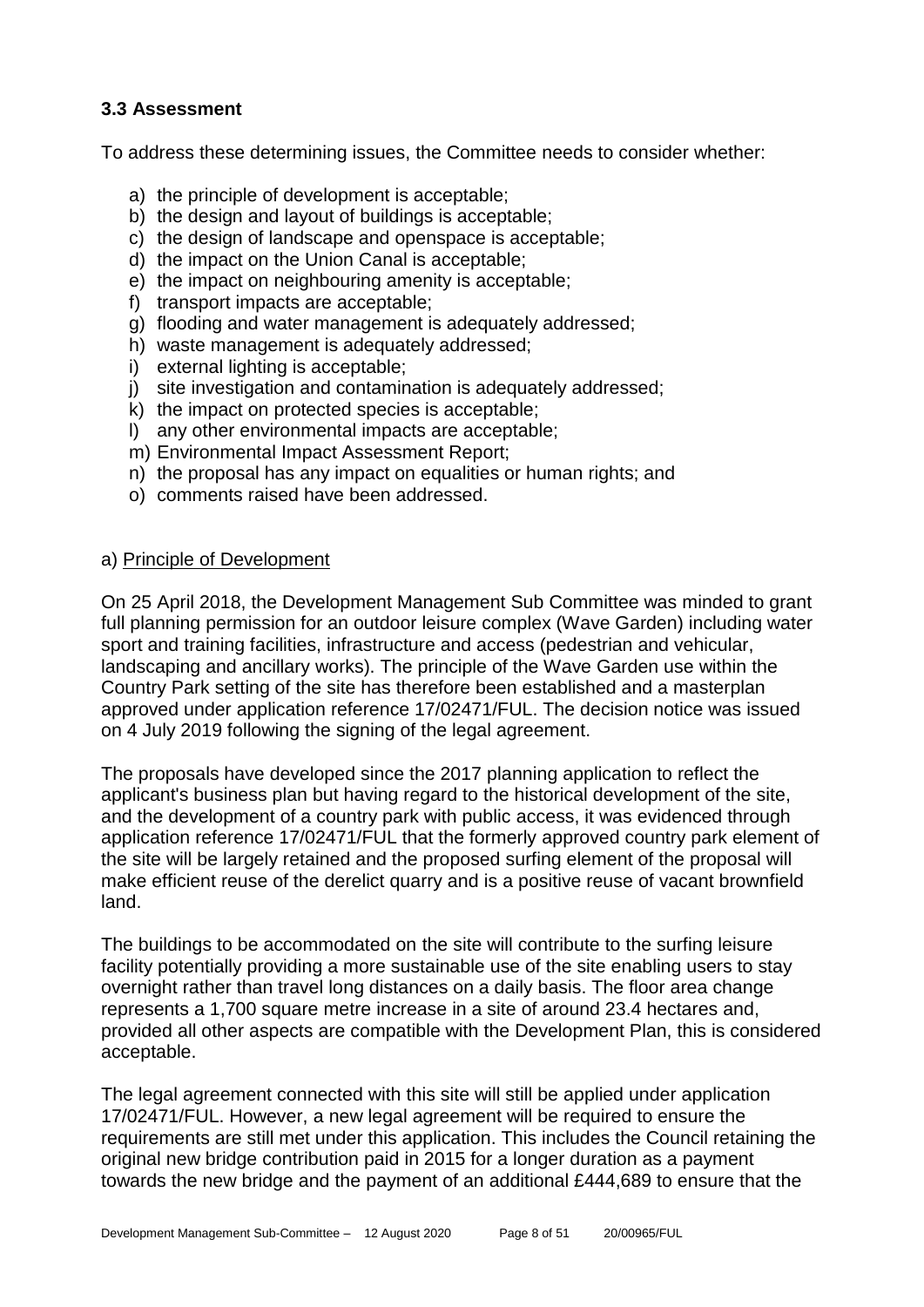# **3.3 Assessment**

To address these determining issues, the Committee needs to consider whether:

- a) the principle of development is acceptable;
- b) the design and layout of buildings is acceptable:
- c) the design of landscape and openspace is acceptable;
- d) the impact on the Union Canal is acceptable;
- e) the impact on neighbouring amenity is acceptable;
- f) transport impacts are acceptable;
- g) flooding and water management is adequately addressed;
- h) waste management is adequately addressed;
- i) external lighting is acceptable:
- j) site investigation and contamination is adequately addressed;
- k) the impact on protected species is acceptable;
- l) any other environmental impacts are acceptable;
- m) Environmental Impact Assessment Report;
- n) the proposal has any impact on equalities or human rights; and
- o) comments raised have been addressed.

# a) Principle of Development

On 25 April 2018, the Development Management Sub Committee was minded to grant full planning permission for an outdoor leisure complex (Wave Garden) including water sport and training facilities, infrastructure and access (pedestrian and vehicular, landscaping and ancillary works). The principle of the Wave Garden use within the Country Park setting of the site has therefore been established and a masterplan approved under application reference 17/02471/FUL. The decision notice was issued on 4 July 2019 following the signing of the legal agreement.

The proposals have developed since the 2017 planning application to reflect the applicant's business plan but having regard to the historical development of the site, and the development of a country park with public access, it was evidenced through application reference 17/02471/FUL that the formerly approved country park element of the site will be largely retained and the proposed surfing element of the proposal will make efficient reuse of the derelict quarry and is a positive reuse of vacant brownfield land.

The buildings to be accommodated on the site will contribute to the surfing leisure facility potentially providing a more sustainable use of the site enabling users to stay overnight rather than travel long distances on a daily basis. The floor area change represents a 1,700 square metre increase in a site of around 23.4 hectares and, provided all other aspects are compatible with the Development Plan, this is considered acceptable.

The legal agreement connected with this site will still be applied under application 17/02471/FUL. However, a new legal agreement will be required to ensure the requirements are still met under this application. This includes the Council retaining the original new bridge contribution paid in 2015 for a longer duration as a payment towards the new bridge and the payment of an additional £444,689 to ensure that the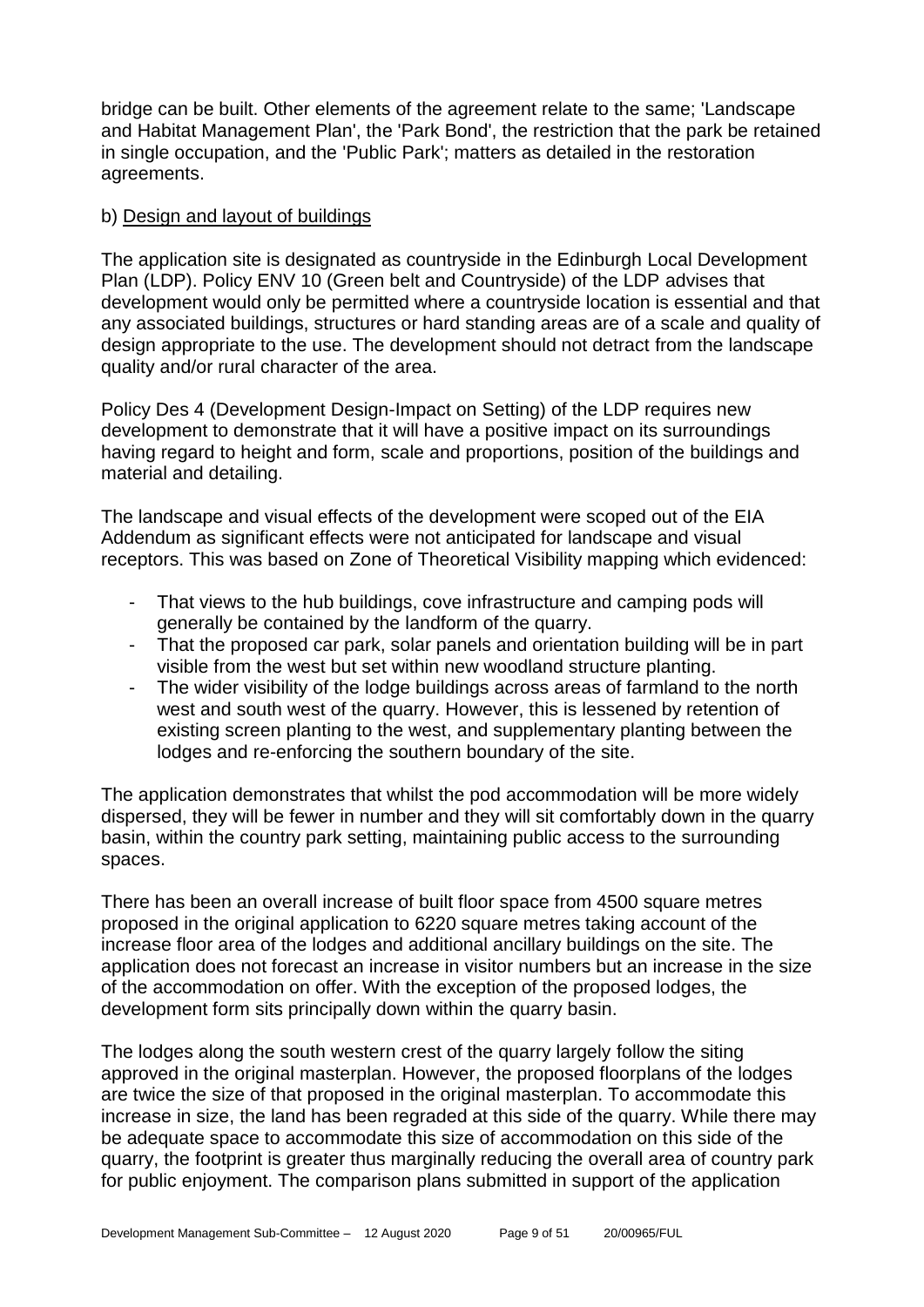bridge can be built. Other elements of the agreement relate to the same; 'Landscape and Habitat Management Plan', the 'Park Bond', the restriction that the park be retained in single occupation, and the 'Public Park'; matters as detailed in the restoration agreements.

#### b) Design and layout of buildings

The application site is designated as countryside in the Edinburgh Local Development Plan (LDP). Policy ENV 10 (Green belt and Countryside) of the LDP advises that development would only be permitted where a countryside location is essential and that any associated buildings, structures or hard standing areas are of a scale and quality of design appropriate to the use. The development should not detract from the landscape quality and/or rural character of the area.

Policy Des 4 (Development Design-Impact on Setting) of the LDP requires new development to demonstrate that it will have a positive impact on its surroundings having regard to height and form, scale and proportions, position of the buildings and material and detailing.

The landscape and visual effects of the development were scoped out of the EIA Addendum as significant effects were not anticipated for landscape and visual receptors. This was based on Zone of Theoretical Visibility mapping which evidenced:

- That views to the hub buildings, cove infrastructure and camping pods will generally be contained by the landform of the quarry.
- That the proposed car park, solar panels and orientation building will be in part visible from the west but set within new woodland structure planting.
- The wider visibility of the lodge buildings across areas of farmland to the north west and south west of the quarry. However, this is lessened by retention of existing screen planting to the west, and supplementary planting between the lodges and re-enforcing the southern boundary of the site.

The application demonstrates that whilst the pod accommodation will be more widely dispersed, they will be fewer in number and they will sit comfortably down in the quarry basin, within the country park setting, maintaining public access to the surrounding spaces.

There has been an overall increase of built floor space from 4500 square metres proposed in the original application to 6220 square metres taking account of the increase floor area of the lodges and additional ancillary buildings on the site. The application does not forecast an increase in visitor numbers but an increase in the size of the accommodation on offer. With the exception of the proposed lodges, the development form sits principally down within the quarry basin.

The lodges along the south western crest of the quarry largely follow the siting approved in the original masterplan. However, the proposed floorplans of the lodges are twice the size of that proposed in the original masterplan. To accommodate this increase in size, the land has been regraded at this side of the quarry. While there may be adequate space to accommodate this size of accommodation on this side of the quarry, the footprint is greater thus marginally reducing the overall area of country park for public enjoyment. The comparison plans submitted in support of the application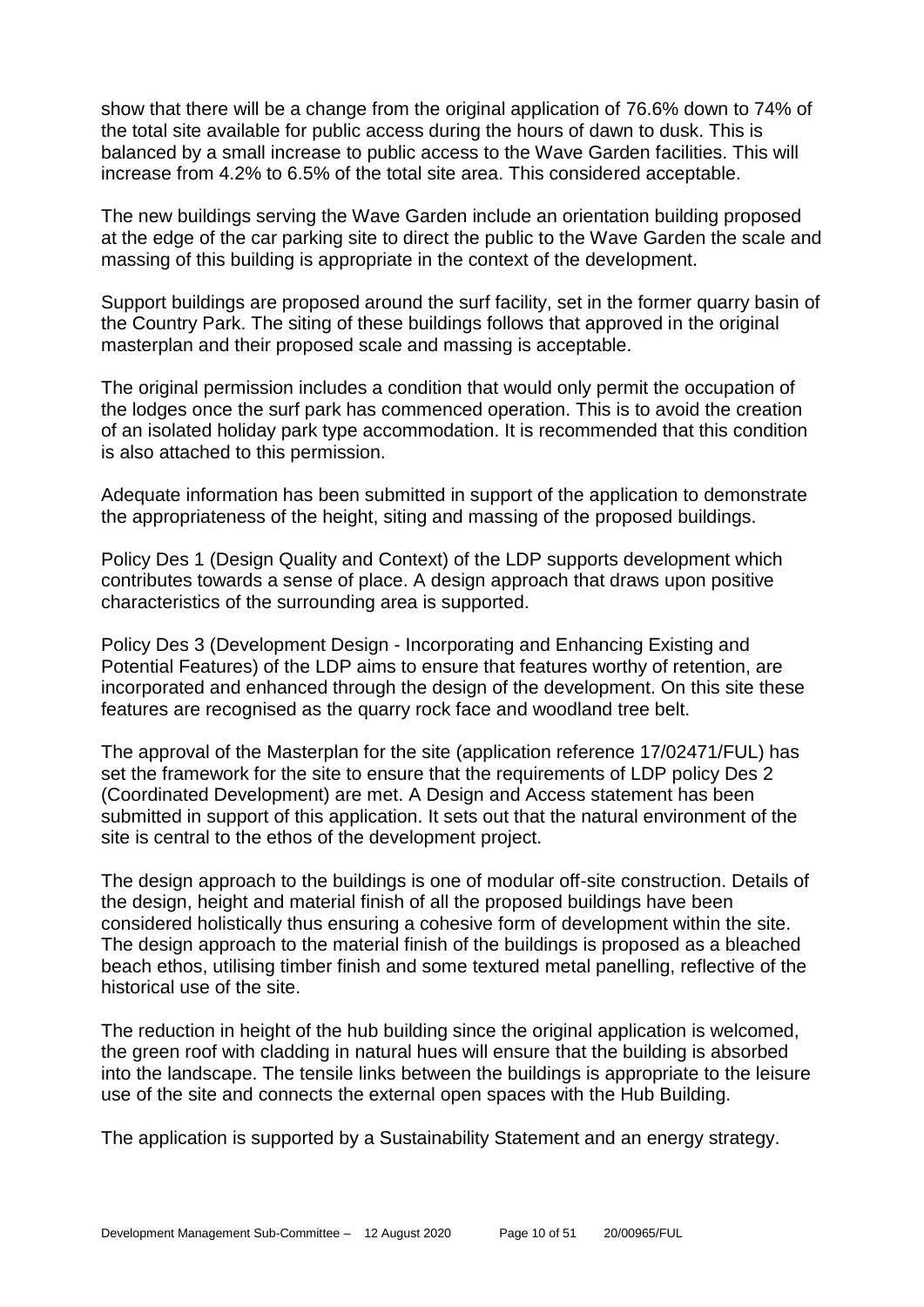show that there will be a change from the original application of 76.6% down to 74% of the total site available for public access during the hours of dawn to dusk. This is balanced by a small increase to public access to the Wave Garden facilities. This will increase from 4.2% to 6.5% of the total site area. This considered acceptable.

The new buildings serving the Wave Garden include an orientation building proposed at the edge of the car parking site to direct the public to the Wave Garden the scale and massing of this building is appropriate in the context of the development.

Support buildings are proposed around the surf facility, set in the former quarry basin of the Country Park. The siting of these buildings follows that approved in the original masterplan and their proposed scale and massing is acceptable.

The original permission includes a condition that would only permit the occupation of the lodges once the surf park has commenced operation. This is to avoid the creation of an isolated holiday park type accommodation. It is recommended that this condition is also attached to this permission.

Adequate information has been submitted in support of the application to demonstrate the appropriateness of the height, siting and massing of the proposed buildings.

Policy Des 1 (Design Quality and Context) of the LDP supports development which contributes towards a sense of place. A design approach that draws upon positive characteristics of the surrounding area is supported.

Policy Des 3 (Development Design - Incorporating and Enhancing Existing and Potential Features) of the LDP aims to ensure that features worthy of retention, are incorporated and enhanced through the design of the development. On this site these features are recognised as the quarry rock face and woodland tree belt.

The approval of the Masterplan for the site (application reference 17/02471/FUL) has set the framework for the site to ensure that the requirements of LDP policy Des 2 (Coordinated Development) are met. A Design and Access statement has been submitted in support of this application. It sets out that the natural environment of the site is central to the ethos of the development project.

The design approach to the buildings is one of modular off-site construction. Details of the design, height and material finish of all the proposed buildings have been considered holistically thus ensuring a cohesive form of development within the site. The design approach to the material finish of the buildings is proposed as a bleached beach ethos, utilising timber finish and some textured metal panelling, reflective of the historical use of the site.

The reduction in height of the hub building since the original application is welcomed, the green roof with cladding in natural hues will ensure that the building is absorbed into the landscape. The tensile links between the buildings is appropriate to the leisure use of the site and connects the external open spaces with the Hub Building.

The application is supported by a Sustainability Statement and an energy strategy.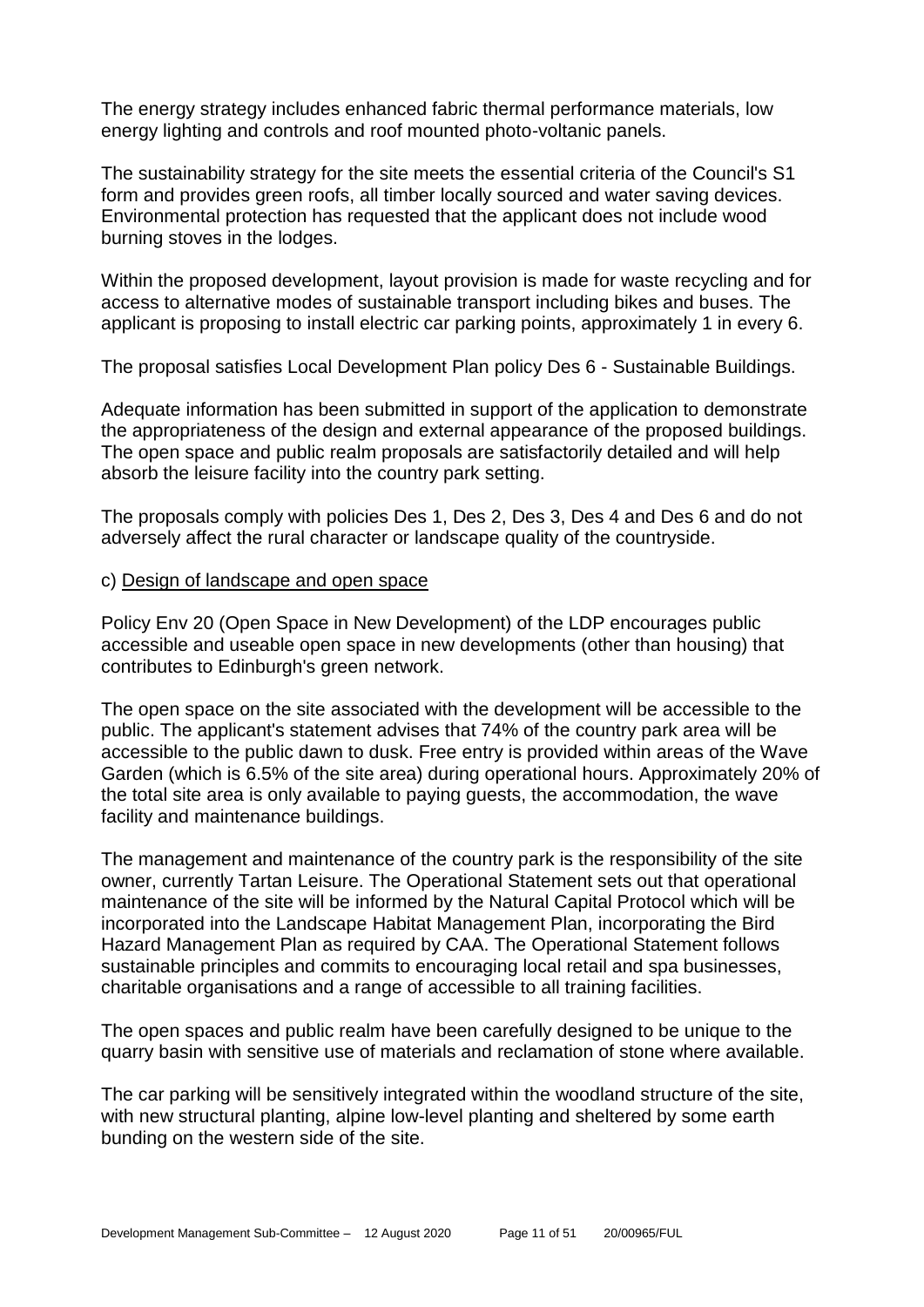The energy strategy includes enhanced fabric thermal performance materials, low energy lighting and controls and roof mounted photo-voltanic panels.

The sustainability strategy for the site meets the essential criteria of the Council's S1 form and provides green roofs, all timber locally sourced and water saving devices. Environmental protection has requested that the applicant does not include wood burning stoves in the lodges.

Within the proposed development, layout provision is made for waste recycling and for access to alternative modes of sustainable transport including bikes and buses. The applicant is proposing to install electric car parking points, approximately 1 in every 6.

The proposal satisfies Local Development Plan policy Des 6 - Sustainable Buildings.

Adequate information has been submitted in support of the application to demonstrate the appropriateness of the design and external appearance of the proposed buildings. The open space and public realm proposals are satisfactorily detailed and will help absorb the leisure facility into the country park setting.

The proposals comply with policies Des 1, Des 2, Des 3, Des 4 and Des 6 and do not adversely affect the rural character or landscape quality of the countryside.

#### c) Design of landscape and open space

Policy Env 20 (Open Space in New Development) of the LDP encourages public accessible and useable open space in new developments (other than housing) that contributes to Edinburgh's green network.

The open space on the site associated with the development will be accessible to the public. The applicant's statement advises that 74% of the country park area will be accessible to the public dawn to dusk. Free entry is provided within areas of the Wave Garden (which is 6.5% of the site area) during operational hours. Approximately 20% of the total site area is only available to paying guests, the accommodation, the wave facility and maintenance buildings.

The management and maintenance of the country park is the responsibility of the site owner, currently Tartan Leisure. The Operational Statement sets out that operational maintenance of the site will be informed by the Natural Capital Protocol which will be incorporated into the Landscape Habitat Management Plan, incorporating the Bird Hazard Management Plan as required by CAA. The Operational Statement follows sustainable principles and commits to encouraging local retail and spa businesses, charitable organisations and a range of accessible to all training facilities.

The open spaces and public realm have been carefully designed to be unique to the quarry basin with sensitive use of materials and reclamation of stone where available.

The car parking will be sensitively integrated within the woodland structure of the site, with new structural planting, alpine low-level planting and sheltered by some earth bunding on the western side of the site.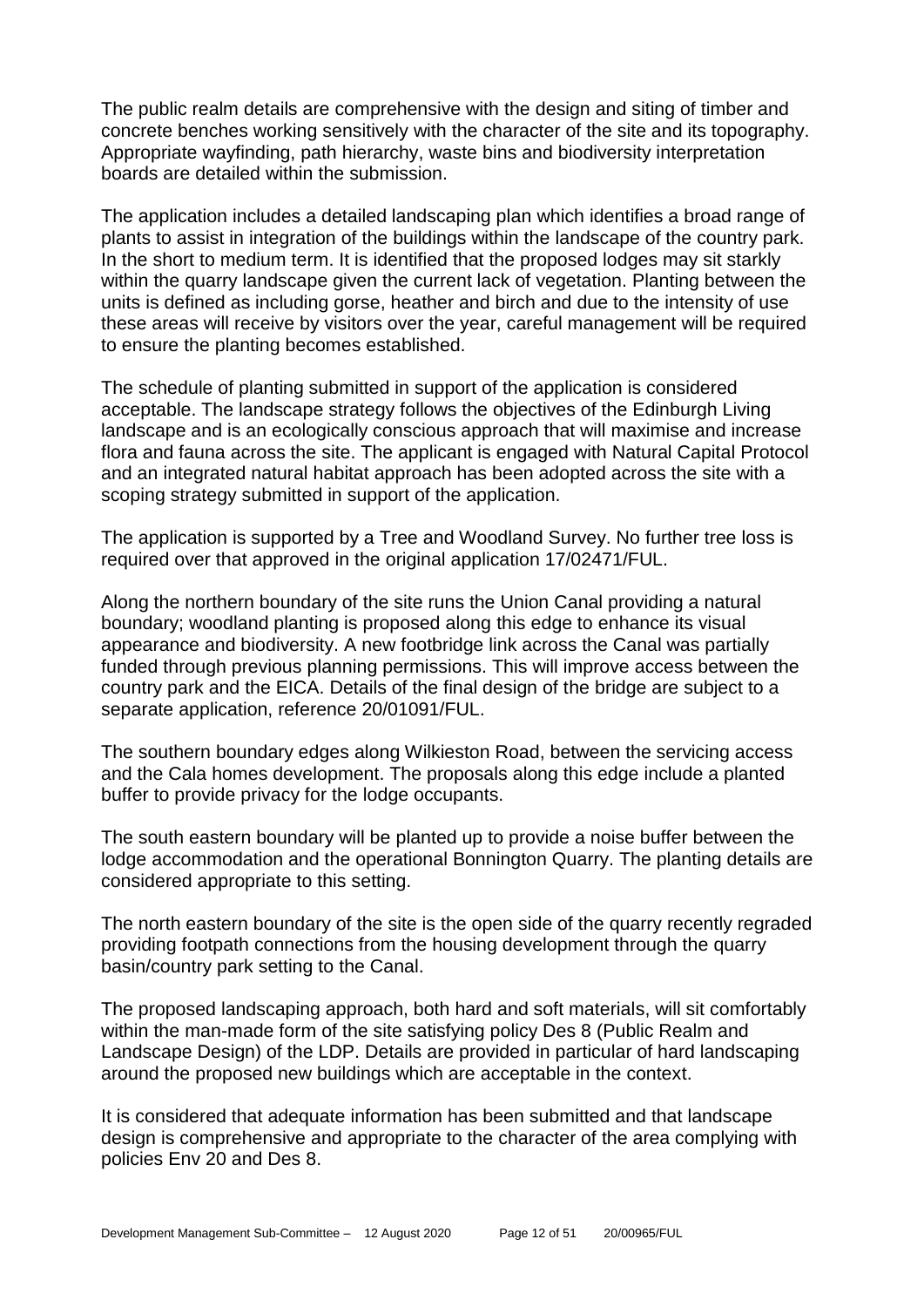The public realm details are comprehensive with the design and siting of timber and concrete benches working sensitively with the character of the site and its topography. Appropriate wayfinding, path hierarchy, waste bins and biodiversity interpretation boards are detailed within the submission.

The application includes a detailed landscaping plan which identifies a broad range of plants to assist in integration of the buildings within the landscape of the country park. In the short to medium term. It is identified that the proposed lodges may sit starkly within the quarry landscape given the current lack of vegetation. Planting between the units is defined as including gorse, heather and birch and due to the intensity of use these areas will receive by visitors over the year, careful management will be required to ensure the planting becomes established.

The schedule of planting submitted in support of the application is considered acceptable. The landscape strategy follows the objectives of the Edinburgh Living landscape and is an ecologically conscious approach that will maximise and increase flora and fauna across the site. The applicant is engaged with Natural Capital Protocol and an integrated natural habitat approach has been adopted across the site with a scoping strategy submitted in support of the application.

The application is supported by a Tree and Woodland Survey. No further tree loss is required over that approved in the original application 17/02471/FUL.

Along the northern boundary of the site runs the Union Canal providing a natural boundary; woodland planting is proposed along this edge to enhance its visual appearance and biodiversity. A new footbridge link across the Canal was partially funded through previous planning permissions. This will improve access between the country park and the EICA. Details of the final design of the bridge are subject to a separate application, reference 20/01091/FUL.

The southern boundary edges along Wilkieston Road, between the servicing access and the Cala homes development. The proposals along this edge include a planted buffer to provide privacy for the lodge occupants.

The south eastern boundary will be planted up to provide a noise buffer between the lodge accommodation and the operational Bonnington Quarry. The planting details are considered appropriate to this setting.

The north eastern boundary of the site is the open side of the quarry recently regraded providing footpath connections from the housing development through the quarry basin/country park setting to the Canal.

The proposed landscaping approach, both hard and soft materials, will sit comfortably within the man-made form of the site satisfying policy Des 8 (Public Realm and Landscape Design) of the LDP. Details are provided in particular of hard landscaping around the proposed new buildings which are acceptable in the context.

It is considered that adequate information has been submitted and that landscape design is comprehensive and appropriate to the character of the area complying with policies Env 20 and Des 8.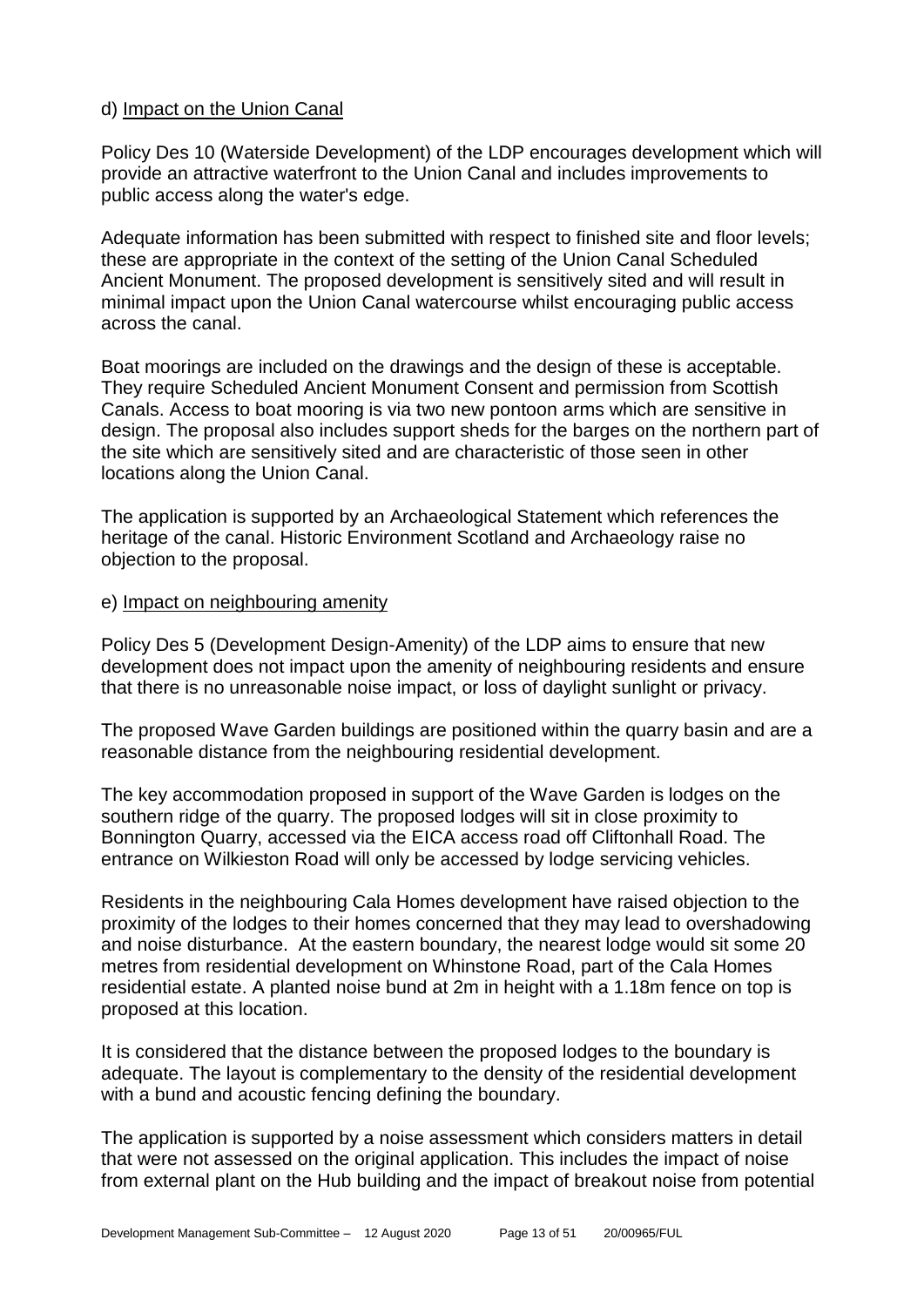#### d) Impact on the Union Canal

Policy Des 10 (Waterside Development) of the LDP encourages development which will provide an attractive waterfront to the Union Canal and includes improvements to public access along the water's edge.

Adequate information has been submitted with respect to finished site and floor levels; these are appropriate in the context of the setting of the Union Canal Scheduled Ancient Monument. The proposed development is sensitively sited and will result in minimal impact upon the Union Canal watercourse whilst encouraging public access across the canal.

Boat moorings are included on the drawings and the design of these is acceptable. They require Scheduled Ancient Monument Consent and permission from Scottish Canals. Access to boat mooring is via two new pontoon arms which are sensitive in design. The proposal also includes support sheds for the barges on the northern part of the site which are sensitively sited and are characteristic of those seen in other locations along the Union Canal.

The application is supported by an Archaeological Statement which references the heritage of the canal. Historic Environment Scotland and Archaeology raise no objection to the proposal.

#### e) Impact on neighbouring amenity

Policy Des 5 (Development Design-Amenity) of the LDP aims to ensure that new development does not impact upon the amenity of neighbouring residents and ensure that there is no unreasonable noise impact, or loss of daylight sunlight or privacy.

The proposed Wave Garden buildings are positioned within the quarry basin and are a reasonable distance from the neighbouring residential development.

The key accommodation proposed in support of the Wave Garden is lodges on the southern ridge of the quarry. The proposed lodges will sit in close proximity to Bonnington Quarry, accessed via the EICA access road off Cliftonhall Road. The entrance on Wilkieston Road will only be accessed by lodge servicing vehicles.

Residents in the neighbouring Cala Homes development have raised objection to the proximity of the lodges to their homes concerned that they may lead to overshadowing and noise disturbance. At the eastern boundary, the nearest lodge would sit some 20 metres from residential development on Whinstone Road, part of the Cala Homes residential estate. A planted noise bund at 2m in height with a 1.18m fence on top is proposed at this location.

It is considered that the distance between the proposed lodges to the boundary is adequate. The layout is complementary to the density of the residential development with a bund and acoustic fencing defining the boundary.

The application is supported by a noise assessment which considers matters in detail that were not assessed on the original application. This includes the impact of noise from external plant on the Hub building and the impact of breakout noise from potential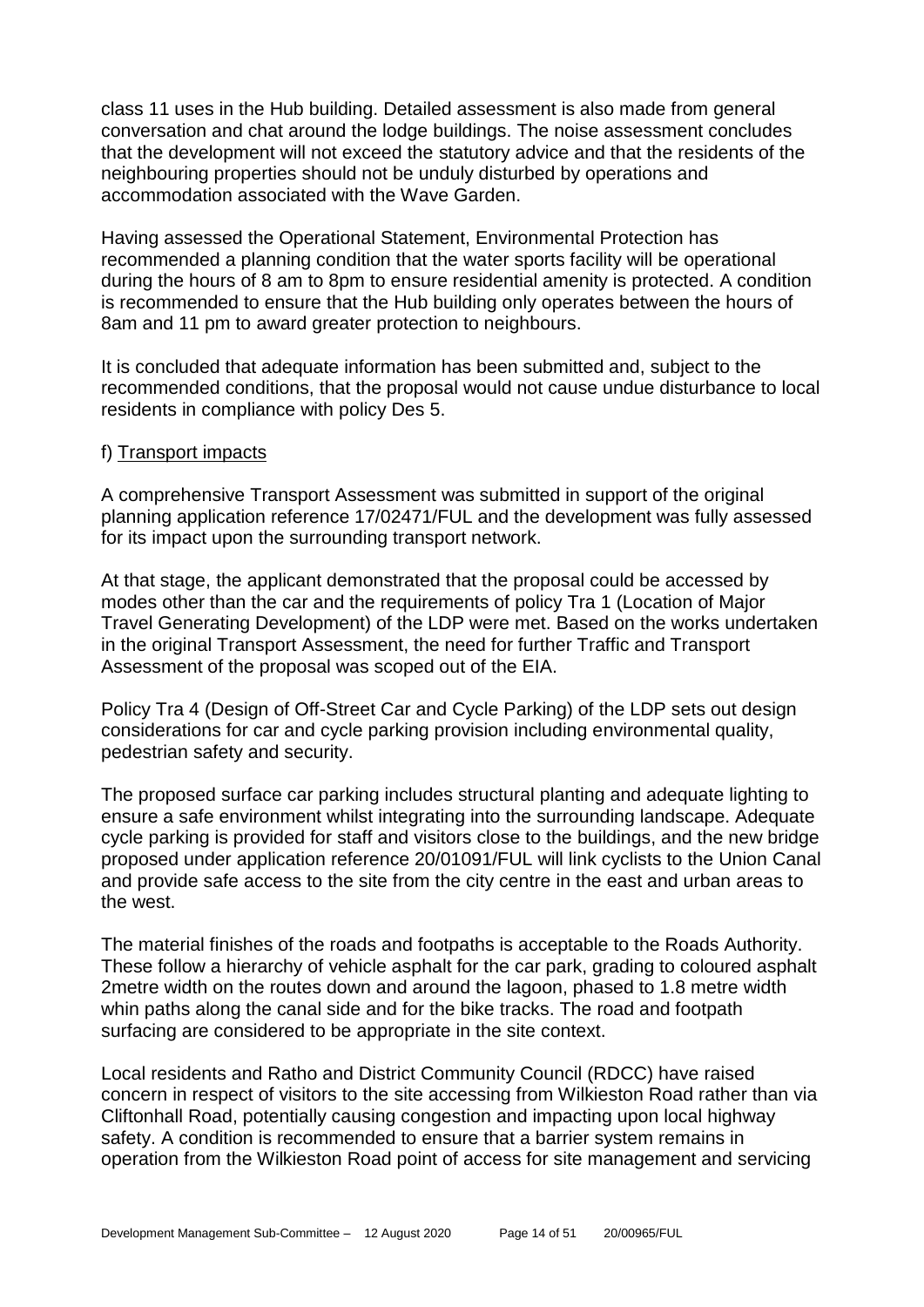class 11 uses in the Hub building. Detailed assessment is also made from general conversation and chat around the lodge buildings. The noise assessment concludes that the development will not exceed the statutory advice and that the residents of the neighbouring properties should not be unduly disturbed by operations and accommodation associated with the Wave Garden.

Having assessed the Operational Statement, Environmental Protection has recommended a planning condition that the water sports facility will be operational during the hours of 8 am to 8pm to ensure residential amenity is protected. A condition is recommended to ensure that the Hub building only operates between the hours of 8am and 11 pm to award greater protection to neighbours.

It is concluded that adequate information has been submitted and, subject to the recommended conditions, that the proposal would not cause undue disturbance to local residents in compliance with policy Des 5.

#### f) Transport impacts

A comprehensive Transport Assessment was submitted in support of the original planning application reference 17/02471/FUL and the development was fully assessed for its impact upon the surrounding transport network.

At that stage, the applicant demonstrated that the proposal could be accessed by modes other than the car and the requirements of policy Tra 1 (Location of Major Travel Generating Development) of the LDP were met. Based on the works undertaken in the original Transport Assessment, the need for further Traffic and Transport Assessment of the proposal was scoped out of the EIA.

Policy Tra 4 (Design of Off-Street Car and Cycle Parking) of the LDP sets out design considerations for car and cycle parking provision including environmental quality, pedestrian safety and security.

The proposed surface car parking includes structural planting and adequate lighting to ensure a safe environment whilst integrating into the surrounding landscape. Adequate cycle parking is provided for staff and visitors close to the buildings, and the new bridge proposed under application reference 20/01091/FUL will link cyclists to the Union Canal and provide safe access to the site from the city centre in the east and urban areas to the west.

The material finishes of the roads and footpaths is acceptable to the Roads Authority. These follow a hierarchy of vehicle asphalt for the car park, grading to coloured asphalt 2metre width on the routes down and around the lagoon, phased to 1.8 metre width whin paths along the canal side and for the bike tracks. The road and footpath surfacing are considered to be appropriate in the site context.

Local residents and Ratho and District Community Council (RDCC) have raised concern in respect of visitors to the site accessing from Wilkieston Road rather than via Cliftonhall Road, potentially causing congestion and impacting upon local highway safety. A condition is recommended to ensure that a barrier system remains in operation from the Wilkieston Road point of access for site management and servicing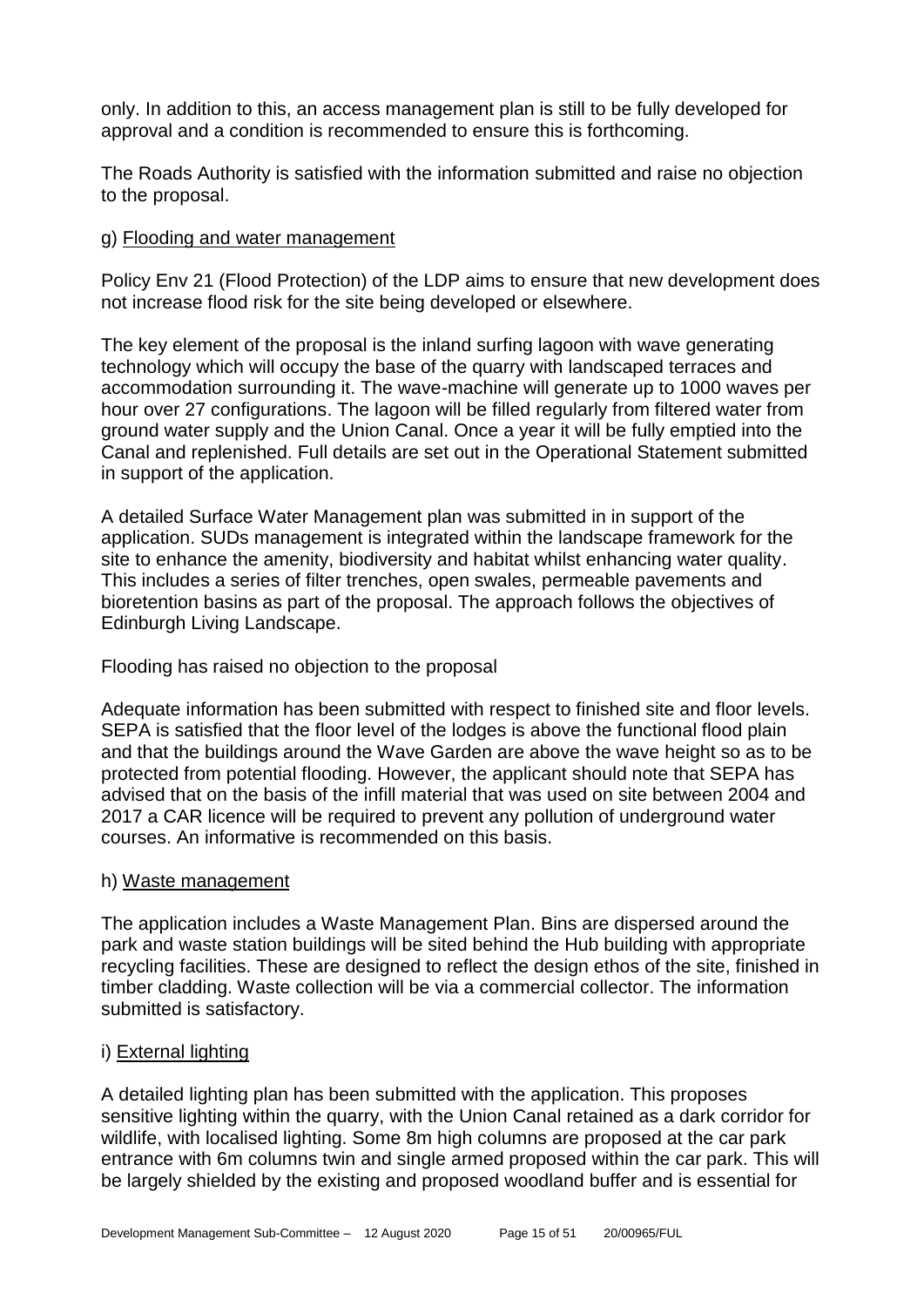only. In addition to this, an access management plan is still to be fully developed for approval and a condition is recommended to ensure this is forthcoming.

The Roads Authority is satisfied with the information submitted and raise no objection to the proposal.

#### g) Flooding and water management

Policy Env 21 (Flood Protection) of the LDP aims to ensure that new development does not increase flood risk for the site being developed or elsewhere.

The key element of the proposal is the inland surfing lagoon with wave generating technology which will occupy the base of the quarry with landscaped terraces and accommodation surrounding it. The wave-machine will generate up to 1000 waves per hour over 27 configurations. The lagoon will be filled regularly from filtered water from ground water supply and the Union Canal. Once a year it will be fully emptied into the Canal and replenished. Full details are set out in the Operational Statement submitted in support of the application.

A detailed Surface Water Management plan was submitted in in support of the application. SUDs management is integrated within the landscape framework for the site to enhance the amenity, biodiversity and habitat whilst enhancing water quality. This includes a series of filter trenches, open swales, permeable pavements and bioretention basins as part of the proposal. The approach follows the objectives of Edinburgh Living Landscape.

# Flooding has raised no objection to the proposal

Adequate information has been submitted with respect to finished site and floor levels. SEPA is satisfied that the floor level of the lodges is above the functional flood plain and that the buildings around the Wave Garden are above the wave height so as to be protected from potential flooding. However, the applicant should note that SEPA has advised that on the basis of the infill material that was used on site between 2004 and 2017 a CAR licence will be required to prevent any pollution of underground water courses. An informative is recommended on this basis.

#### h) Waste management

The application includes a Waste Management Plan. Bins are dispersed around the park and waste station buildings will be sited behind the Hub building with appropriate recycling facilities. These are designed to reflect the design ethos of the site, finished in timber cladding. Waste collection will be via a commercial collector. The information submitted is satisfactory.

# i) External lighting

A detailed lighting plan has been submitted with the application. This proposes sensitive lighting within the quarry, with the Union Canal retained as a dark corridor for wildlife, with localised lighting. Some 8m high columns are proposed at the car park entrance with 6m columns twin and single armed proposed within the car park. This will be largely shielded by the existing and proposed woodland buffer and is essential for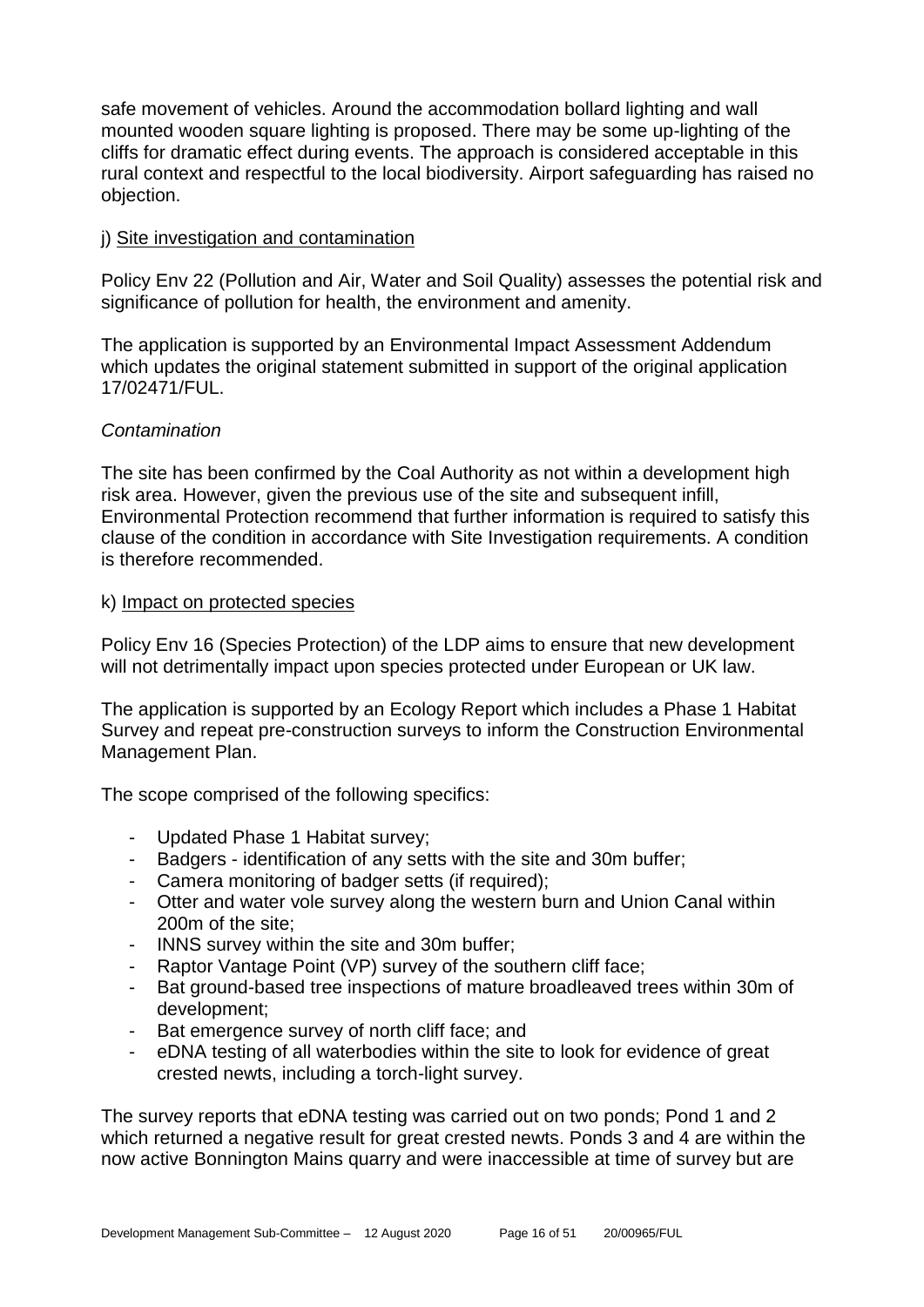safe movement of vehicles. Around the accommodation bollard lighting and wall mounted wooden square lighting is proposed. There may be some up-lighting of the cliffs for dramatic effect during events. The approach is considered acceptable in this rural context and respectful to the local biodiversity. Airport safeguarding has raised no objection.

#### j) Site investigation and contamination

Policy Env 22 (Pollution and Air, Water and Soil Quality) assesses the potential risk and significance of pollution for health, the environment and amenity.

The application is supported by an Environmental Impact Assessment Addendum which updates the original statement submitted in support of the original application 17/02471/FUL.

# *Contamination*

The site has been confirmed by the Coal Authority as not within a development high risk area. However, given the previous use of the site and subsequent infill, Environmental Protection recommend that further information is required to satisfy this clause of the condition in accordance with Site Investigation requirements. A condition is therefore recommended.

#### k) Impact on protected species

Policy Env 16 (Species Protection) of the LDP aims to ensure that new development will not detrimentally impact upon species protected under European or UK law.

The application is supported by an Ecology Report which includes a Phase 1 Habitat Survey and repeat pre-construction surveys to inform the Construction Environmental Management Plan.

The scope comprised of the following specifics:

- Updated Phase 1 Habitat survey;
- Badgers identification of any setts with the site and 30m buffer;
- Camera monitoring of badger setts (if required);
- Otter and water vole survey along the western burn and Union Canal within 200m of the site;
- INNS survey within the site and 30m buffer;
- Raptor Vantage Point (VP) survey of the southern cliff face;
- Bat ground-based tree inspections of mature broadleaved trees within 30m of development;
- Bat emergence survey of north cliff face; and
- eDNA testing of all waterbodies within the site to look for evidence of great crested newts, including a torch-light survey.

The survey reports that eDNA testing was carried out on two ponds; Pond 1 and 2 which returned a negative result for great crested newts. Ponds 3 and 4 are within the now active Bonnington Mains quarry and were inaccessible at time of survey but are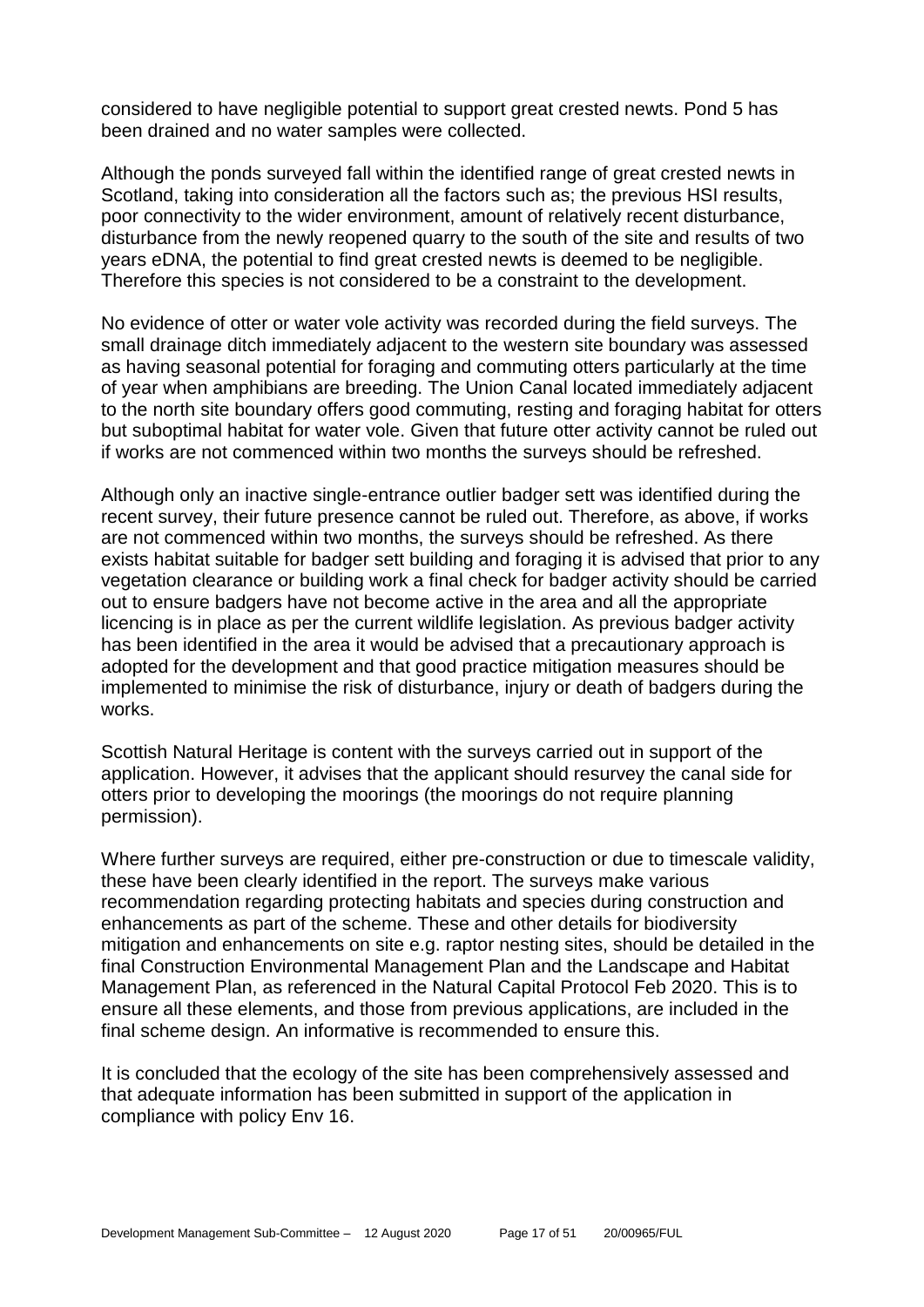considered to have negligible potential to support great crested newts. Pond 5 has been drained and no water samples were collected.

Although the ponds surveyed fall within the identified range of great crested newts in Scotland, taking into consideration all the factors such as; the previous HSI results, poor connectivity to the wider environment, amount of relatively recent disturbance, disturbance from the newly reopened quarry to the south of the site and results of two years eDNA, the potential to find great crested newts is deemed to be negligible. Therefore this species is not considered to be a constraint to the development.

No evidence of otter or water vole activity was recorded during the field surveys. The small drainage ditch immediately adjacent to the western site boundary was assessed as having seasonal potential for foraging and commuting otters particularly at the time of year when amphibians are breeding. The Union Canal located immediately adjacent to the north site boundary offers good commuting, resting and foraging habitat for otters but suboptimal habitat for water vole. Given that future otter activity cannot be ruled out if works are not commenced within two months the surveys should be refreshed.

Although only an inactive single-entrance outlier badger sett was identified during the recent survey, their future presence cannot be ruled out. Therefore, as above, if works are not commenced within two months, the surveys should be refreshed. As there exists habitat suitable for badger sett building and foraging it is advised that prior to any vegetation clearance or building work a final check for badger activity should be carried out to ensure badgers have not become active in the area and all the appropriate licencing is in place as per the current wildlife legislation. As previous badger activity has been identified in the area it would be advised that a precautionary approach is adopted for the development and that good practice mitigation measures should be implemented to minimise the risk of disturbance, injury or death of badgers during the works.

Scottish Natural Heritage is content with the surveys carried out in support of the application. However, it advises that the applicant should resurvey the canal side for otters prior to developing the moorings (the moorings do not require planning permission).

Where further surveys are required, either pre-construction or due to timescale validity, these have been clearly identified in the report. The surveys make various recommendation regarding protecting habitats and species during construction and enhancements as part of the scheme. These and other details for biodiversity mitigation and enhancements on site e.g. raptor nesting sites, should be detailed in the final Construction Environmental Management Plan and the Landscape and Habitat Management Plan, as referenced in the Natural Capital Protocol Feb 2020. This is to ensure all these elements, and those from previous applications, are included in the final scheme design. An informative is recommended to ensure this.

It is concluded that the ecology of the site has been comprehensively assessed and that adequate information has been submitted in support of the application in compliance with policy Env 16.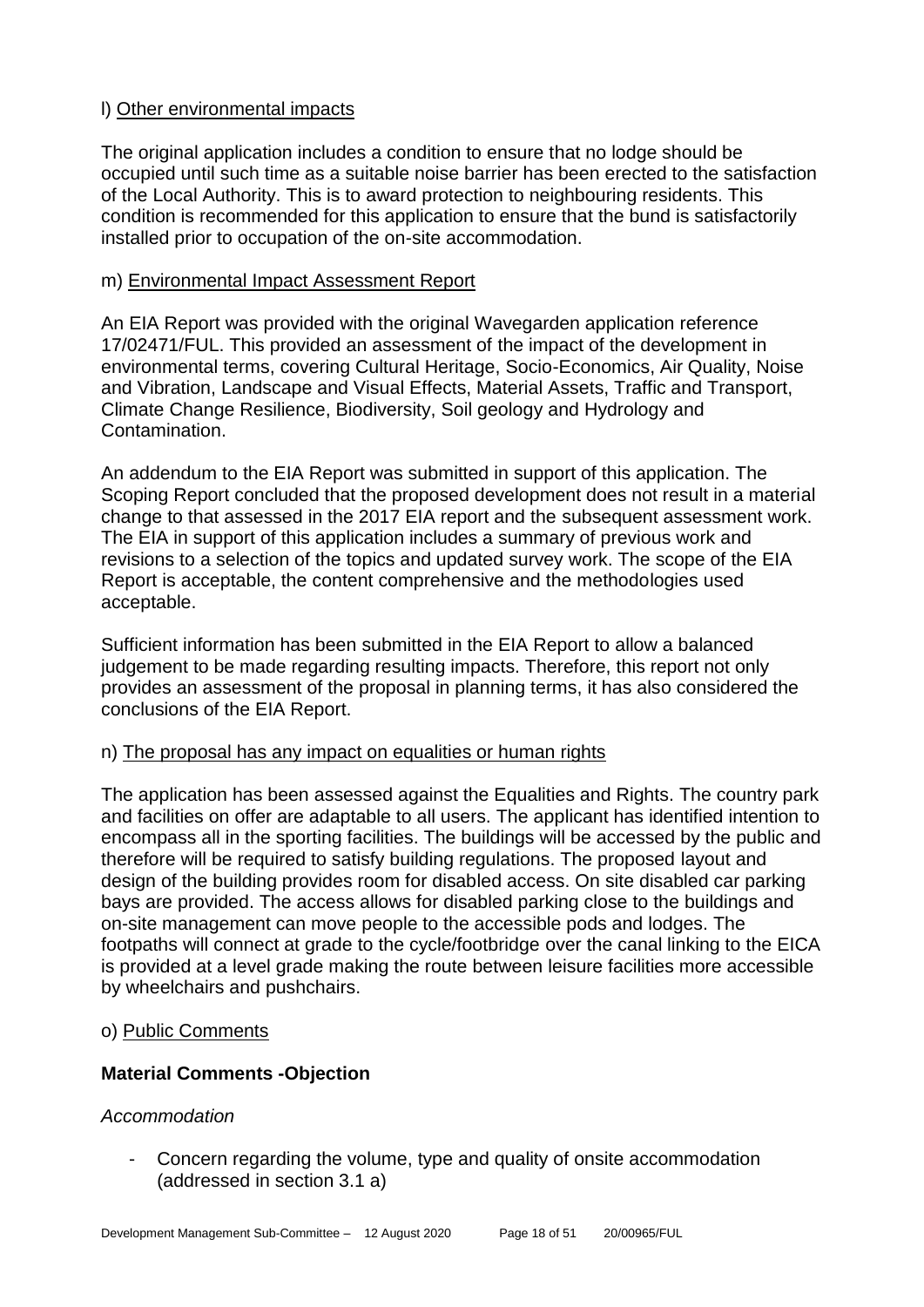# l) Other environmental impacts

The original application includes a condition to ensure that no lodge should be occupied until such time as a suitable noise barrier has been erected to the satisfaction of the Local Authority. This is to award protection to neighbouring residents. This condition is recommended for this application to ensure that the bund is satisfactorily installed prior to occupation of the on-site accommodation.

# m) Environmental Impact Assessment Report

An EIA Report was provided with the original Wavegarden application reference 17/02471/FUL. This provided an assessment of the impact of the development in environmental terms, covering Cultural Heritage, Socio-Economics, Air Quality, Noise and Vibration, Landscape and Visual Effects, Material Assets, Traffic and Transport, Climate Change Resilience, Biodiversity, Soil geology and Hydrology and Contamination.

An addendum to the EIA Report was submitted in support of this application. The Scoping Report concluded that the proposed development does not result in a material change to that assessed in the 2017 EIA report and the subsequent assessment work. The EIA in support of this application includes a summary of previous work and revisions to a selection of the topics and updated survey work. The scope of the EIA Report is acceptable, the content comprehensive and the methodologies used acceptable.

Sufficient information has been submitted in the EIA Report to allow a balanced judgement to be made regarding resulting impacts. Therefore, this report not only provides an assessment of the proposal in planning terms, it has also considered the conclusions of the EIA Report.

# n) The proposal has any impact on equalities or human rights

The application has been assessed against the Equalities and Rights. The country park and facilities on offer are adaptable to all users. The applicant has identified intention to encompass all in the sporting facilities. The buildings will be accessed by the public and therefore will be required to satisfy building regulations. The proposed layout and design of the building provides room for disabled access. On site disabled car parking bays are provided. The access allows for disabled parking close to the buildings and on-site management can move people to the accessible pods and lodges. The footpaths will connect at grade to the cycle/footbridge over the canal linking to the EICA is provided at a level grade making the route between leisure facilities more accessible by wheelchairs and pushchairs.

#### o) Public Comments

# **Material Comments -Objection**

# *Accommodation*

- Concern regarding the volume, type and quality of onsite accommodation (addressed in section 3.1 a)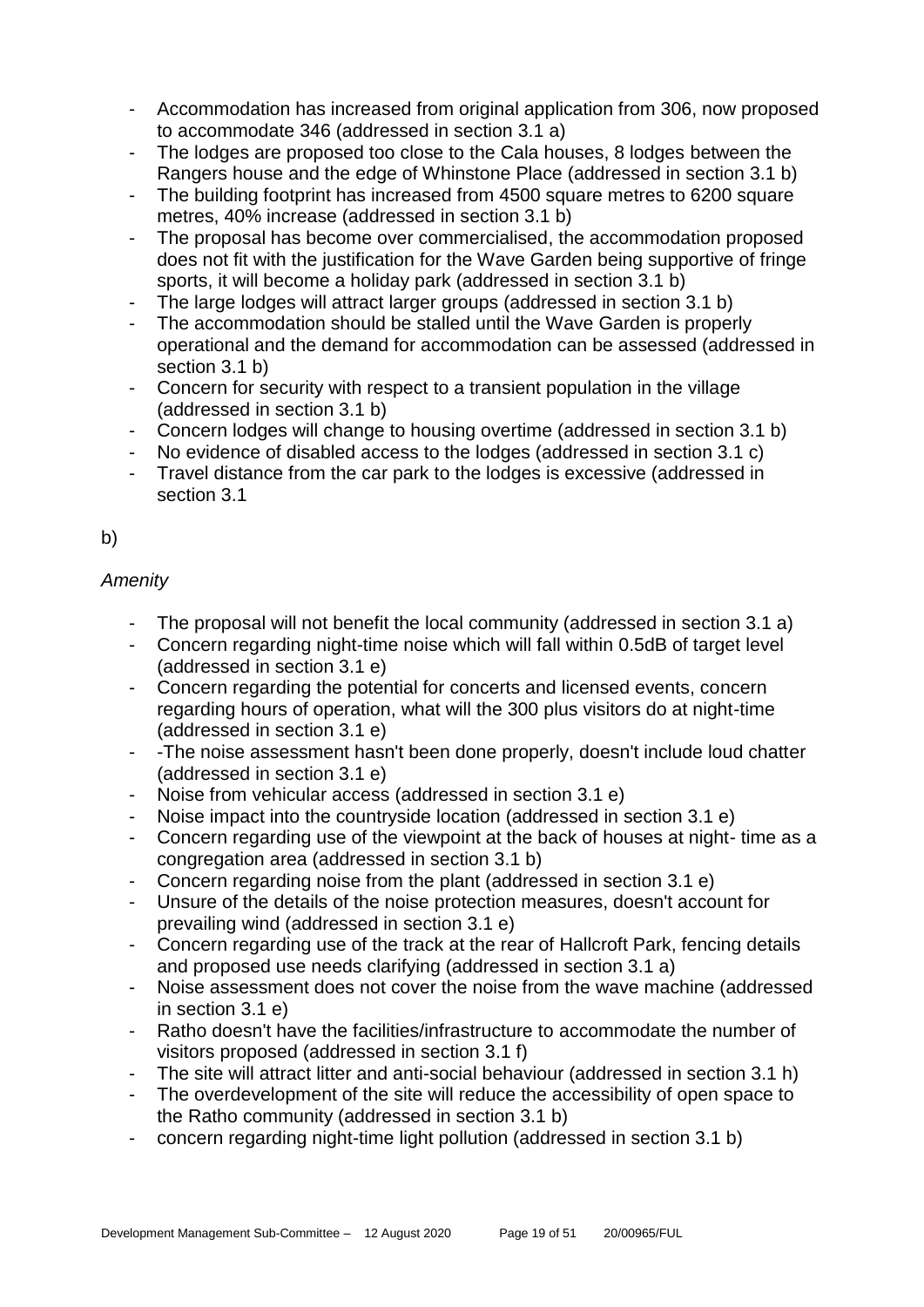- Accommodation has increased from original application from 306, now proposed to accommodate 346 (addressed in section 3.1 a)
- The lodges are proposed too close to the Cala houses, 8 lodges between the Rangers house and the edge of Whinstone Place (addressed in section 3.1 b)
- The building footprint has increased from 4500 square metres to 6200 square metres, 40% increase (addressed in section 3.1 b)
- The proposal has become over commercialised, the accommodation proposed does not fit with the justification for the Wave Garden being supportive of fringe sports, it will become a holiday park (addressed in section 3.1 b)
- The large lodges will attract larger groups (addressed in section 3.1 b)
- The accommodation should be stalled until the Wave Garden is properly operational and the demand for accommodation can be assessed (addressed in section 3.1 b)
- Concern for security with respect to a transient population in the village (addressed in section 3.1 b)
- Concern lodges will change to housing overtime (addressed in section 3.1 b)
- No evidence of disabled access to the lodges (addressed in section 3.1 c)
- Travel distance from the car park to the lodges is excessive (addressed in section 3.1

# b)

# *Amenity*

- The proposal will not benefit the local community (addressed in section 3.1 a)
- Concern regarding night-time noise which will fall within 0.5dB of target level (addressed in section 3.1 e)
- Concern regarding the potential for concerts and licensed events, concern regarding hours of operation, what will the 300 plus visitors do at night-time (addressed in section 3.1 e)
- -The noise assessment hasn't been done properly, doesn't include loud chatter (addressed in section 3.1 e)
- Noise from vehicular access (addressed in section 3.1 e)
- Noise impact into the countryside location (addressed in section 3.1 e)
- Concern regarding use of the viewpoint at the back of houses at night- time as a congregation area (addressed in section 3.1 b)
- Concern regarding noise from the plant (addressed in section 3.1 e)
- Unsure of the details of the noise protection measures, doesn't account for prevailing wind (addressed in section 3.1 e)
- Concern regarding use of the track at the rear of Hallcroft Park, fencing details and proposed use needs clarifying (addressed in section 3.1 a)
- Noise assessment does not cover the noise from the wave machine (addressed in section 3.1 e)
- Ratho doesn't have the facilities/infrastructure to accommodate the number of visitors proposed (addressed in section 3.1 f)
- The site will attract litter and anti-social behaviour (addressed in section 3.1 h)
- The overdevelopment of the site will reduce the accessibility of open space to the Ratho community (addressed in section 3.1 b)
- concern regarding night-time light pollution (addressed in section 3.1 b)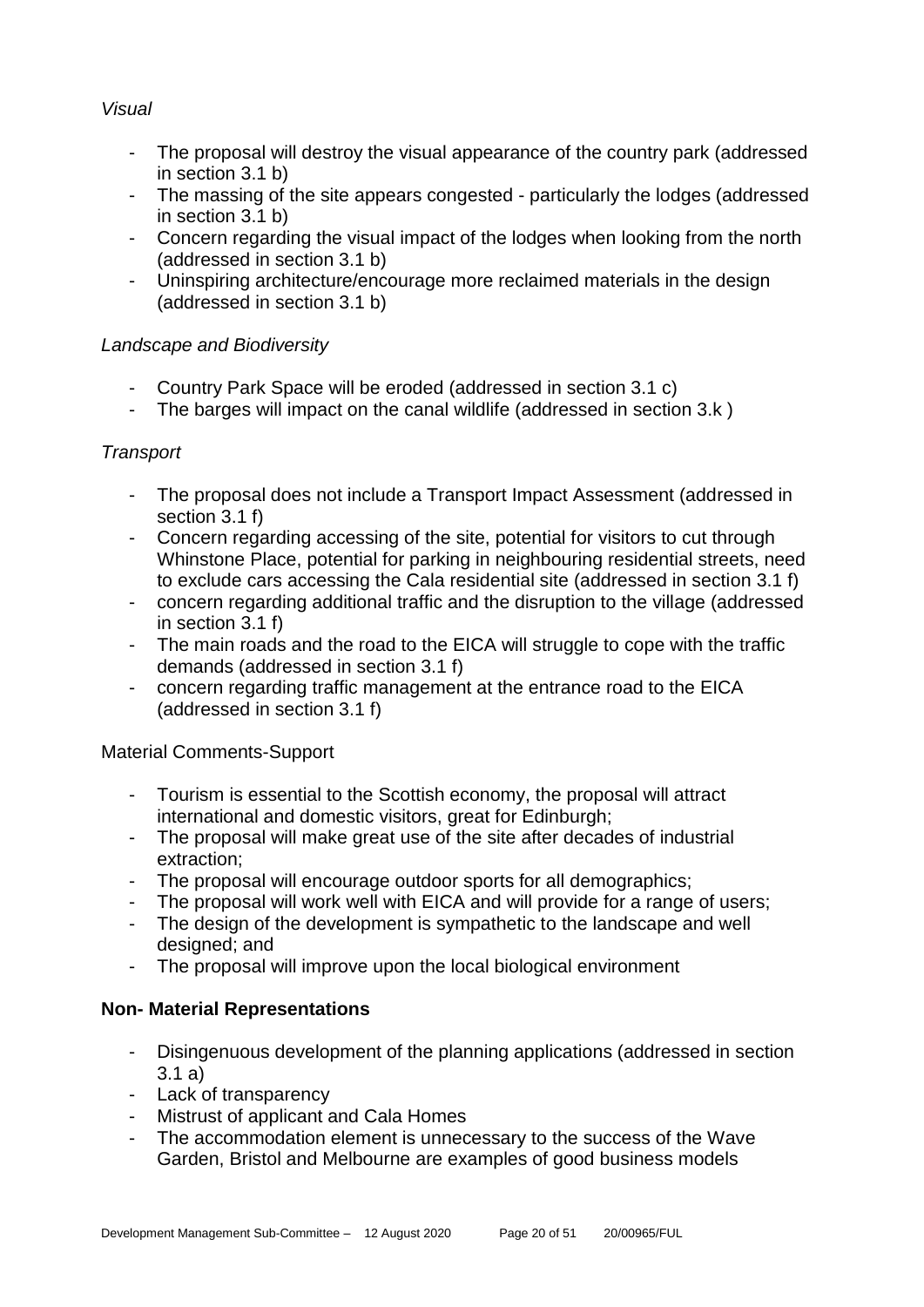# *Visual*

- The proposal will destroy the visual appearance of the country park (addressed in section 3.1 b)
- The massing of the site appears congested particularly the lodges (addressed in section 3.1 b)
- Concern regarding the visual impact of the lodges when looking from the north (addressed in section 3.1 b)
- Uninspiring architecture/encourage more reclaimed materials in the design (addressed in section 3.1 b)

# *Landscape and Biodiversity*

- Country Park Space will be eroded (addressed in section 3.1 c)
- The barges will impact on the canal wildlife (addressed in section 3.k )

# *Transport*

- The proposal does not include a Transport Impact Assessment (addressed in section 3.1 f)
- Concern regarding accessing of the site, potential for visitors to cut through Whinstone Place, potential for parking in neighbouring residential streets, need to exclude cars accessing the Cala residential site (addressed in section 3.1 f)
- concern regarding additional traffic and the disruption to the village (addressed in section 3.1 f)
- The main roads and the road to the EICA will struggle to cope with the traffic demands (addressed in section 3.1 f)
- concern regarding traffic management at the entrance road to the EICA (addressed in section 3.1 f)

# Material Comments-Support

- Tourism is essential to the Scottish economy, the proposal will attract international and domestic visitors, great for Edinburgh;
- The proposal will make great use of the site after decades of industrial extraction;
- The proposal will encourage outdoor sports for all demographics;
- The proposal will work well with EICA and will provide for a range of users;
- The design of the development is sympathetic to the landscape and well designed; and
- The proposal will improve upon the local biological environment

# **Non- Material Representations**

- Disingenuous development of the planning applications (addressed in section 3.1 a)
- Lack of transparency
- Mistrust of applicant and Cala Homes
- The accommodation element is unnecessary to the success of the Wave Garden, Bristol and Melbourne are examples of good business models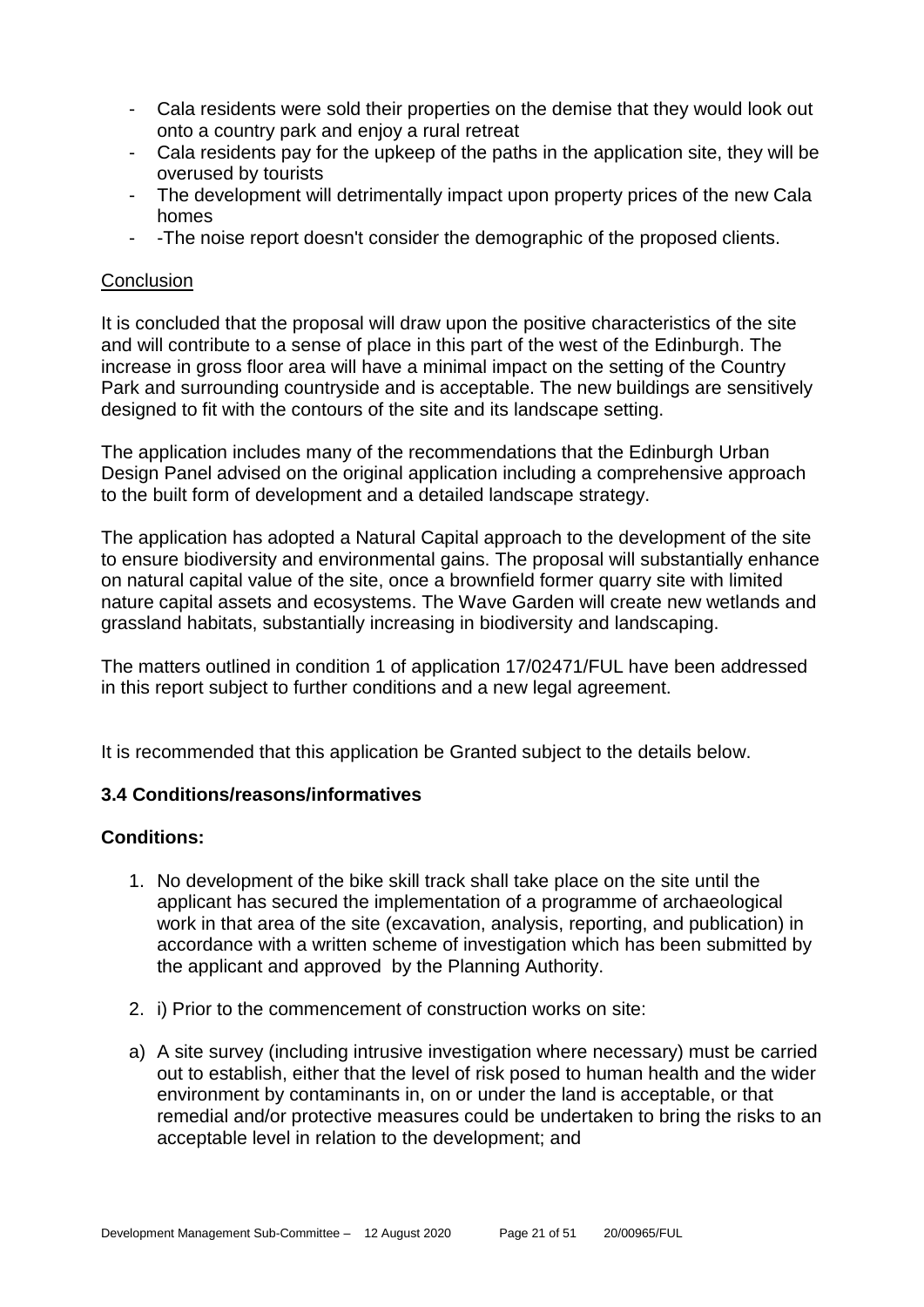- Cala residents were sold their properties on the demise that they would look out onto a country park and enjoy a rural retreat
- Cala residents pay for the upkeep of the paths in the application site, they will be overused by tourists
- The development will detrimentally impact upon property prices of the new Cala homes
- -The noise report doesn't consider the demographic of the proposed clients.

# **Conclusion**

It is concluded that the proposal will draw upon the positive characteristics of the site and will contribute to a sense of place in this part of the west of the Edinburgh. The increase in gross floor area will have a minimal impact on the setting of the Country Park and surrounding countryside and is acceptable. The new buildings are sensitively designed to fit with the contours of the site and its landscape setting.

The application includes many of the recommendations that the Edinburgh Urban Design Panel advised on the original application including a comprehensive approach to the built form of development and a detailed landscape strategy.

The application has adopted a Natural Capital approach to the development of the site to ensure biodiversity and environmental gains. The proposal will substantially enhance on natural capital value of the site, once a brownfield former quarry site with limited nature capital assets and ecosystems. The Wave Garden will create new wetlands and grassland habitats, substantially increasing in biodiversity and landscaping.

The matters outlined in condition 1 of application 17/02471/FUL have been addressed in this report subject to further conditions and a new legal agreement.

It is recommended that this application be Granted subject to the details below.

# **3.4 Conditions/reasons/informatives**

# **Conditions:**

- 1. No development of the bike skill track shall take place on the site until the applicant has secured the implementation of a programme of archaeological work in that area of the site (excavation, analysis, reporting, and publication) in accordance with a written scheme of investigation which has been submitted by the applicant and approved by the Planning Authority.
- 2. i) Prior to the commencement of construction works on site:
- a) A site survey (including intrusive investigation where necessary) must be carried out to establish, either that the level of risk posed to human health and the wider environment by contaminants in, on or under the land is acceptable, or that remedial and/or protective measures could be undertaken to bring the risks to an acceptable level in relation to the development; and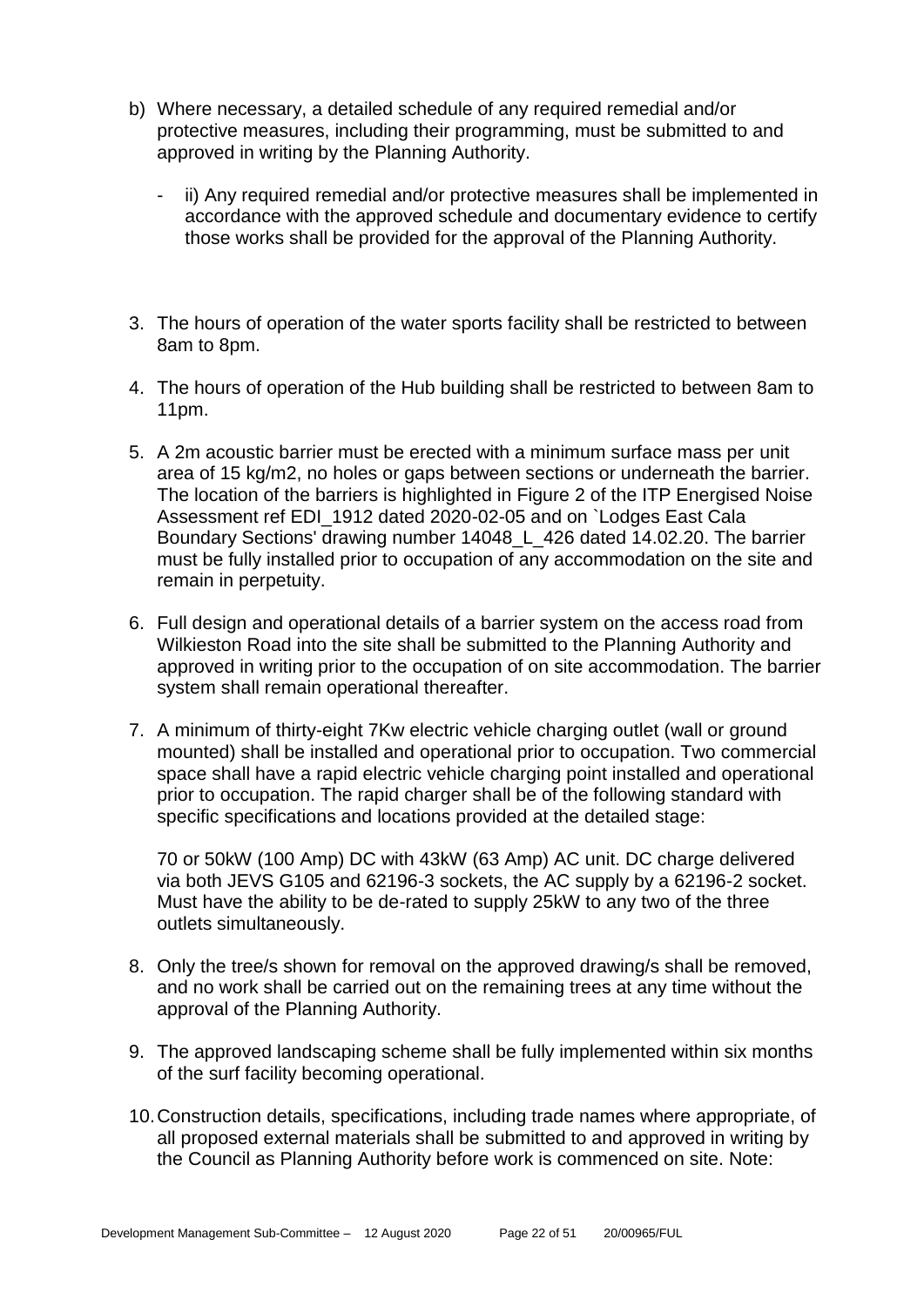- b) Where necessary, a detailed schedule of any required remedial and/or protective measures, including their programming, must be submitted to and approved in writing by the Planning Authority.
	- ii) Any required remedial and/or protective measures shall be implemented in accordance with the approved schedule and documentary evidence to certify those works shall be provided for the approval of the Planning Authority.
- 3. The hours of operation of the water sports facility shall be restricted to between 8am to 8pm.
- 4. The hours of operation of the Hub building shall be restricted to between 8am to 11pm.
- 5. A 2m acoustic barrier must be erected with a minimum surface mass per unit area of 15 kg/m2, no holes or gaps between sections or underneath the barrier. The location of the barriers is highlighted in Figure 2 of the ITP Energised Noise Assessment ref EDI\_1912 dated 2020-02-05 and on `Lodges East Cala Boundary Sections' drawing number 14048\_L\_426 dated 14.02.20. The barrier must be fully installed prior to occupation of any accommodation on the site and remain in perpetuity.
- 6. Full design and operational details of a barrier system on the access road from Wilkieston Road into the site shall be submitted to the Planning Authority and approved in writing prior to the occupation of on site accommodation. The barrier system shall remain operational thereafter.
- 7. A minimum of thirty-eight 7Kw electric vehicle charging outlet (wall or ground mounted) shall be installed and operational prior to occupation. Two commercial space shall have a rapid electric vehicle charging point installed and operational prior to occupation. The rapid charger shall be of the following standard with specific specifications and locations provided at the detailed stage:

70 or 50kW (100 Amp) DC with 43kW (63 Amp) AC unit. DC charge delivered via both JEVS G105 and 62196-3 sockets, the AC supply by a 62196-2 socket. Must have the ability to be de-rated to supply 25kW to any two of the three outlets simultaneously.

- 8. Only the tree/s shown for removal on the approved drawing/s shall be removed, and no work shall be carried out on the remaining trees at any time without the approval of the Planning Authority.
- 9. The approved landscaping scheme shall be fully implemented within six months of the surf facility becoming operational.
- 10.Construction details, specifications, including trade names where appropriate, of all proposed external materials shall be submitted to and approved in writing by the Council as Planning Authority before work is commenced on site. Note: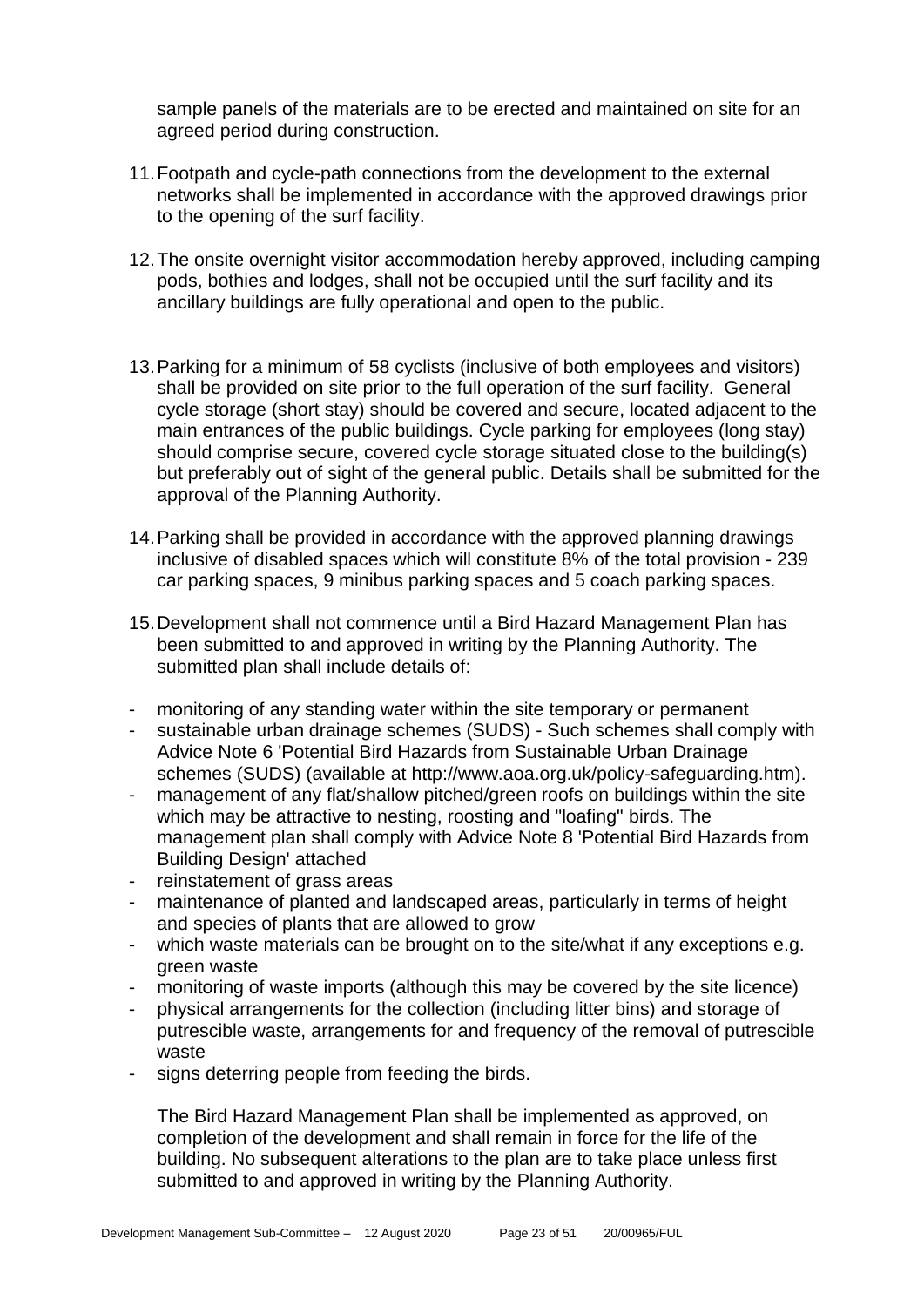sample panels of the materials are to be erected and maintained on site for an agreed period during construction.

- 11.Footpath and cycle-path connections from the development to the external networks shall be implemented in accordance with the approved drawings prior to the opening of the surf facility.
- 12.The onsite overnight visitor accommodation hereby approved, including camping pods, bothies and lodges, shall not be occupied until the surf facility and its ancillary buildings are fully operational and open to the public.
- 13.Parking for a minimum of 58 cyclists (inclusive of both employees and visitors) shall be provided on site prior to the full operation of the surf facility. General cycle storage (short stay) should be covered and secure, located adjacent to the main entrances of the public buildings. Cycle parking for employees (long stay) should comprise secure, covered cycle storage situated close to the building(s) but preferably out of sight of the general public. Details shall be submitted for the approval of the Planning Authority.
- 14.Parking shall be provided in accordance with the approved planning drawings inclusive of disabled spaces which will constitute 8% of the total provision - 239 car parking spaces, 9 minibus parking spaces and 5 coach parking spaces.
- 15.Development shall not commence until a Bird Hazard Management Plan has been submitted to and approved in writing by the Planning Authority. The submitted plan shall include details of:
- monitoring of any standing water within the site temporary or permanent
- sustainable urban drainage schemes (SUDS) Such schemes shall comply with Advice Note 6 'Potential Bird Hazards from Sustainable Urban Drainage schemes (SUDS) (available at http://www.aoa.org.uk/policy-safeguarding.htm).
- management of any flat/shallow pitched/green roofs on buildings within the site which may be attractive to nesting, roosting and "loafing" birds. The management plan shall comply with Advice Note 8 'Potential Bird Hazards from Building Design' attached
- reinstatement of grass areas
- maintenance of planted and landscaped areas, particularly in terms of height and species of plants that are allowed to grow
- which waste materials can be brought on to the site/what if any exceptions e.g. green waste
- monitoring of waste imports (although this may be covered by the site licence)
- physical arrangements for the collection (including litter bins) and storage of putrescible waste, arrangements for and frequency of the removal of putrescible waste
- signs deterring people from feeding the birds.

The Bird Hazard Management Plan shall be implemented as approved, on completion of the development and shall remain in force for the life of the building. No subsequent alterations to the plan are to take place unless first submitted to and approved in writing by the Planning Authority.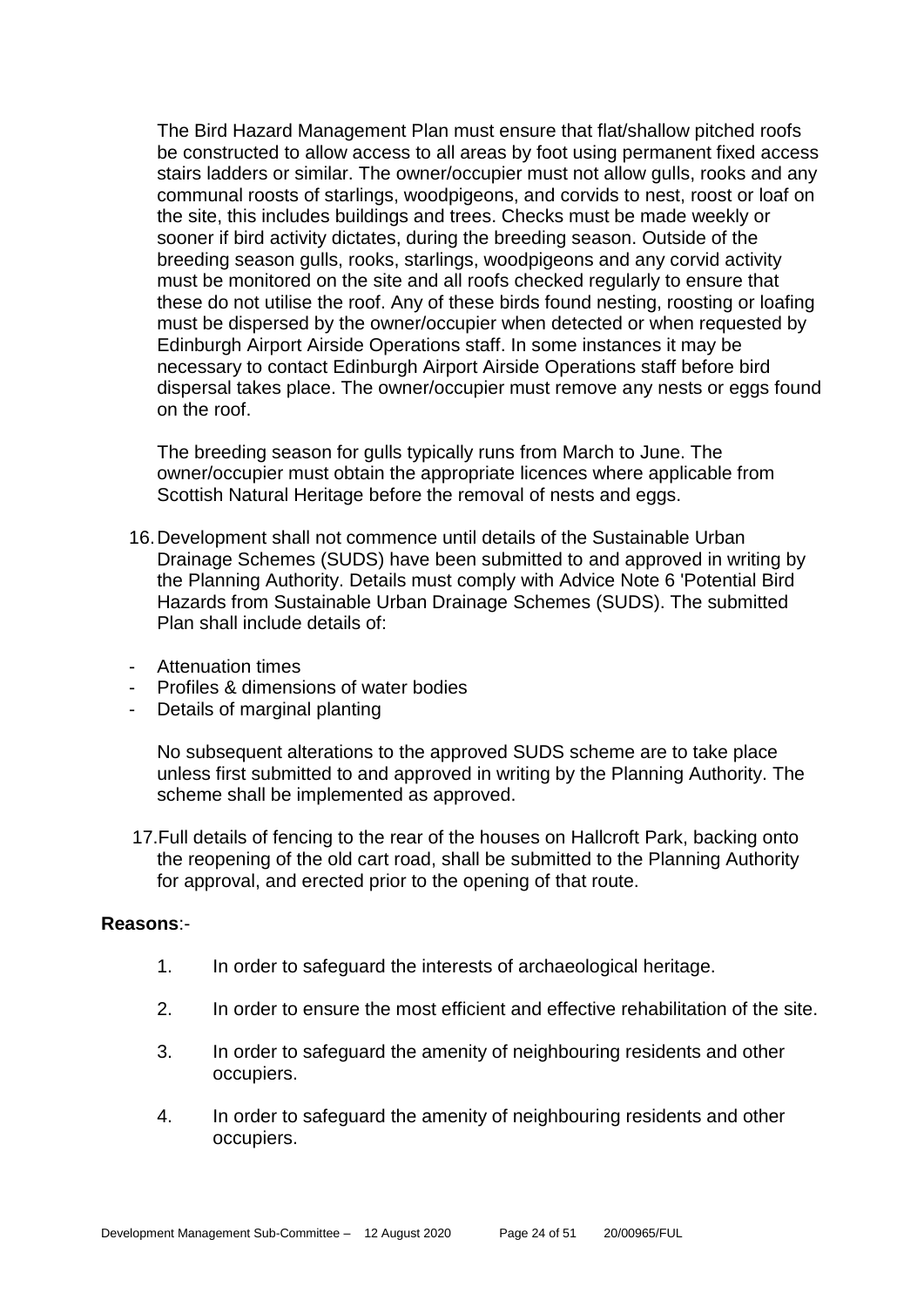The Bird Hazard Management Plan must ensure that flat/shallow pitched roofs be constructed to allow access to all areas by foot using permanent fixed access stairs ladders or similar. The owner/occupier must not allow gulls, rooks and any communal roosts of starlings, woodpigeons, and corvids to nest, roost or loaf on the site, this includes buildings and trees. Checks must be made weekly or sooner if bird activity dictates, during the breeding season. Outside of the breeding season gulls, rooks, starlings, woodpigeons and any corvid activity must be monitored on the site and all roofs checked regularly to ensure that these do not utilise the roof. Any of these birds found nesting, roosting or loafing must be dispersed by the owner/occupier when detected or when requested by Edinburgh Airport Airside Operations staff. In some instances it may be necessary to contact Edinburgh Airport Airside Operations staff before bird dispersal takes place. The owner/occupier must remove any nests or eggs found on the roof.

The breeding season for gulls typically runs from March to June. The owner/occupier must obtain the appropriate licences where applicable from Scottish Natural Heritage before the removal of nests and eggs.

- 16.Development shall not commence until details of the Sustainable Urban Drainage Schemes (SUDS) have been submitted to and approved in writing by the Planning Authority. Details must comply with Advice Note 6 'Potential Bird Hazards from Sustainable Urban Drainage Schemes (SUDS). The submitted Plan shall include details of:
- Attenuation times
- Profiles & dimensions of water bodies
- Details of marginal planting

No subsequent alterations to the approved SUDS scheme are to take place unless first submitted to and approved in writing by the Planning Authority. The scheme shall be implemented as approved.

 17.Full details of fencing to the rear of the houses on Hallcroft Park, backing onto the reopening of the old cart road, shall be submitted to the Planning Authority for approval, and erected prior to the opening of that route.

#### **Reasons**:-

- 1. In order to safeguard the interests of archaeological heritage.
- 2. In order to ensure the most efficient and effective rehabilitation of the site.
- 3. In order to safeguard the amenity of neighbouring residents and other occupiers.
- 4. In order to safeguard the amenity of neighbouring residents and other occupiers.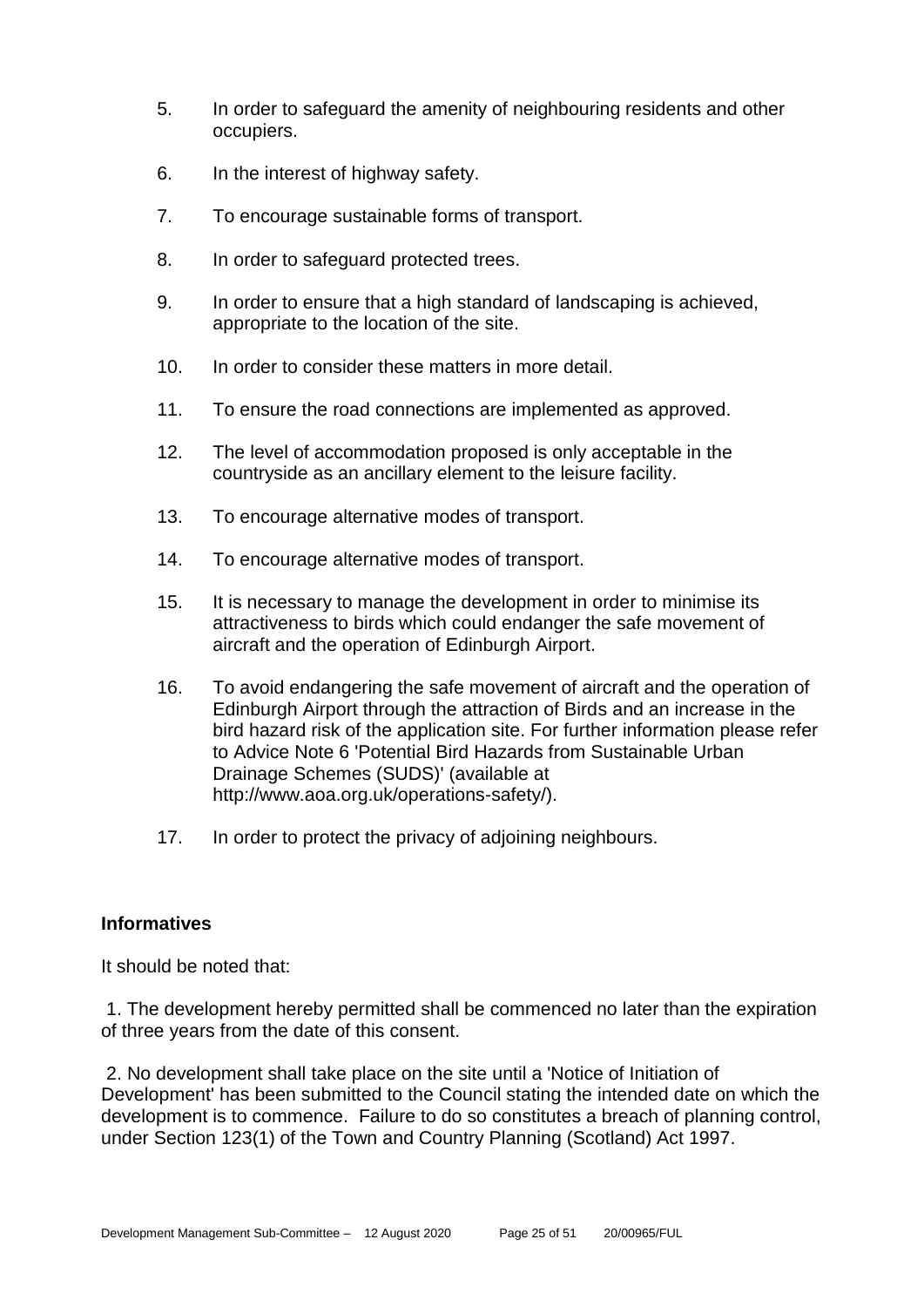- 5. In order to safeguard the amenity of neighbouring residents and other occupiers.
- 6. In the interest of highway safety.
- 7. To encourage sustainable forms of transport.
- 8. In order to safeguard protected trees.
- 9. In order to ensure that a high standard of landscaping is achieved, appropriate to the location of the site.
- 10. In order to consider these matters in more detail.
- 11. To ensure the road connections are implemented as approved.
- 12. The level of accommodation proposed is only acceptable in the countryside as an ancillary element to the leisure facility.
- 13. To encourage alternative modes of transport.
- 14. To encourage alternative modes of transport.
- 15. It is necessary to manage the development in order to minimise its attractiveness to birds which could endanger the safe movement of aircraft and the operation of Edinburgh Airport.
- 16. To avoid endangering the safe movement of aircraft and the operation of Edinburgh Airport through the attraction of Birds and an increase in the bird hazard risk of the application site. For further information please refer to Advice Note 6 'Potential Bird Hazards from Sustainable Urban Drainage Schemes (SUDS)' (available at http://www.aoa.org.uk/operations-safety/).
- 17. In order to protect the privacy of adjoining neighbours.

# **Informatives**

It should be noted that:

1. The development hereby permitted shall be commenced no later than the expiration of three years from the date of this consent.

2. No development shall take place on the site until a 'Notice of Initiation of Development' has been submitted to the Council stating the intended date on which the development is to commence. Failure to do so constitutes a breach of planning control, under Section 123(1) of the Town and Country Planning (Scotland) Act 1997.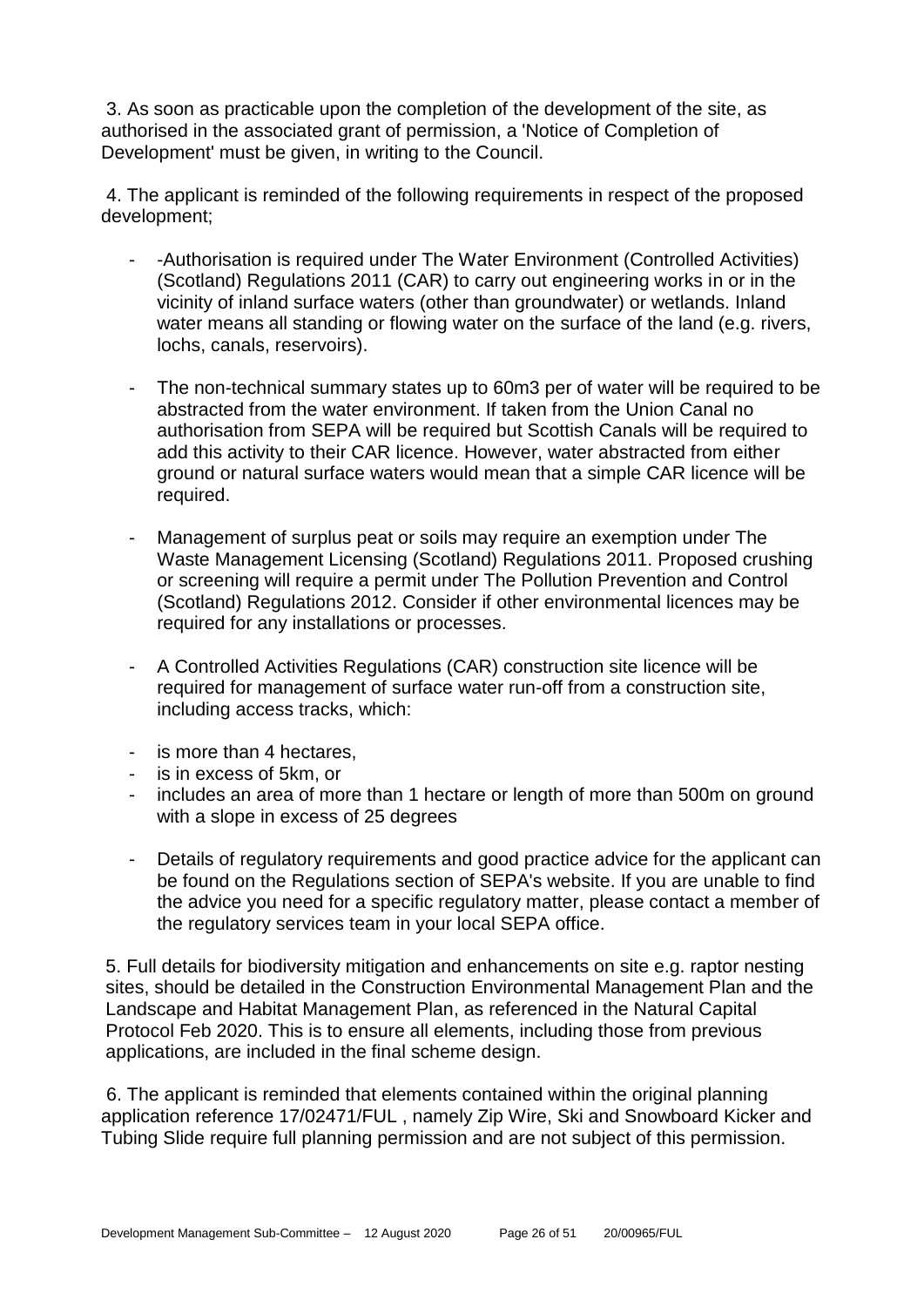3. As soon as practicable upon the completion of the development of the site, as authorised in the associated grant of permission, a 'Notice of Completion of Development' must be given, in writing to the Council.

4. The applicant is reminded of the following requirements in respect of the proposed development;

- -Authorisation is required under The Water Environment (Controlled Activities) (Scotland) Regulations 2011 (CAR) to carry out engineering works in or in the vicinity of inland surface waters (other than groundwater) or wetlands. Inland water means all standing or flowing water on the surface of the land (e.g. rivers, lochs, canals, reservoirs).
- The non-technical summary states up to 60m3 per of water will be required to be abstracted from the water environment. If taken from the Union Canal no authorisation from SEPA will be required but Scottish Canals will be required to add this activity to their CAR licence. However, water abstracted from either ground or natural surface waters would mean that a simple CAR licence will be required.
- Management of surplus peat or soils may require an exemption under The Waste Management Licensing (Scotland) Regulations 2011. Proposed crushing or screening will require a permit under The Pollution Prevention and Control (Scotland) Regulations 2012. Consider if other environmental licences may be required for any installations or processes.
- A Controlled Activities Regulations (CAR) construction site licence will be required for management of surface water run-off from a construction site, including access tracks, which:
- is more than 4 hectares,
- is in excess of 5km, or
- includes an area of more than 1 hectare or length of more than 500m on ground with a slope in excess of 25 degrees
- Details of regulatory requirements and good practice advice for the applicant can be found on the Regulations section of SEPA's website. If you are unable to find the advice you need for a specific regulatory matter, please contact a member of the regulatory services team in your local SEPA office.

5. Full details for biodiversity mitigation and enhancements on site e.g. raptor nesting sites, should be detailed in the Construction Environmental Management Plan and the Landscape and Habitat Management Plan, as referenced in the Natural Capital Protocol Feb 2020. This is to ensure all elements, including those from previous applications, are included in the final scheme design.

6. The applicant is reminded that elements contained within the original planning application reference 17/02471/FUL , namely Zip Wire, Ski and Snowboard Kicker and Tubing Slide require full planning permission and are not subject of this permission.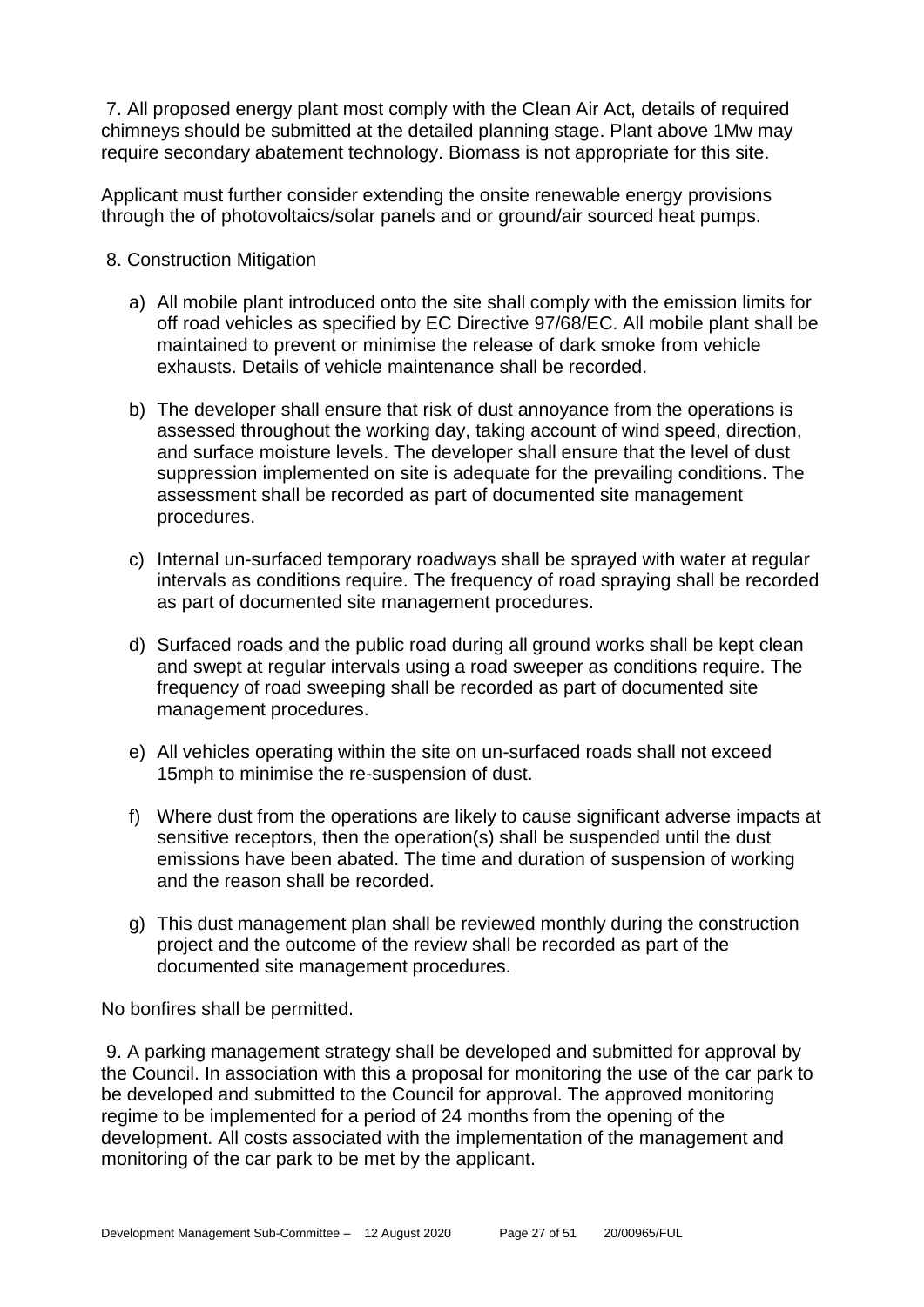7. All proposed energy plant most comply with the Clean Air Act, details of required chimneys should be submitted at the detailed planning stage. Plant above 1Mw may require secondary abatement technology. Biomass is not appropriate for this site.

Applicant must further consider extending the onsite renewable energy provisions through the of photovoltaics/solar panels and or ground/air sourced heat pumps.

- 8. Construction Mitigation
	- a) All mobile plant introduced onto the site shall comply with the emission limits for off road vehicles as specified by EC Directive 97/68/EC. All mobile plant shall be maintained to prevent or minimise the release of dark smoke from vehicle exhausts. Details of vehicle maintenance shall be recorded.
	- b) The developer shall ensure that risk of dust annoyance from the operations is assessed throughout the working day, taking account of wind speed, direction, and surface moisture levels. The developer shall ensure that the level of dust suppression implemented on site is adequate for the prevailing conditions. The assessment shall be recorded as part of documented site management procedures.
	- c) Internal un-surfaced temporary roadways shall be sprayed with water at regular intervals as conditions require. The frequency of road spraying shall be recorded as part of documented site management procedures.
	- d) Surfaced roads and the public road during all ground works shall be kept clean and swept at regular intervals using a road sweeper as conditions require. The frequency of road sweeping shall be recorded as part of documented site management procedures.
	- e) All vehicles operating within the site on un-surfaced roads shall not exceed 15mph to minimise the re-suspension of dust.
	- f) Where dust from the operations are likely to cause significant adverse impacts at sensitive receptors, then the operation(s) shall be suspended until the dust emissions have been abated. The time and duration of suspension of working and the reason shall be recorded.
	- g) This dust management plan shall be reviewed monthly during the construction project and the outcome of the review shall be recorded as part of the documented site management procedures.

No bonfires shall be permitted.

9. A parking management strategy shall be developed and submitted for approval by the Council. In association with this a proposal for monitoring the use of the car park to be developed and submitted to the Council for approval. The approved monitoring regime to be implemented for a period of 24 months from the opening of the development. All costs associated with the implementation of the management and monitoring of the car park to be met by the applicant.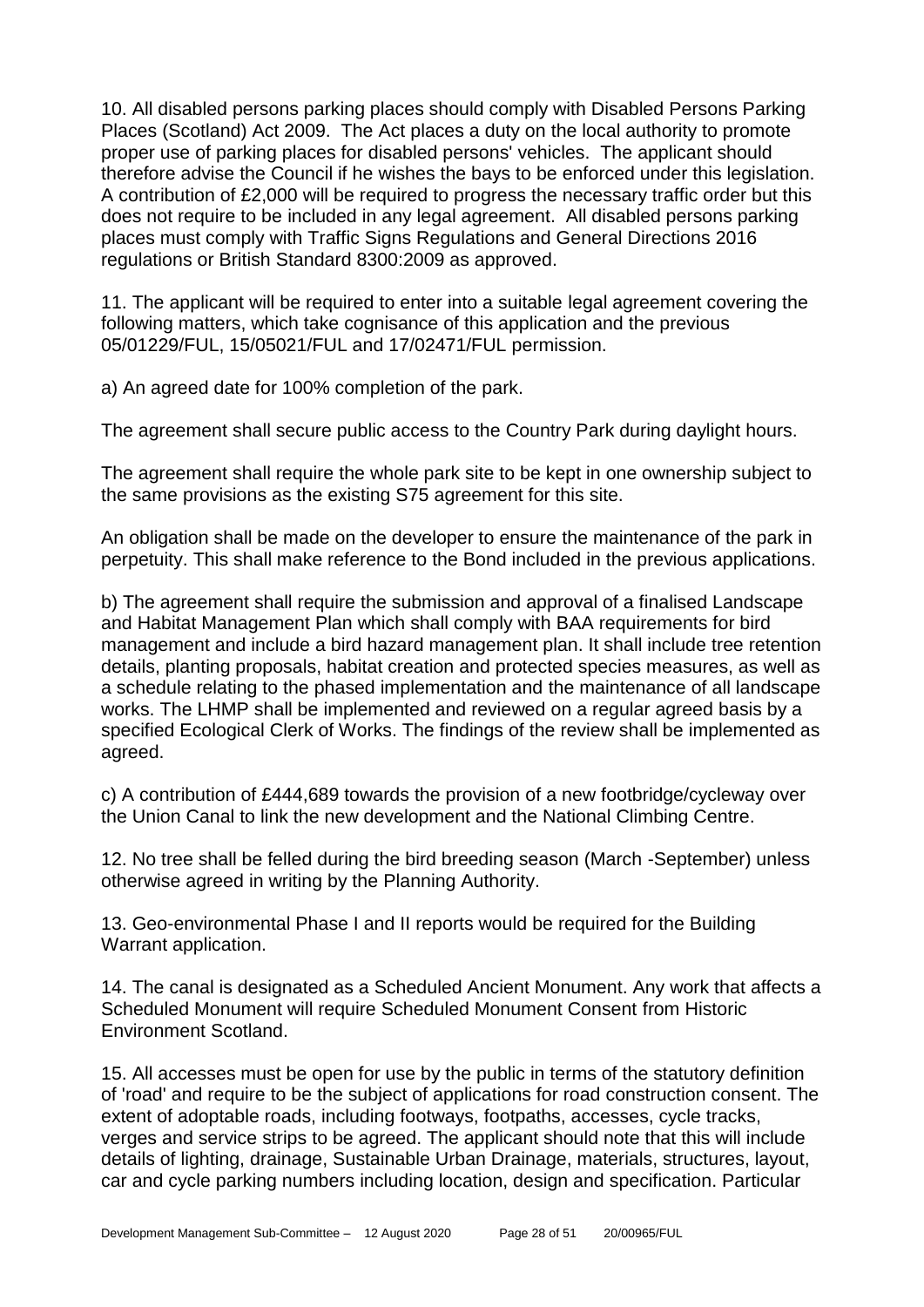10. All disabled persons parking places should comply with Disabled Persons Parking Places (Scotland) Act 2009. The Act places a duty on the local authority to promote proper use of parking places for disabled persons' vehicles. The applicant should therefore advise the Council if he wishes the bays to be enforced under this legislation. A contribution of £2,000 will be required to progress the necessary traffic order but this does not require to be included in any legal agreement. All disabled persons parking places must comply with Traffic Signs Regulations and General Directions 2016 regulations or British Standard 8300:2009 as approved.

11. The applicant will be required to enter into a suitable legal agreement covering the following matters, which take cognisance of this application and the previous 05/01229/FUL, 15/05021/FUL and 17/02471/FUL permission.

a) An agreed date for 100% completion of the park.

The agreement shall secure public access to the Country Park during daylight hours.

The agreement shall require the whole park site to be kept in one ownership subject to the same provisions as the existing S75 agreement for this site.

An obligation shall be made on the developer to ensure the maintenance of the park in perpetuity. This shall make reference to the Bond included in the previous applications.

b) The agreement shall require the submission and approval of a finalised Landscape and Habitat Management Plan which shall comply with BAA requirements for bird management and include a bird hazard management plan. It shall include tree retention details, planting proposals, habitat creation and protected species measures, as well as a schedule relating to the phased implementation and the maintenance of all landscape works. The LHMP shall be implemented and reviewed on a regular agreed basis by a specified Ecological Clerk of Works. The findings of the review shall be implemented as agreed.

c) A contribution of £444,689 towards the provision of a new footbridge/cycleway over the Union Canal to link the new development and the National Climbing Centre.

12. No tree shall be felled during the bird breeding season (March -September) unless otherwise agreed in writing by the Planning Authority.

13. Geo-environmental Phase I and II reports would be required for the Building Warrant application.

14. The canal is designated as a Scheduled Ancient Monument. Any work that affects a Scheduled Monument will require Scheduled Monument Consent from Historic Environment Scotland.

15. All accesses must be open for use by the public in terms of the statutory definition of 'road' and require to be the subject of applications for road construction consent. The extent of adoptable roads, including footways, footpaths, accesses, cycle tracks, verges and service strips to be agreed. The applicant should note that this will include details of lighting, drainage, Sustainable Urban Drainage, materials, structures, layout, car and cycle parking numbers including location, design and specification. Particular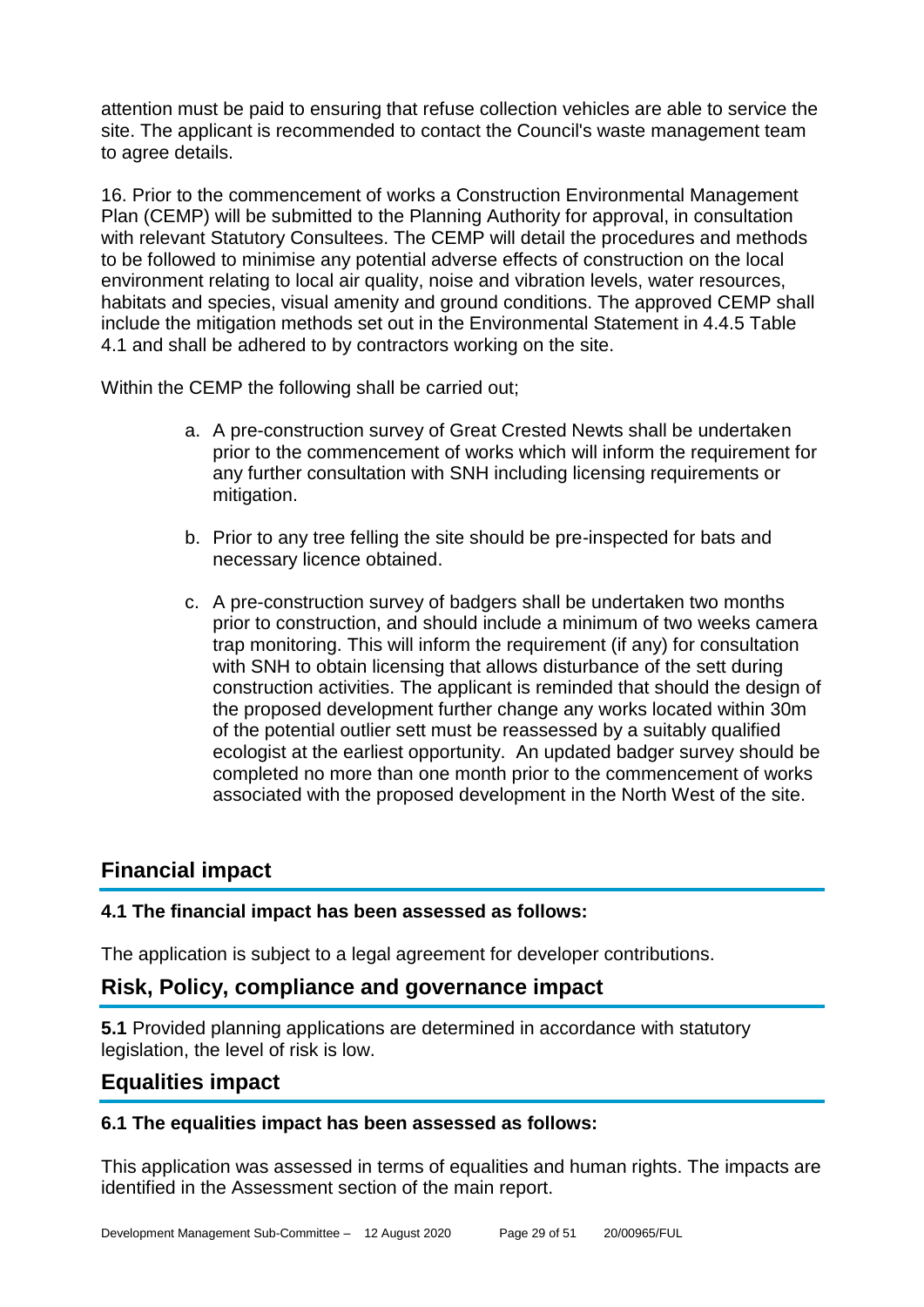attention must be paid to ensuring that refuse collection vehicles are able to service the site. The applicant is recommended to contact the Council's waste management team to agree details.

16. Prior to the commencement of works a Construction Environmental Management Plan (CEMP) will be submitted to the Planning Authority for approval, in consultation with relevant Statutory Consultees. The CEMP will detail the procedures and methods to be followed to minimise any potential adverse effects of construction on the local environment relating to local air quality, noise and vibration levels, water resources, habitats and species, visual amenity and ground conditions. The approved CEMP shall include the mitigation methods set out in the Environmental Statement in 4.4.5 Table 4.1 and shall be adhered to by contractors working on the site.

Within the CEMP the following shall be carried out;

- a. A pre-construction survey of Great Crested Newts shall be undertaken prior to the commencement of works which will inform the requirement for any further consultation with SNH including licensing requirements or mitigation.
- b. Prior to any tree felling the site should be pre-inspected for bats and necessary licence obtained.
- c. A pre-construction survey of badgers shall be undertaken two months prior to construction, and should include a minimum of two weeks camera trap monitoring. This will inform the requirement (if any) for consultation with SNH to obtain licensing that allows disturbance of the sett during construction activities. The applicant is reminded that should the design of the proposed development further change any works located within 30m of the potential outlier sett must be reassessed by a suitably qualified ecologist at the earliest opportunity. An updated badger survey should be completed no more than one month prior to the commencement of works associated with the proposed development in the North West of the site.

# **Financial impact**

# **4.1 The financial impact has been assessed as follows:**

The application is subject to a legal agreement for developer contributions.

# **Risk, Policy, compliance and governance impact**

**5.1** Provided planning applications are determined in accordance with statutory legislation, the level of risk is low.

# **Equalities impact**

# **6.1 The equalities impact has been assessed as follows:**

This application was assessed in terms of equalities and human rights. The impacts are identified in the Assessment section of the main report.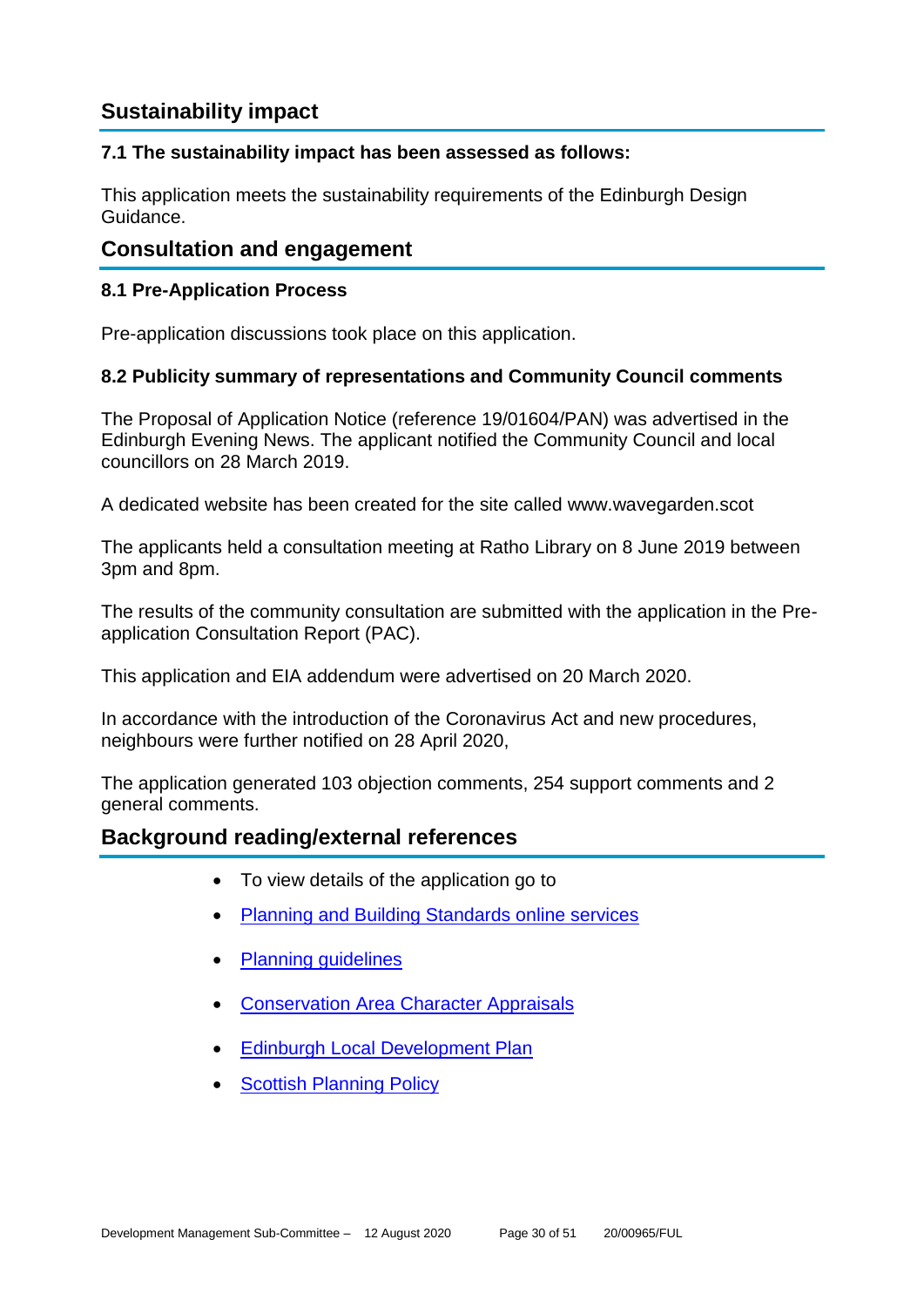# **Sustainability impact**

# **7.1 The sustainability impact has been assessed as follows:**

This application meets the sustainability requirements of the Edinburgh Design Guidance.

# **Consultation and engagement**

# **8.1 Pre-Application Process**

Pre-application discussions took place on this application.

# **8.2 Publicity summary of representations and Community Council comments**

The Proposal of Application Notice (reference 19/01604/PAN) was advertised in the Edinburgh Evening News. The applicant notified the Community Council and local councillors on 28 March 2019.

A dedicated website has been created for the site called www.wavegarden.scot

The applicants held a consultation meeting at Ratho Library on 8 June 2019 between 3pm and 8pm.

The results of the community consultation are submitted with the application in the Preapplication Consultation Report (PAC).

This application and EIA addendum were advertised on 20 March 2020.

In accordance with the introduction of the Coronavirus Act and new procedures, neighbours were further notified on 28 April 2020,

The application generated 103 objection comments, 254 support comments and 2 general comments.

# **Background reading/external references**

- To view details of the application go to
- [Planning and Building Standards online services](https://citydev-portal.edinburgh.gov.uk/idoxpa-web/search.do?action=simple&searchType=Application)
- [Planning guidelines](http://www.edinburgh.gov.uk/planningguidelines)
- [Conservation Area Character Appraisals](http://www.edinburgh.gov.uk/characterappraisals)
- [Edinburgh Local Development Plan](http://www.edinburgh.gov.uk/localdevelopmentplan)
- **[Scottish Planning Policy](http://www.scotland.gov.uk/Topics/Built-Environment/planning/Policy)**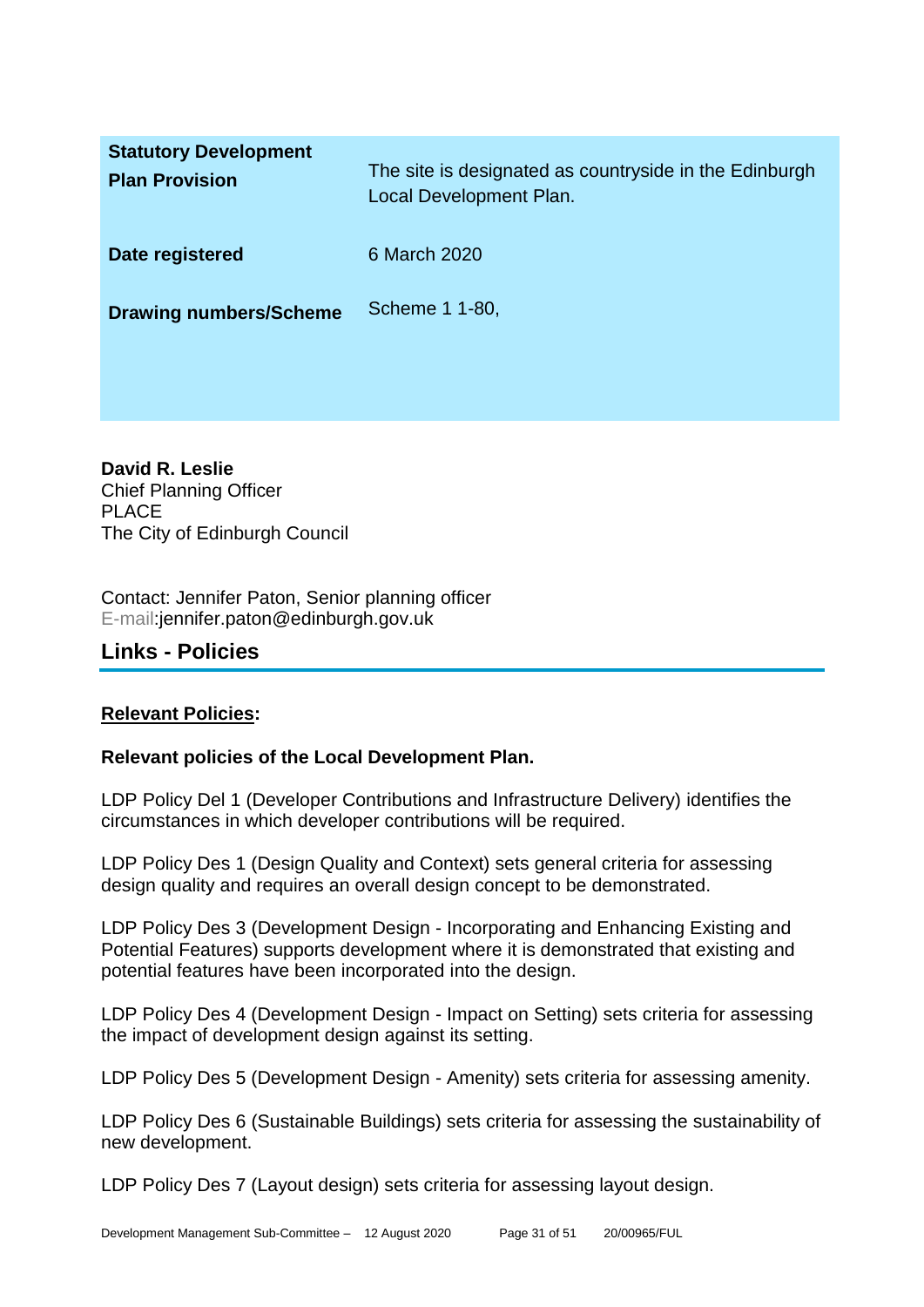| <b>Statutory Development</b><br><b>Plan Provision</b> | The site is designated as countryside in the Edinburgh<br>Local Development Plan. |
|-------------------------------------------------------|-----------------------------------------------------------------------------------|
| Date registered                                       | 6 March 2020                                                                      |
| <b>Drawing numbers/Scheme</b>                         | Scheme 1 1-80,                                                                    |

**David R. Leslie** Chief Planning Officer PLACE The City of Edinburgh Council

Contact: Jennifer Paton, Senior planning officer E-mail:jennifer.paton@edinburgh.gov.uk

# **Links - Policies**

# **Relevant Policies:**

# **Relevant policies of the Local Development Plan.**

LDP Policy Del 1 (Developer Contributions and Infrastructure Delivery) identifies the circumstances in which developer contributions will be required.

LDP Policy Des 1 (Design Quality and Context) sets general criteria for assessing design quality and requires an overall design concept to be demonstrated.

LDP Policy Des 3 (Development Design - Incorporating and Enhancing Existing and Potential Features) supports development where it is demonstrated that existing and potential features have been incorporated into the design.

LDP Policy Des 4 (Development Design - Impact on Setting) sets criteria for assessing the impact of development design against its setting.

LDP Policy Des 5 (Development Design - Amenity) sets criteria for assessing amenity.

LDP Policy Des 6 (Sustainable Buildings) sets criteria for assessing the sustainability of new development.

LDP Policy Des 7 (Layout design) sets criteria for assessing layout design.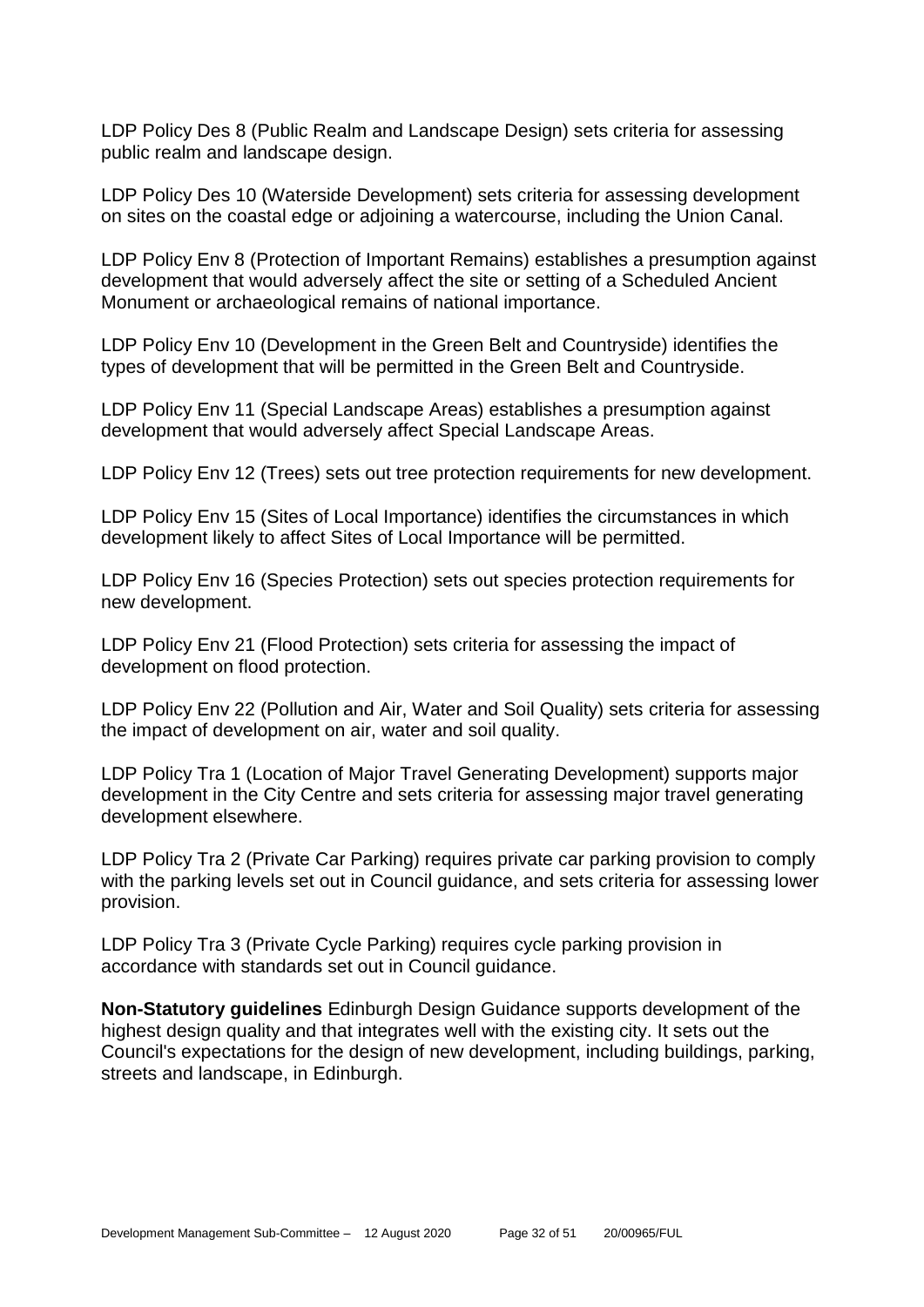LDP Policy Des 8 (Public Realm and Landscape Design) sets criteria for assessing public realm and landscape design.

LDP Policy Des 10 (Waterside Development) sets criteria for assessing development on sites on the coastal edge or adjoining a watercourse, including the Union Canal.

LDP Policy Env 8 (Protection of Important Remains) establishes a presumption against development that would adversely affect the site or setting of a Scheduled Ancient Monument or archaeological remains of national importance.

LDP Policy Env 10 (Development in the Green Belt and Countryside) identifies the types of development that will be permitted in the Green Belt and Countryside.

LDP Policy Env 11 (Special Landscape Areas) establishes a presumption against development that would adversely affect Special Landscape Areas.

LDP Policy Env 12 (Trees) sets out tree protection requirements for new development.

LDP Policy Env 15 (Sites of Local Importance) identifies the circumstances in which development likely to affect Sites of Local Importance will be permitted.

LDP Policy Env 16 (Species Protection) sets out species protection requirements for new development.

LDP Policy Env 21 (Flood Protection) sets criteria for assessing the impact of development on flood protection.

LDP Policy Env 22 (Pollution and Air, Water and Soil Quality) sets criteria for assessing the impact of development on air, water and soil quality.

LDP Policy Tra 1 (Location of Major Travel Generating Development) supports major development in the City Centre and sets criteria for assessing major travel generating development elsewhere.

LDP Policy Tra 2 (Private Car Parking) requires private car parking provision to comply with the parking levels set out in Council guidance, and sets criteria for assessing lower provision.

LDP Policy Tra 3 (Private Cycle Parking) requires cycle parking provision in accordance with standards set out in Council guidance.

**Non-Statutory guidelines** Edinburgh Design Guidance supports development of the highest design quality and that integrates well with the existing city. It sets out the Council's expectations for the design of new development, including buildings, parking, streets and landscape, in Edinburgh.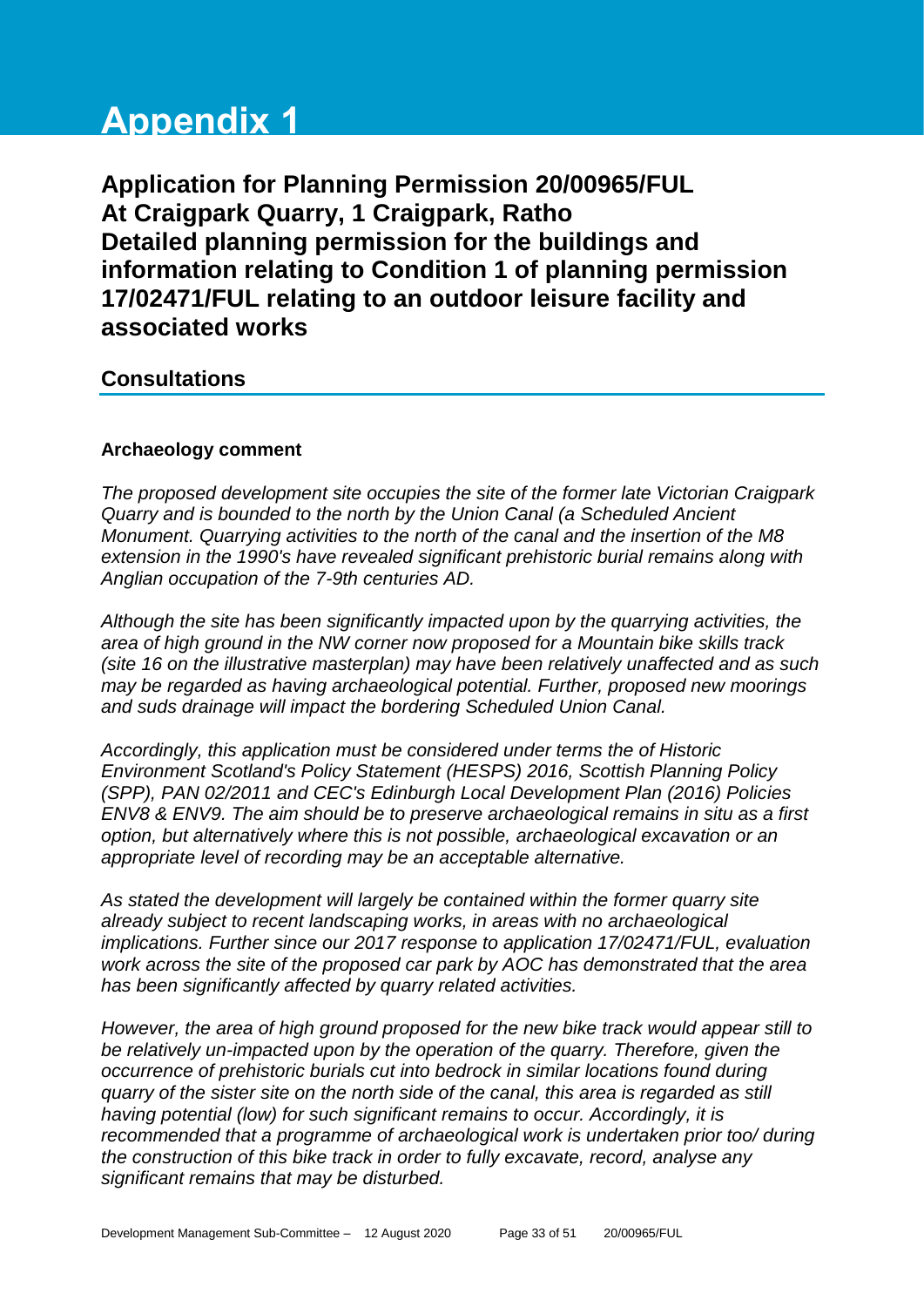# **Appendix 1**

**Application for Planning Permission 20/00965/FUL At Craigpark Quarry, 1 Craigpark, Ratho Detailed planning permission for the buildings and information relating to Condition 1 of planning permission 17/02471/FUL relating to an outdoor leisure facility and associated works**

# **Consultations**

# **Archaeology comment**

*The proposed development site occupies the site of the former late Victorian Craigpark Quarry and is bounded to the north by the Union Canal (a Scheduled Ancient Monument. Quarrying activities to the north of the canal and the insertion of the M8 extension in the 1990's have revealed significant prehistoric burial remains along with Anglian occupation of the 7-9th centuries AD.*

*Although the site has been significantly impacted upon by the quarrying activities, the area of high ground in the NW corner now proposed for a Mountain bike skills track (site 16 on the illustrative masterplan) may have been relatively unaffected and as such may be regarded as having archaeological potential. Further, proposed new moorings and suds drainage will impact the bordering Scheduled Union Canal.* 

*Accordingly, this application must be considered under terms the of Historic Environment Scotland's Policy Statement (HESPS) 2016, Scottish Planning Policy (SPP), PAN 02/2011 and CEC's Edinburgh Local Development Plan (2016) Policies ENV8 & ENV9. The aim should be to preserve archaeological remains in situ as a first option, but alternatively where this is not possible, archaeological excavation or an appropriate level of recording may be an acceptable alternative.*

*As stated the development will largely be contained within the former quarry site already subject to recent landscaping works, in areas with no archaeological implications. Further since our 2017 response to application 17/02471/FUL, evaluation work across the site of the proposed car park by AOC has demonstrated that the area has been significantly affected by quarry related activities.* 

*However, the area of high ground proposed for the new bike track would appear still to be relatively un-impacted upon by the operation of the quarry. Therefore, given the occurrence of prehistoric burials cut into bedrock in similar locations found during quarry of the sister site on the north side of the canal, this area is regarded as still having potential (low) for such significant remains to occur. Accordingly, it is recommended that a programme of archaeological work is undertaken prior too/ during the construction of this bike track in order to fully excavate, record, analyse any significant remains that may be disturbed.*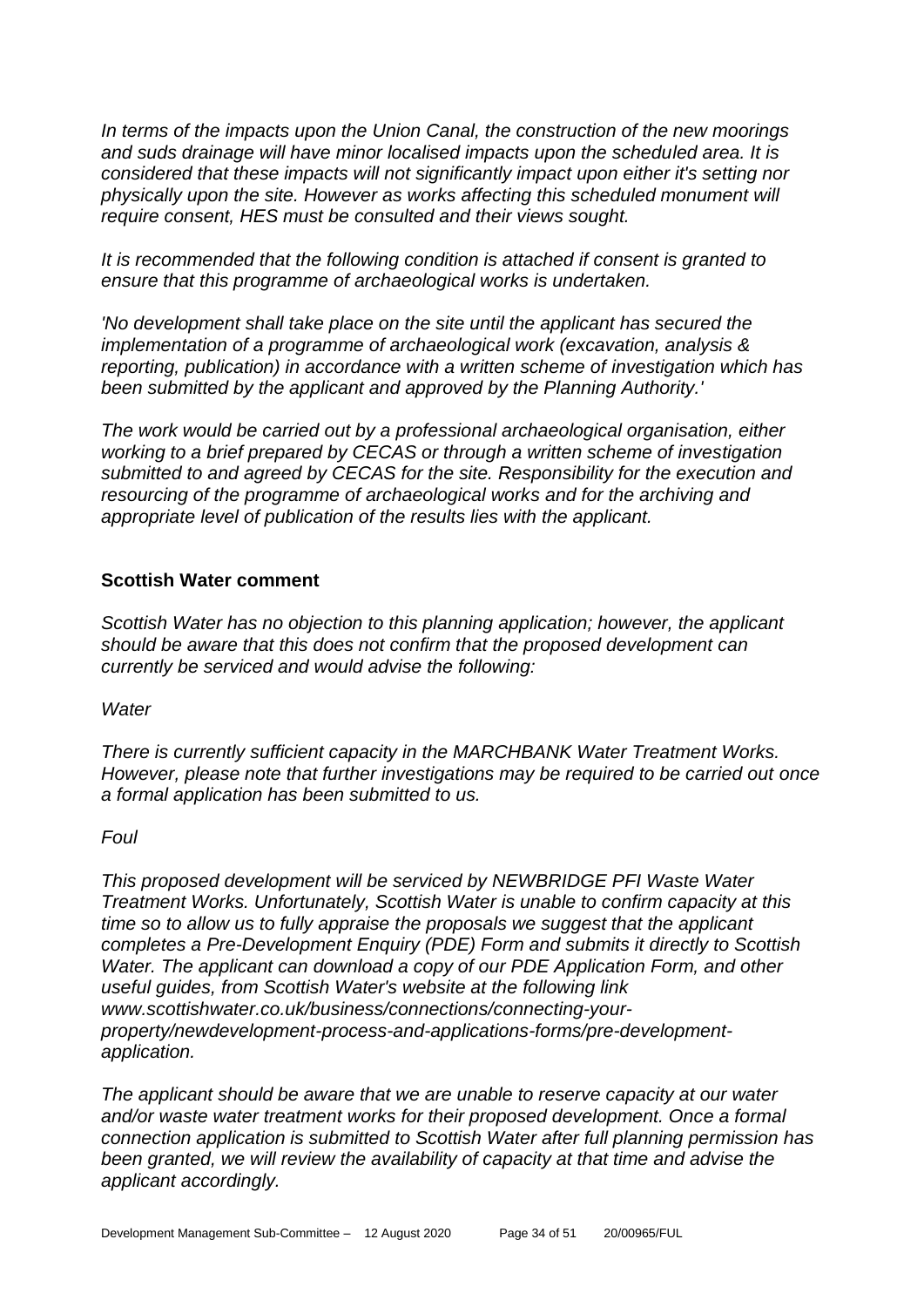*In terms of the impacts upon the Union Canal, the construction of the new moorings and suds drainage will have minor localised impacts upon the scheduled area. It is considered that these impacts will not significantly impact upon either it's setting nor physically upon the site. However as works affecting this scheduled monument will require consent, HES must be consulted and their views sought.* 

*It is recommended that the following condition is attached if consent is granted to ensure that this programme of archaeological works is undertaken.* 

*'No development shall take place on the site until the applicant has secured the implementation of a programme of archaeological work (excavation, analysis & reporting, publication) in accordance with a written scheme of investigation which has been submitted by the applicant and approved by the Planning Authority.'* 

*The work would be carried out by a professional archaeological organisation, either working to a brief prepared by CECAS or through a written scheme of investigation submitted to and agreed by CECAS for the site. Responsibility for the execution and resourcing of the programme of archaeological works and for the archiving and appropriate level of publication of the results lies with the applicant.*

# **Scottish Water comment**

*Scottish Water has no objection to this planning application; however, the applicant should be aware that this does not confirm that the proposed development can currently be serviced and would advise the following:*

*Water*

*There is currently sufficient capacity in the MARCHBANK Water Treatment Works. However, please note that further investigations may be required to be carried out once a formal application has been submitted to us.*

#### *Foul*

*This proposed development will be serviced by NEWBRIDGE PFI Waste Water Treatment Works. Unfortunately, Scottish Water is unable to confirm capacity at this time so to allow us to fully appraise the proposals we suggest that the applicant completes a Pre-Development Enquiry (PDE) Form and submits it directly to Scottish Water. The applicant can download a copy of our PDE Application Form, and other useful guides, from Scottish Water's website at the following link www.scottishwater.co.uk/business/connections/connecting-yourproperty/newdevelopment-process-and-applications-forms/pre-developmentapplication.* 

*The applicant should be aware that we are unable to reserve capacity at our water and/or waste water treatment works for their proposed development. Once a formal connection application is submitted to Scottish Water after full planning permission has been granted, we will review the availability of capacity at that time and advise the applicant accordingly.*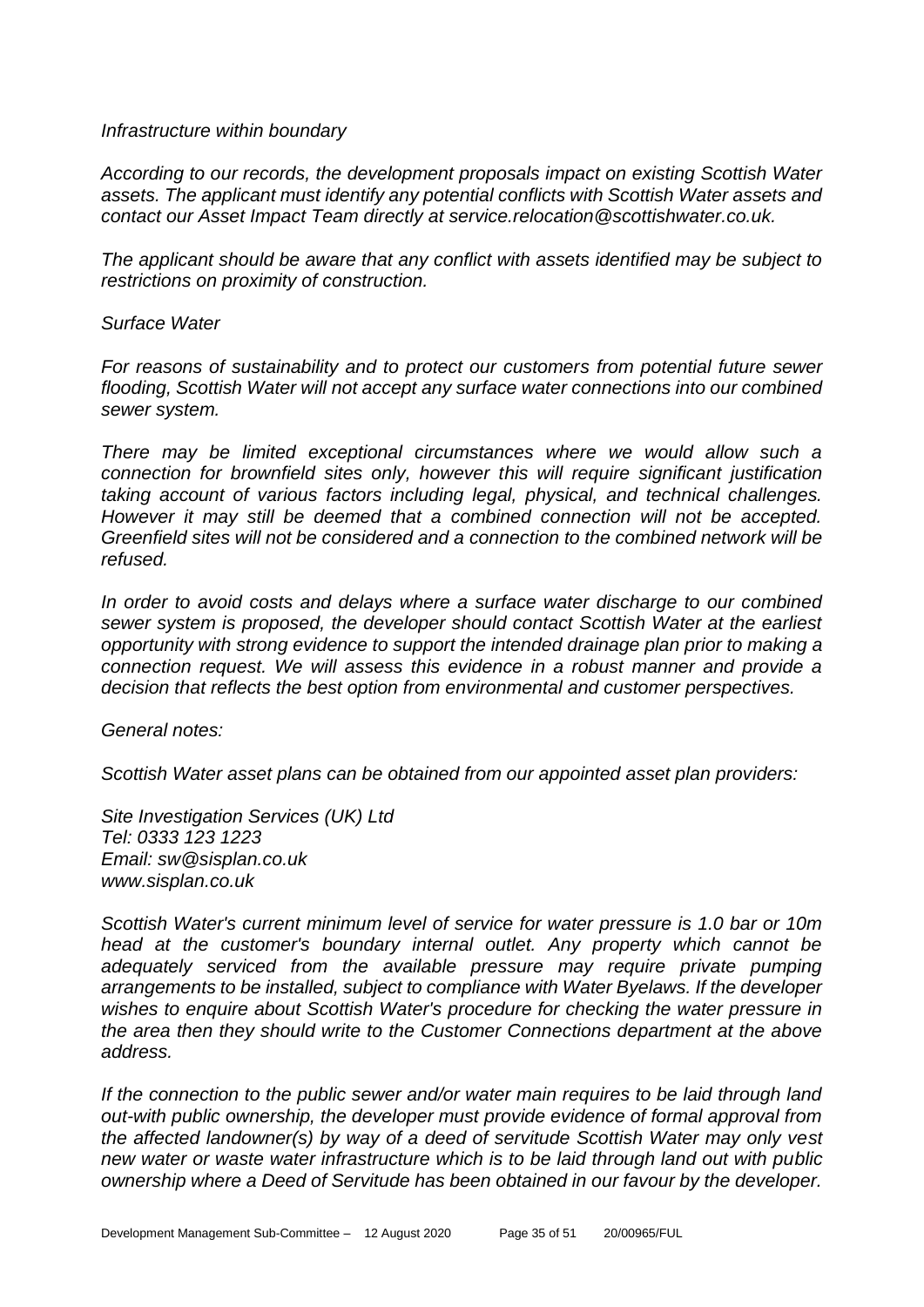#### *Infrastructure within boundary*

*According to our records, the development proposals impact on existing Scottish Water assets. The applicant must identify any potential conflicts with Scottish Water assets and contact our Asset Impact Team directly at service.relocation@scottishwater.co.uk.* 

*The applicant should be aware that any conflict with assets identified may be subject to restrictions on proximity of construction.*

#### *Surface Water*

*For reasons of sustainability and to protect our customers from potential future sewer flooding, Scottish Water will not accept any surface water connections into our combined sewer system.*

*There may be limited exceptional circumstances where we would allow such a connection for brownfield sites only, however this will require significant justification taking account of various factors including legal, physical, and technical challenges. However it may still be deemed that a combined connection will not be accepted. Greenfield sites will not be considered and a connection to the combined network will be refused.*

*In order to avoid costs and delays where a surface water discharge to our combined sewer system is proposed, the developer should contact Scottish Water at the earliest opportunity with strong evidence to support the intended drainage plan prior to making a connection request. We will assess this evidence in a robust manner and provide a decision that reflects the best option from environmental and customer perspectives.*

*General notes:*

*Scottish Water asset plans can be obtained from our appointed asset plan providers:*

*Site Investigation Services (UK) Ltd Tel: 0333 123 1223 Email: sw@sisplan.co.uk www.sisplan.co.uk* 

*Scottish Water's current minimum level of service for water pressure is 1.0 bar or 10m head at the customer's boundary internal outlet. Any property which cannot be adequately serviced from the available pressure may require private pumping arrangements to be installed, subject to compliance with Water Byelaws. If the developer wishes to enquire about Scottish Water's procedure for checking the water pressure in the area then they should write to the Customer Connections department at the above address.*

*If the connection to the public sewer and/or water main requires to be laid through land out-with public ownership, the developer must provide evidence of formal approval from the affected landowner(s) by way of a deed of servitude Scottish Water may only vest new water or waste water infrastructure which is to be laid through land out with public ownership where a Deed of Servitude has been obtained in our favour by the developer.*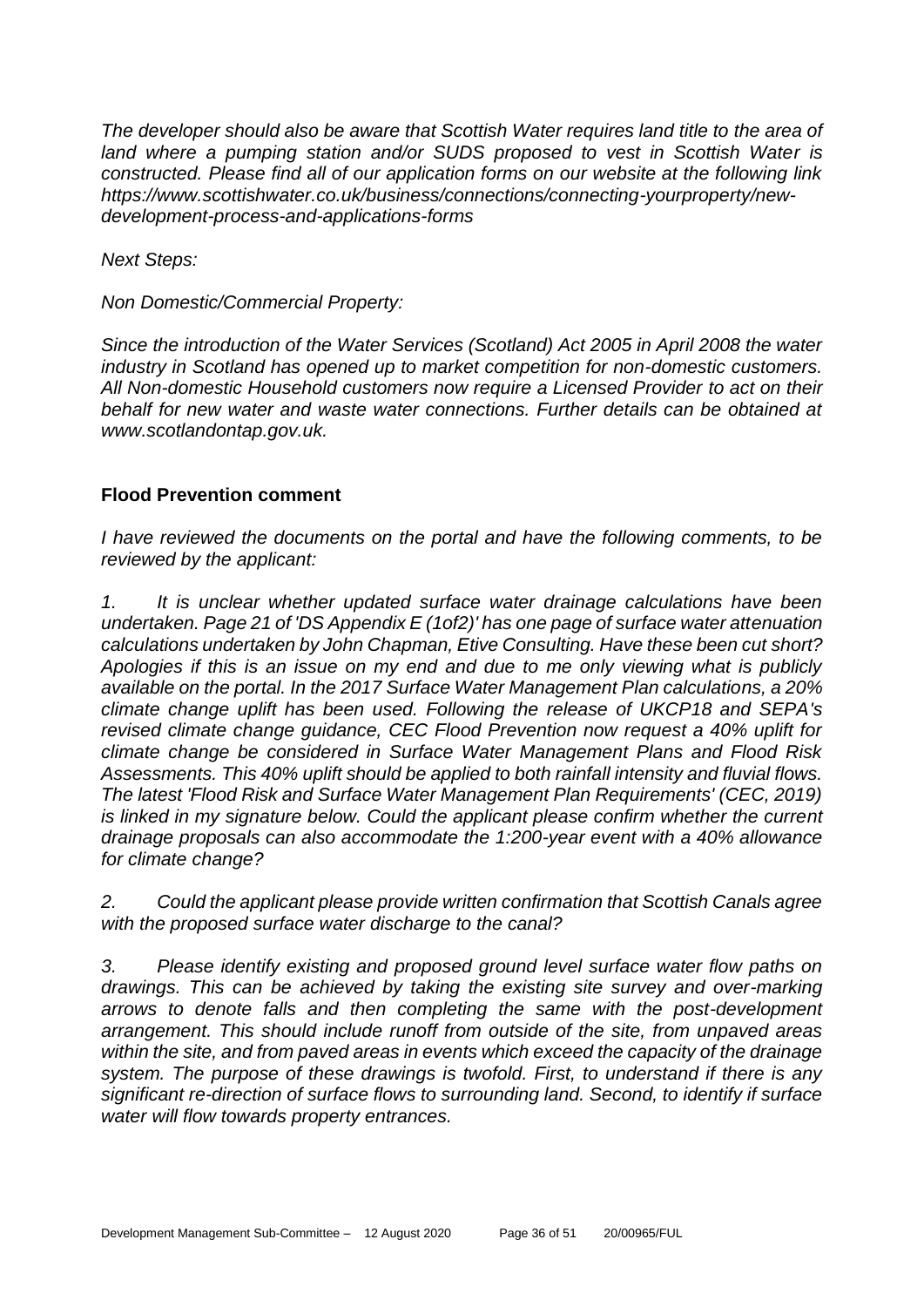*The developer should also be aware that Scottish Water requires land title to the area of*  land where a pumping station and/or SUDS proposed to vest in Scottish Water is *constructed. Please find all of our application forms on our website at the following link https://www.scottishwater.co.uk/business/connections/connecting-yourproperty/newdevelopment-process-and-applications-forms* 

*Next Steps:*

*Non Domestic/Commercial Property:*

*Since the introduction of the Water Services (Scotland) Act 2005 in April 2008 the water industry in Scotland has opened up to market competition for non-domestic customers. All Non-domestic Household customers now require a Licensed Provider to act on their behalf for new water and waste water connections. Further details can be obtained at www.scotlandontap.gov.uk.*

# **Flood Prevention comment**

*I have reviewed the documents on the portal and have the following comments, to be reviewed by the applicant:*

*1. It is unclear whether updated surface water drainage calculations have been undertaken. Page 21 of 'DS Appendix E (1of2)' has one page of surface water attenuation calculations undertaken by John Chapman, Etive Consulting. Have these been cut short? Apologies if this is an issue on my end and due to me only viewing what is publicly available on the portal. In the 2017 Surface Water Management Plan calculations, a 20% climate change uplift has been used. Following the release of UKCP18 and SEPA's revised climate change guidance, CEC Flood Prevention now request a 40% uplift for climate change be considered in Surface Water Management Plans and Flood Risk Assessments. This 40% uplift should be applied to both rainfall intensity and fluvial flows. The latest 'Flood Risk and Surface Water Management Plan Requirements' (CEC, 2019)*  is linked in my signature below. Could the applicant please confirm whether the current *drainage proposals can also accommodate the 1:200-year event with a 40% allowance for climate change?*

*2. Could the applicant please provide written confirmation that Scottish Canals agree with the proposed surface water discharge to the canal?* 

*3. Please identify existing and proposed ground level surface water flow paths on drawings. This can be achieved by taking the existing site survey and over-marking arrows to denote falls and then completing the same with the post-development arrangement. This should include runoff from outside of the site, from unpaved areas within the site, and from paved areas in events which exceed the capacity of the drainage system. The purpose of these drawings is twofold. First, to understand if there is any significant re-direction of surface flows to surrounding land. Second, to identify if surface water will flow towards property entrances.*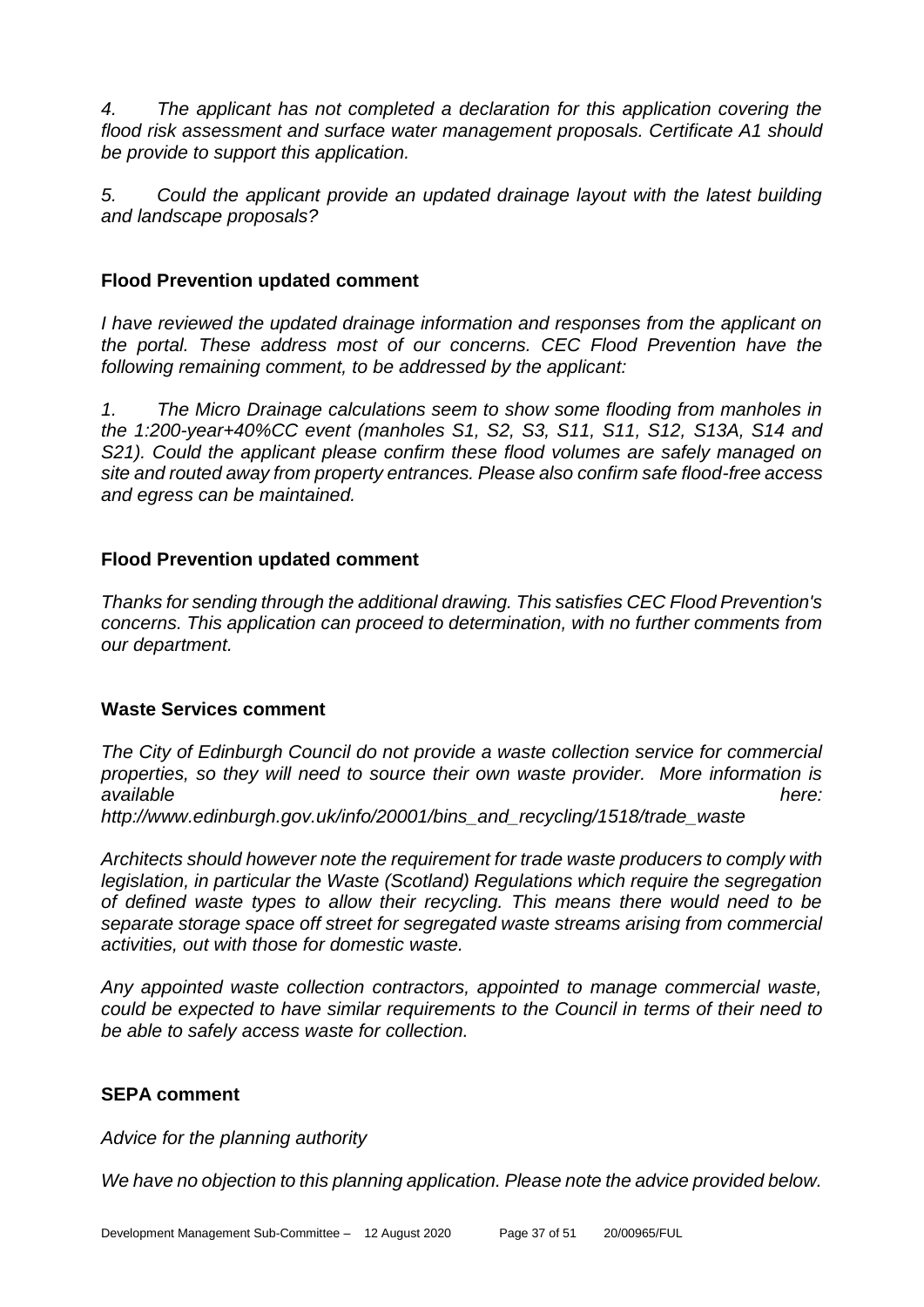*4. The applicant has not completed a declaration for this application covering the flood risk assessment and surface water management proposals. Certificate A1 should be provide to support this application.* 

*5. Could the applicant provide an updated drainage layout with the latest building and landscape proposals?* 

# **Flood Prevention updated comment**

*I have reviewed the updated drainage information and responses from the applicant on the portal. These address most of our concerns. CEC Flood Prevention have the following remaining comment, to be addressed by the applicant:* 

*1. The Micro Drainage calculations seem to show some flooding from manholes in the 1:200-year+40%CC event (manholes S1, S2, S3, S11, S11, S12, S13A, S14 and S21). Could the applicant please confirm these flood volumes are safely managed on site and routed away from property entrances. Please also confirm safe flood-free access and egress can be maintained.*

# **Flood Prevention updated comment**

*Thanks for sending through the additional drawing. This satisfies CEC Flood Prevention's concerns. This application can proceed to determination, with no further comments from our department.* 

# **Waste Services comment**

*The City of Edinburgh Council do not provide a waste collection service for commercial properties, so they will need to source their own waste provider. More information is*  **available** here: *available* here: *available* here: *here:* 

*http://www.edinburgh.gov.uk/info/20001/bins\_and\_recycling/1518/trade\_waste*

*Architects should however note the requirement for trade waste producers to comply with legislation, in particular the Waste (Scotland) Regulations which require the segregation of defined waste types to allow their recycling. This means there would need to be separate storage space off street for segregated waste streams arising from commercial activities, out with those for domestic waste.*

*Any appointed waste collection contractors, appointed to manage commercial waste, could be expected to have similar requirements to the Council in terms of their need to be able to safely access waste for collection.*

# **SEPA comment**

*Advice for the planning authority*

*We have no objection to this planning application. Please note the advice provided below.*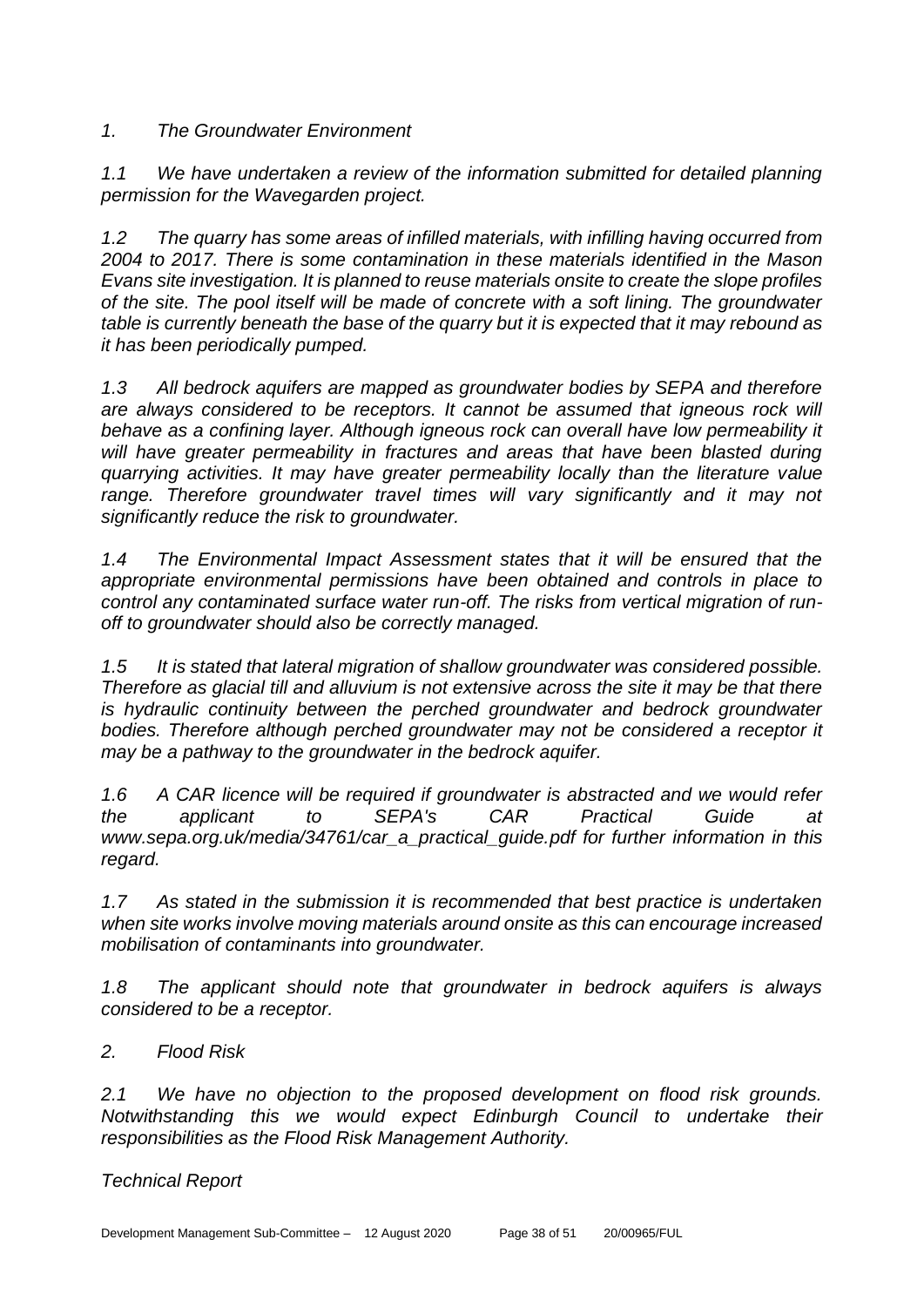# *1. The Groundwater Environment*

*1.1 We have undertaken a review of the information submitted for detailed planning permission for the Wavegarden project.*

*1.2 The quarry has some areas of infilled materials, with infilling having occurred from 2004 to 2017. There is some contamination in these materials identified in the Mason Evans site investigation. It is planned to reuse materials onsite to create the slope profiles of the site. The pool itself will be made of concrete with a soft lining. The groundwater table is currently beneath the base of the quarry but it is expected that it may rebound as it has been periodically pumped.* 

*1.3 All bedrock aquifers are mapped as groundwater bodies by SEPA and therefore are always considered to be receptors. It cannot be assumed that igneous rock will behave as a confining layer. Although igneous rock can overall have low permeability it*  will have greater permeability in fractures and areas that have been blasted during *quarrying activities. It may have greater permeability locally than the literature value*  range. Therefore groundwater travel times will vary significantly and it may not *significantly reduce the risk to groundwater.*

*1.4 The Environmental Impact Assessment states that it will be ensured that the appropriate environmental permissions have been obtained and controls in place to control any contaminated surface water run-off. The risks from vertical migration of runoff to groundwater should also be correctly managed.*

*1.5 It is stated that lateral migration of shallow groundwater was considered possible. Therefore as glacial till and alluvium is not extensive across the site it may be that there is hydraulic continuity between the perched groundwater and bedrock groundwater*  bodies. Therefore although perched groundwater may not be considered a receptor it *may be a pathway to the groundwater in the bedrock aquifer.* 

*1.6 A CAR licence will be required if groundwater is abstracted and we would refer the applicant to SEPA's CAR Practical Guide at www.sepa.org.uk/media/34761/car\_a\_practical\_guide.pdf for further information in this regard.*

*1.7 As stated in the submission it is recommended that best practice is undertaken when site works involve moving materials around onsite as this can encourage increased mobilisation of contaminants into groundwater.*

*1.8 The applicant should note that groundwater in bedrock aquifers is always considered to be a receptor.* 

# *2. Flood Risk*

*2.1 We have no objection to the proposed development on flood risk grounds. Notwithstanding this we would expect Edinburgh Council to undertake their responsibilities as the Flood Risk Management Authority.*

# *Technical Report*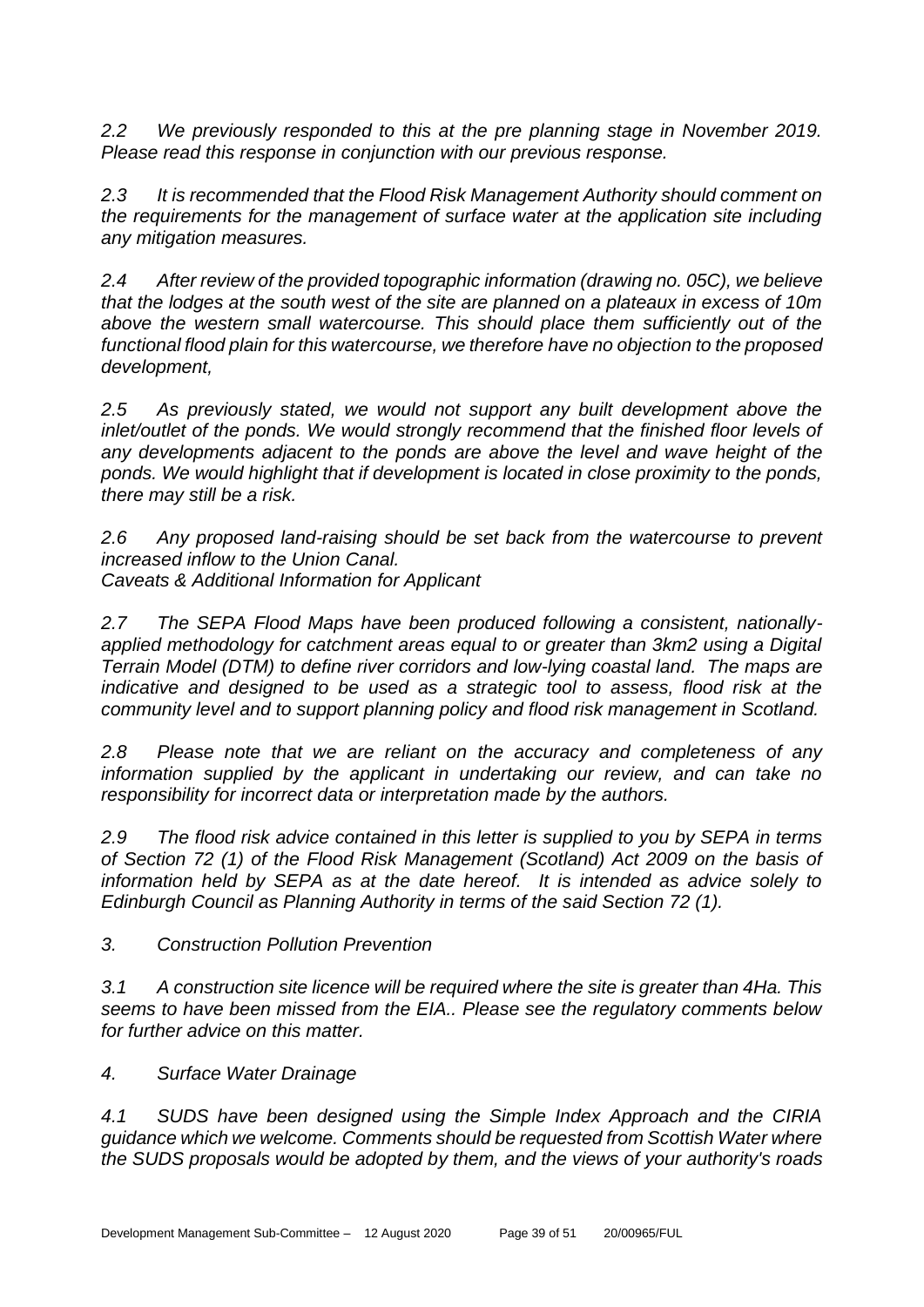*2.2 We previously responded to this at the pre planning stage in November 2019. Please read this response in conjunction with our previous response.* 

*2.3 It is recommended that the Flood Risk Management Authority should comment on the requirements for the management of surface water at the application site including any mitigation measures.* 

*2.4 After review of the provided topographic information (drawing no. 05C), we believe that the lodges at the south west of the site are planned on a plateaux in excess of 10m above the western small watercourse. This should place them sufficiently out of the functional flood plain for this watercourse, we therefore have no objection to the proposed development,* 

*2.5 As previously stated, we would not support any built development above the inlet/outlet of the ponds. We would strongly recommend that the finished floor levels of any developments adjacent to the ponds are above the level and wave height of the ponds. We would highlight that if development is located in close proximity to the ponds, there may still be a risk.* 

*2.6 Any proposed land-raising should be set back from the watercourse to prevent increased inflow to the Union Canal. Caveats & Additional Information for Applicant* 

*2.7 The SEPA Flood Maps have been produced following a consistent, nationallyapplied methodology for catchment areas equal to or greater than 3km2 using a Digital Terrain Model (DTM) to define river corridors and low-lying coastal land. The maps are indicative and designed to be used as a strategic tool to assess, flood risk at the community level and to support planning policy and flood risk management in Scotland.*

*2.8 Please note that we are reliant on the accuracy and completeness of any information supplied by the applicant in undertaking our review, and can take no responsibility for incorrect data or interpretation made by the authors.*

*2.9 The flood risk advice contained in this letter is supplied to you by SEPA in terms of Section 72 (1) of the Flood Risk Management (Scotland) Act 2009 on the basis of information held by SEPA as at the date hereof. It is intended as advice solely to Edinburgh Council as Planning Authority in terms of the said Section 72 (1).*

*3. Construction Pollution Prevention*

*3.1 A construction site licence will be required where the site is greater than 4Ha. This seems to have been missed from the EIA.. Please see the regulatory comments below for further advice on this matter.*

*4. Surface Water Drainage*

*4.1 SUDS have been designed using the Simple Index Approach and the CIRIA guidance which we welcome. Comments should be requested from Scottish Water where the SUDS proposals would be adopted by them, and the views of your authority's roads*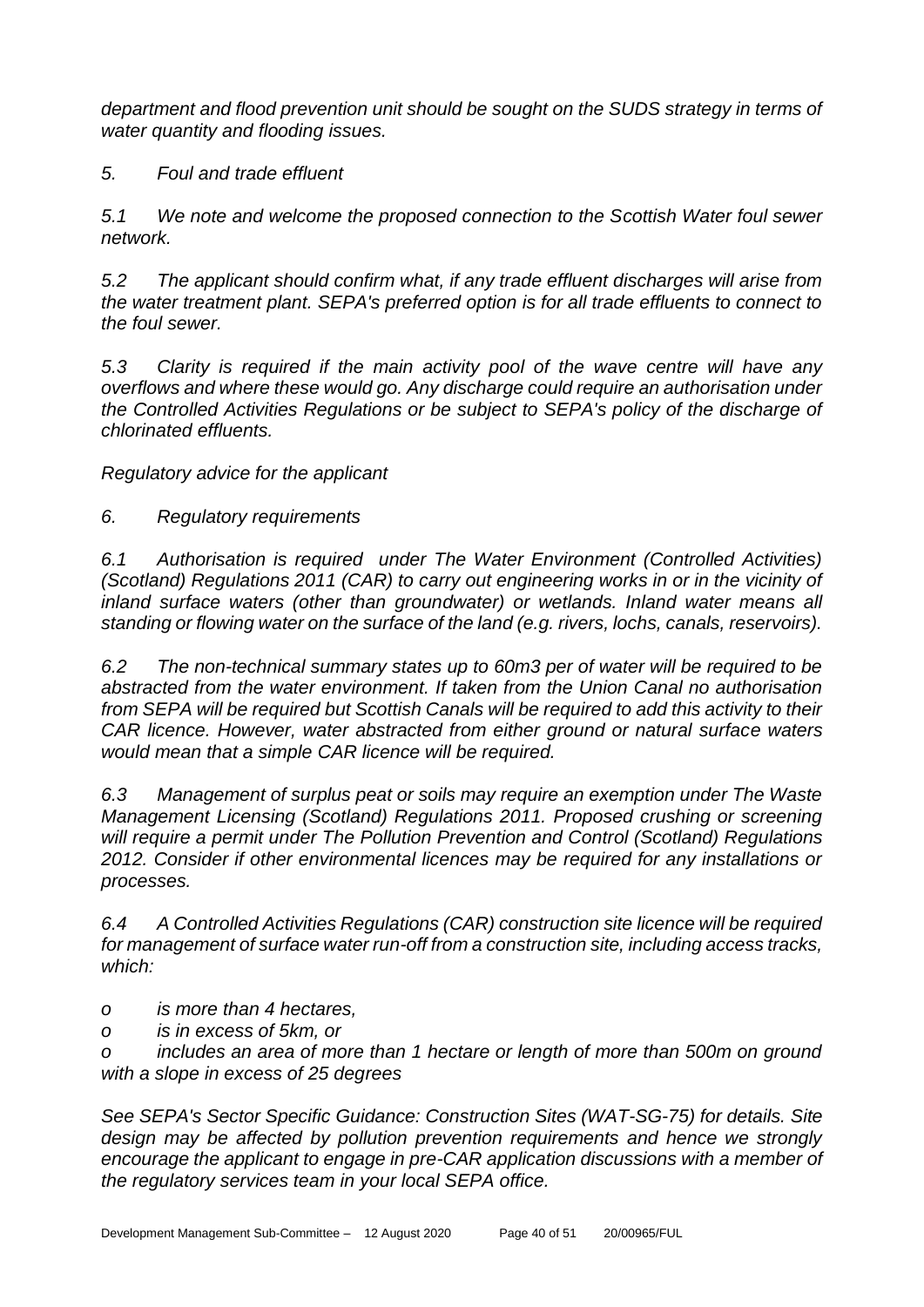*department and flood prevention unit should be sought on the SUDS strategy in terms of water quantity and flooding issues.*

*5. Foul and trade effluent*

*5.1 We note and welcome the proposed connection to the Scottish Water foul sewer network.*

*5.2 The applicant should confirm what, if any trade effluent discharges will arise from the water treatment plant. SEPA's preferred option is for all trade effluents to connect to the foul sewer.* 

*5.3 Clarity is required if the main activity pool of the wave centre will have any overflows and where these would go. Any discharge could require an authorisation under the Controlled Activities Regulations or be subject to SEPA's policy of the discharge of chlorinated effluents.*

*Regulatory advice for the applicant*

*6. Regulatory requirements*

*6.1 Authorisation is required under The Water Environment (Controlled Activities) (Scotland) Regulations 2011 (CAR) to carry out engineering works in or in the vicinity of inland surface waters (other than groundwater) or wetlands. Inland water means all standing or flowing water on the surface of the land (e.g. rivers, lochs, canals, reservoirs).*

*6.2 The non-technical summary states up to 60m3 per of water will be required to be abstracted from the water environment. If taken from the Union Canal no authorisation from SEPA will be required but Scottish Canals will be required to add this activity to their CAR licence. However, water abstracted from either ground or natural surface waters would mean that a simple CAR licence will be required.*

*6.3 Management of surplus peat or soils may require an exemption under The Waste Management Licensing (Scotland) Regulations 2011. Proposed crushing or screening will require a permit under The Pollution Prevention and Control (Scotland) Regulations 2012. Consider if other environmental licences may be required for any installations or processes.*

*6.4 A Controlled Activities Regulations (CAR) construction site licence will be required for management of surface water run-off from a construction site, including access tracks, which:*

- *o is more than 4 hectares,*
- *o is in excess of 5km, or*

*o includes an area of more than 1 hectare or length of more than 500m on ground with a slope in excess of 25 degrees*

*See SEPA's Sector Specific Guidance: Construction Sites (WAT-SG-75) for details. Site design may be affected by pollution prevention requirements and hence we strongly encourage the applicant to engage in pre-CAR application discussions with a member of the regulatory services team in your local SEPA office.*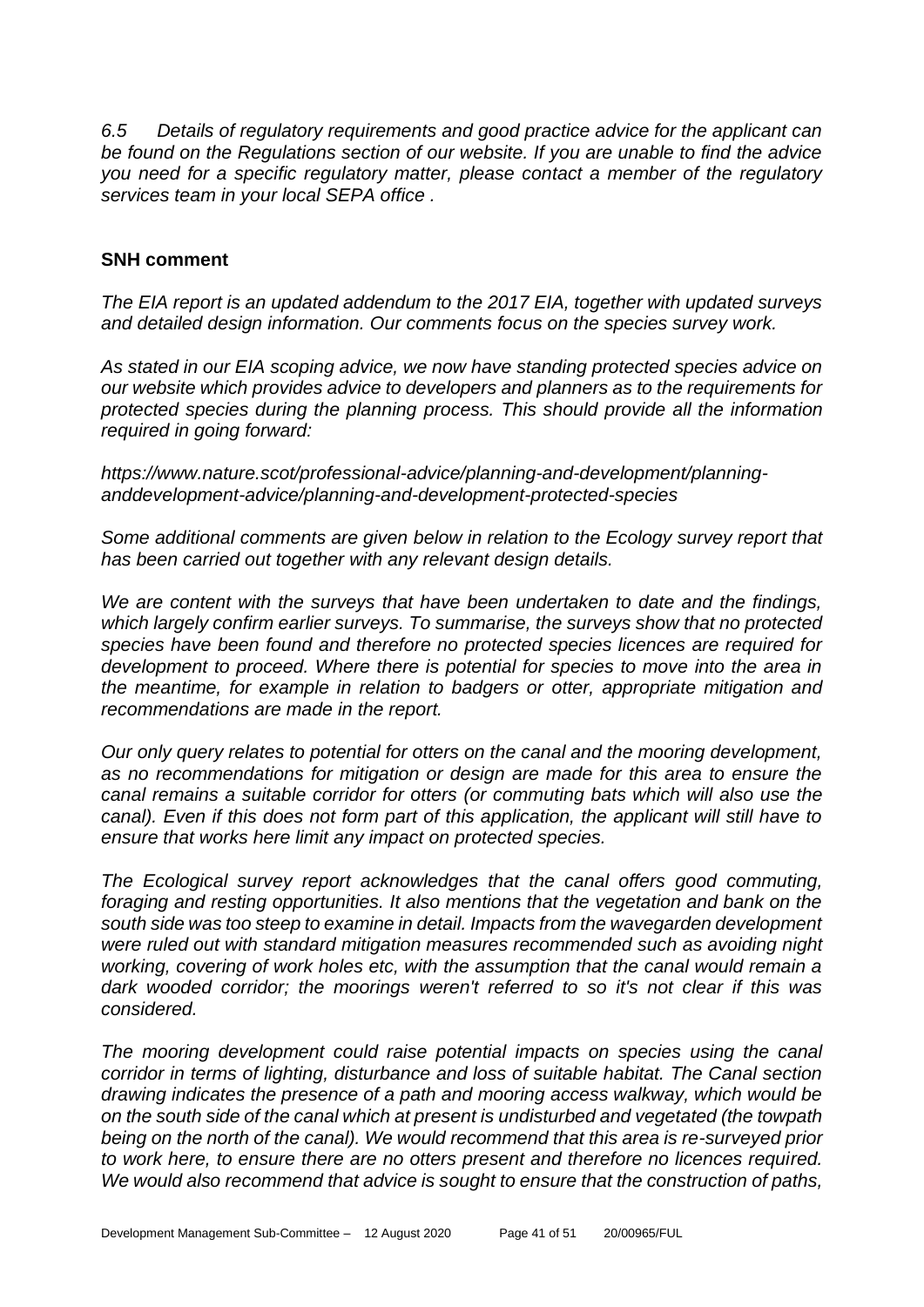*6.5 Details of regulatory requirements and good practice advice for the applicant can be found on the Regulations section of our website. If you are unable to find the advice you need for a specific regulatory matter, please contact a member of the regulatory services team in your local SEPA office .*

# **SNH comment**

*The EIA report is an updated addendum to the 2017 EIA, together with updated surveys and detailed design information. Our comments focus on the species survey work.*

*As stated in our EIA scoping advice, we now have standing protected species advice on our website which provides advice to developers and planners as to the requirements for protected species during the planning process. This should provide all the information required in going forward:*

*https://www.nature.scot/professional-advice/planning-and-development/planninganddevelopment-advice/planning-and-development-protected-species*

*Some additional comments are given below in relation to the Ecology survey report that has been carried out together with any relevant design details.*

*We are content with the surveys that have been undertaken to date and the findings, which largely confirm earlier surveys. To summarise, the surveys show that no protected species have been found and therefore no protected species licences are required for development to proceed. Where there is potential for species to move into the area in the meantime, for example in relation to badgers or otter, appropriate mitigation and recommendations are made in the report.*

*Our only query relates to potential for otters on the canal and the mooring development, as no recommendations for mitigation or design are made for this area to ensure the canal remains a suitable corridor for otters (or commuting bats which will also use the canal). Even if this does not form part of this application, the applicant will still have to ensure that works here limit any impact on protected species.*

*The Ecological survey report acknowledges that the canal offers good commuting, foraging and resting opportunities. It also mentions that the vegetation and bank on the south side was too steep to examine in detail. Impacts from the wavegarden development were ruled out with standard mitigation measures recommended such as avoiding night working, covering of work holes etc, with the assumption that the canal would remain a dark wooded corridor; the moorings weren't referred to so it's not clear if this was considered.*

*The mooring development could raise potential impacts on species using the canal corridor in terms of lighting, disturbance and loss of suitable habitat. The Canal section drawing indicates the presence of a path and mooring access walkway, which would be on the south side of the canal which at present is undisturbed and vegetated (the towpath being on the north of the canal). We would recommend that this area is re-surveyed prior to work here, to ensure there are no otters present and therefore no licences required. We would also recommend that advice is sought to ensure that the construction of paths,*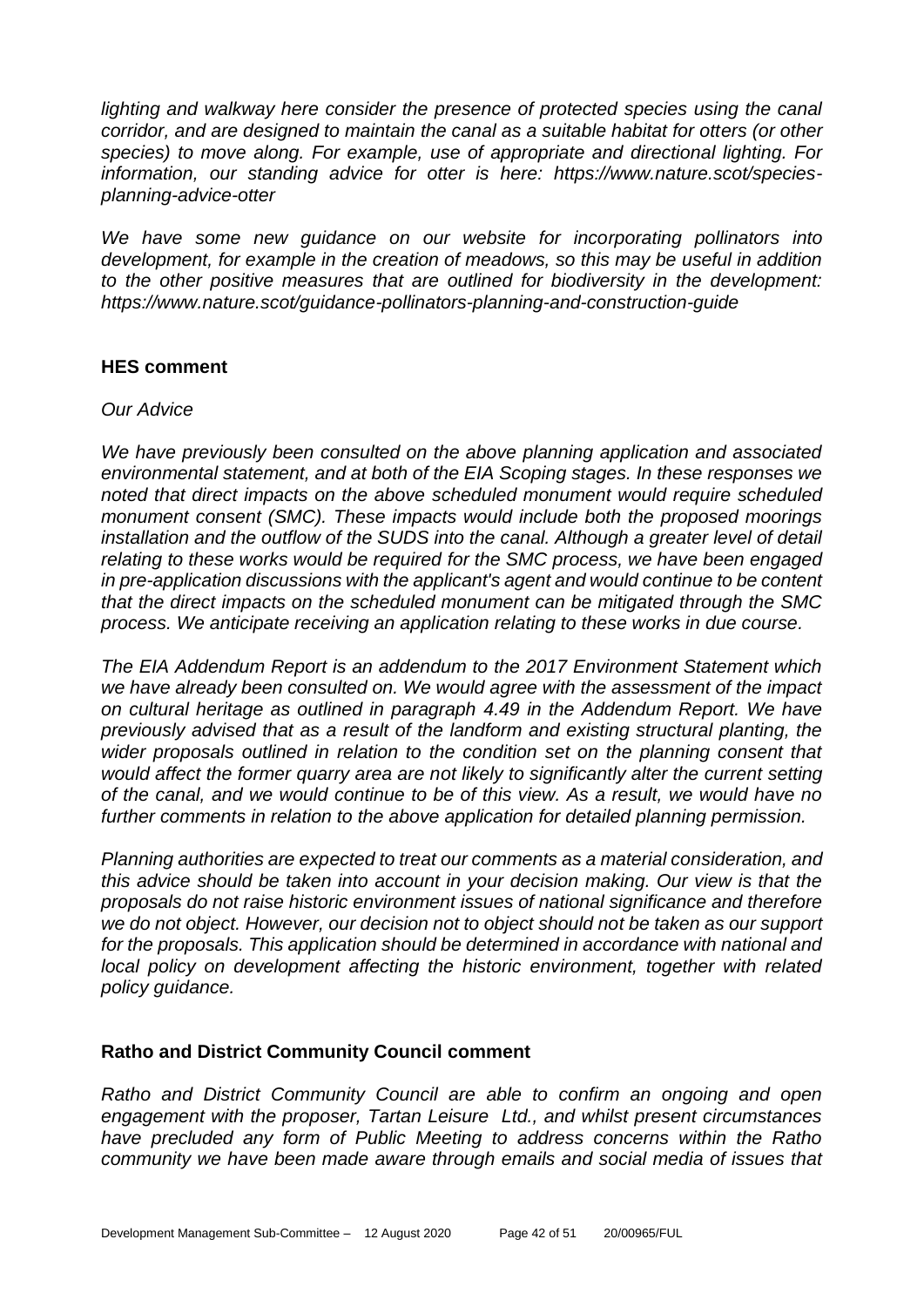lighting and walkway here consider the presence of protected species using the canal *corridor, and are designed to maintain the canal as a suitable habitat for otters (or other species) to move along. For example, use of appropriate and directional lighting. For information, our standing advice for otter is here: https://www.nature.scot/speciesplanning-advice-otter*

*We have some new guidance on our website for incorporating pollinators into development, for example in the creation of meadows, so this may be useful in addition to the other positive measures that are outlined for biodiversity in the development: https://www.nature.scot/guidance-pollinators-planning-and-construction-guide*

# **HES comment**

#### *Our Advice*

*We have previously been consulted on the above planning application and associated environmental statement, and at both of the EIA Scoping stages. In these responses we noted that direct impacts on the above scheduled monument would require scheduled monument consent (SMC). These impacts would include both the proposed moorings installation and the outflow of the SUDS into the canal. Although a greater level of detail relating to these works would be required for the SMC process, we have been engaged in pre-application discussions with the applicant's agent and would continue to be content that the direct impacts on the scheduled monument can be mitigated through the SMC process. We anticipate receiving an application relating to these works in due course.*

*The EIA Addendum Report is an addendum to the 2017 Environment Statement which we have already been consulted on. We would agree with the assessment of the impact on cultural heritage as outlined in paragraph 4.49 in the Addendum Report. We have previously advised that as a result of the landform and existing structural planting, the wider proposals outlined in relation to the condition set on the planning consent that would affect the former quarry area are not likely to significantly alter the current setting of the canal, and we would continue to be of this view. As a result, we would have no further comments in relation to the above application for detailed planning permission.*

*Planning authorities are expected to treat our comments as a material consideration, and this advice should be taken into account in your decision making. Our view is that the proposals do not raise historic environment issues of national significance and therefore we do not object. However, our decision not to object should not be taken as our support for the proposals. This application should be determined in accordance with national and local policy on development affecting the historic environment, together with related policy guidance.*

# **Ratho and District Community Council comment**

*Ratho and District Community Council are able to confirm an ongoing and open engagement with the proposer, Tartan Leisure Ltd., and whilst present circumstances have precluded any form of Public Meeting to address concerns within the Ratho community we have been made aware through emails and social media of issues that*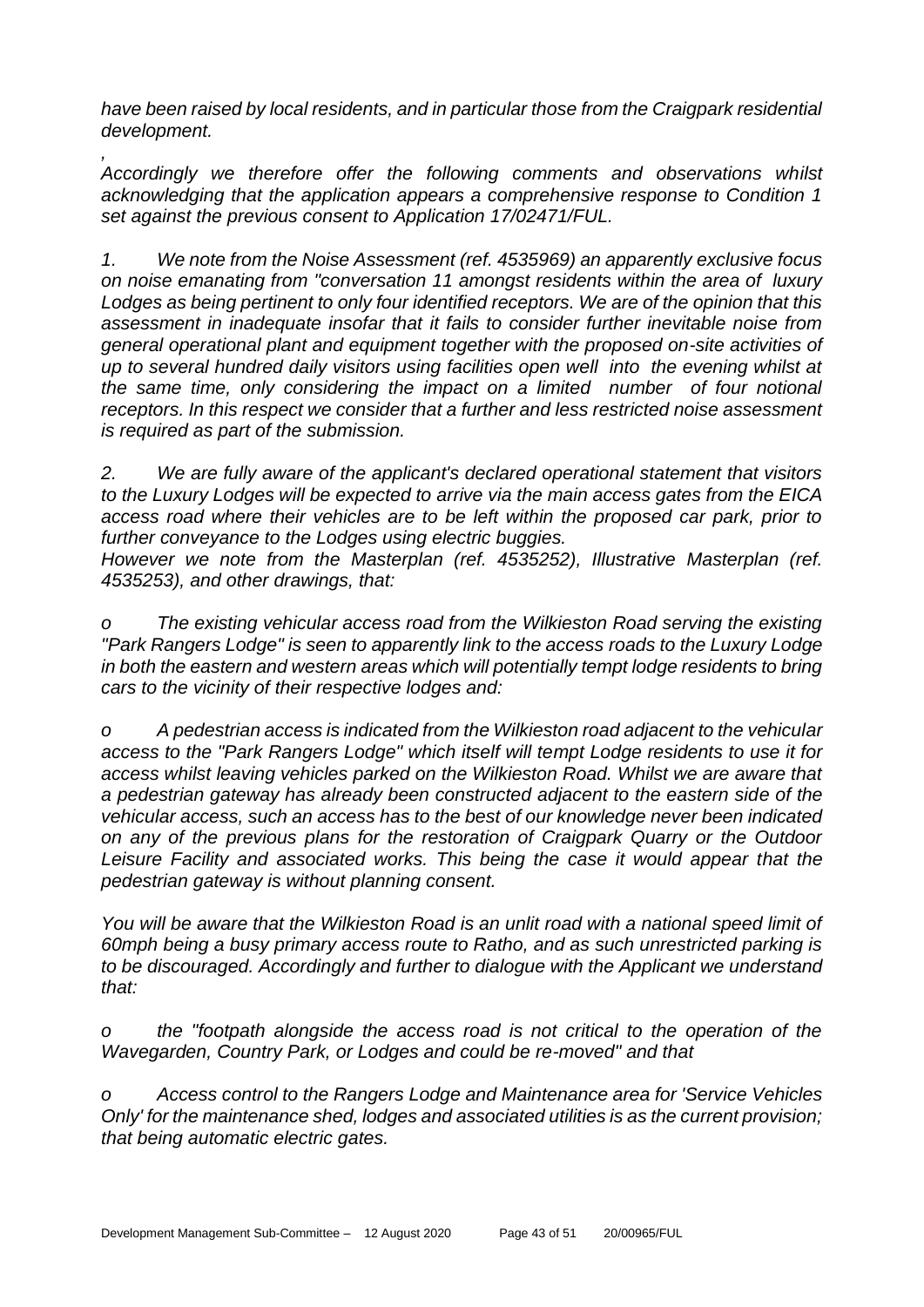*have been raised by local residents, and in particular those from the Craigpark residential development.*

*, Accordingly we therefore offer the following comments and observations whilst acknowledging that the application appears a comprehensive response to Condition 1 set against the previous consent to Application 17/02471/FUL.*

*1. We note from the Noise Assessment (ref. 4535969) an apparently exclusive focus on noise emanating from "conversation 11 amongst residents within the area of luxury Lodges as being pertinent to only four identified receptors. We are of the opinion that this assessment in inadequate insofar that it fails to consider further inevitable noise from general operational plant and equipment together with the proposed on-site activities of up to several hundred daily visitors using facilities open well into the evening whilst at the same time, only considering the impact on a limited number of four notional receptors. In this respect we consider that a further and less restricted noise assessment is required as part of the submission.*

*2. We are fully aware of the applicant's declared operational statement that visitors to the Luxury Lodges will be expected to arrive via the main access gates from the EICA access road where their vehicles are to be left within the proposed car park, prior to further conveyance to the Lodges using electric buggies.*

*However we note from the Masterplan (ref. 4535252), Illustrative Masterplan (ref. 4535253), and other drawings, that:*

*o The existing vehicular access road from the Wilkieston Road serving the existing "Park Rangers Lodge" is seen to apparently link to the access roads to the Luxury Lodge in both the eastern and western areas which will potentially tempt lodge residents to bring cars to the vicinity of their respective lodges and:*

*o A pedestrian access is indicated from the Wilkieston road adjacent to the vehicular access to the "Park Rangers Lodge" which itself will tempt Lodge residents to use it for access whilst leaving vehicles parked on the Wilkieston Road. Whilst we are aware that a pedestrian gateway has already been constructed adjacent to the eastern side of the vehicular access, such an access has to the best of our knowledge never been indicated on any of the previous plans for the restoration of Craigpark Quarry or the Outdoor Leisure Facility and associated works. This being the case it would appear that the pedestrian gateway is without planning consent.*

*You will be aware that the Wilkieston Road is an unlit road with a national speed limit of 60mph being a busy primary access route to Ratho, and as such unrestricted parking is to be discouraged. Accordingly and further to dialogue with the Applicant we understand that:*

*o the "footpath alongside the access road is not critical to the operation of the Wavegarden, Country Park, or Lodges and could be re-moved" and that*

*o Access control to the Rangers Lodge and Maintenance area for 'Service Vehicles Only' for the maintenance shed, lodges and associated utilities is as the current provision; that being automatic electric gates.*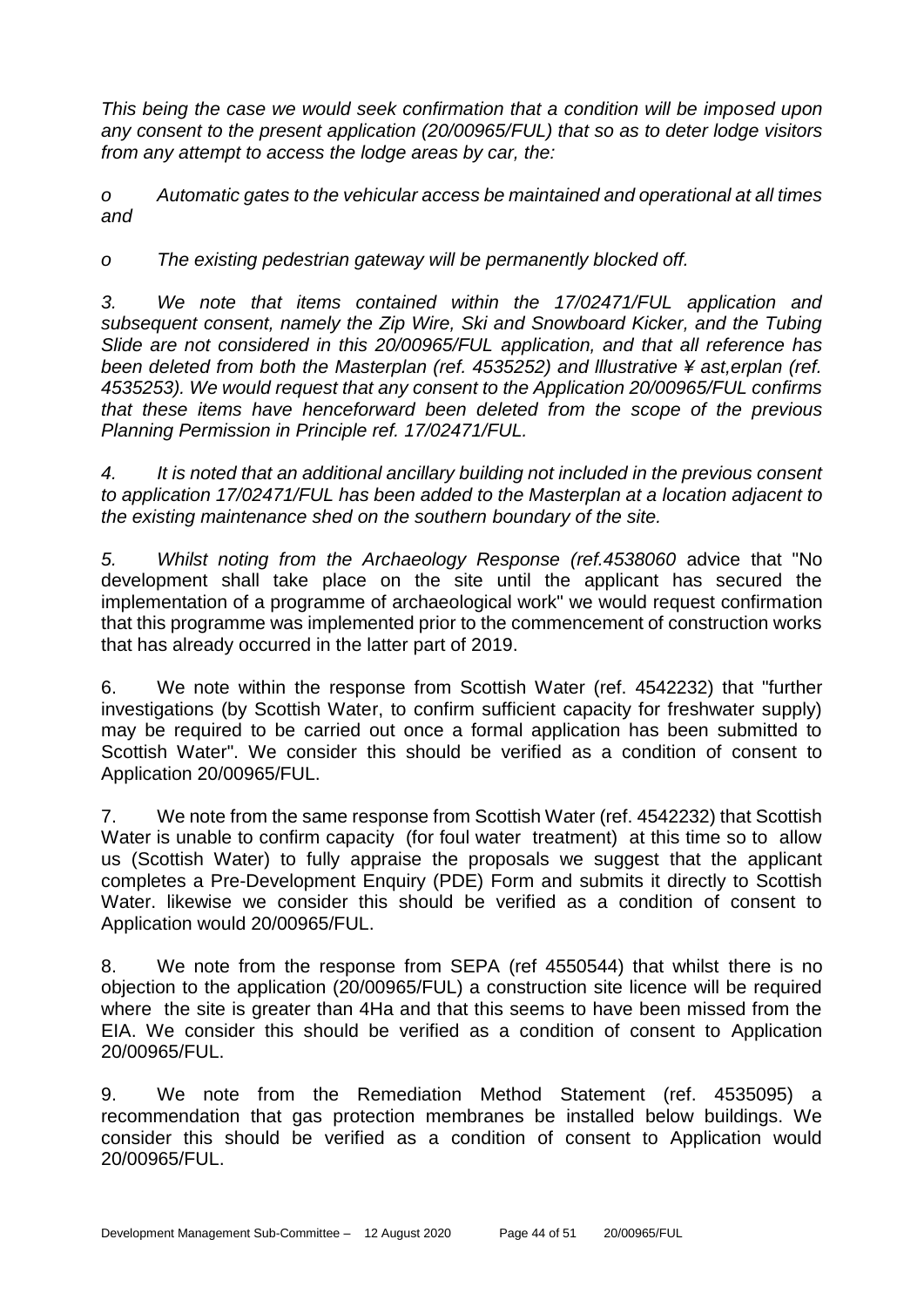*This being the case we would seek confirmation that a condition will be imposed upon any consent to the present application (20/00965/FUL) that so as to deter lodge visitors from any attempt to access the lodge areas by car, the:*

*o Automatic gates to the vehicular access be maintained and operational at all times and*

*o The existing pedestrian gateway will be permanently blocked off.*

*3. We note that items contained within the 17/02471/FUL application and subsequent consent, namely the Zip Wire, Ski and Snowboard Kicker, and the Tubing Slide are not considered in this 20/00965/FUL application, and that all reference has been deleted from both the Masterplan (ref. 4535252) and lllustrative ¥ ast,erplan (ref. 4535253). We would request that any consent to the Application 20/00965/FUL confirms that these items have henceforward been deleted from the scope of the previous Planning Permission in Principle ref. 17/02471/FUL.*

*4. It is noted that an additional ancillary building not included in the previous consent to application 17/02471/FUL has been added to the Masterplan at a location adjacent to the existing maintenance shed on the southern boundary of the site.*

*5. Whilst noting from the Archaeology Response (ref.4538060* advice that "No development shall take place on the site until the applicant has secured the implementation of a programme of archaeological work" we would request confirmation that this programme was implemented prior to the commencement of construction works that has already occurred in the latter part of 2019.

6. We note within the response from Scottish Water (ref. 4542232) that "further investigations (by Scottish Water, to confirm sufficient capacity for freshwater supply) may be required to be carried out once a formal application has been submitted to Scottish Water". We consider this should be verified as a condition of consent to Application 20/00965/FUL.

7. We note from the same response from Scottish Water (ref. 4542232) that Scottish Water is unable to confirm capacity (for foul water treatment) at this time so to allow us (Scottish Water) to fully appraise the proposals we suggest that the applicant completes a Pre-Development Enquiry (PDE) Form and submits it directly to Scottish Water. likewise we consider this should be verified as a condition of consent to Application would 20/00965/FUL.

8. We note from the response from SEPA (ref 4550544) that whilst there is no objection to the application (20/00965/FUL) a construction site licence will be required where the site is greater than 4Ha and that this seems to have been missed from the EIA. We consider this should be verified as a condition of consent to Application 20/00965/FUL.

9. We note from the Remediation Method Statement (ref. 4535095) a recommendation that gas protection membranes be installed below buildings. We consider this should be verified as a condition of consent to Application would 20/00965/FUL.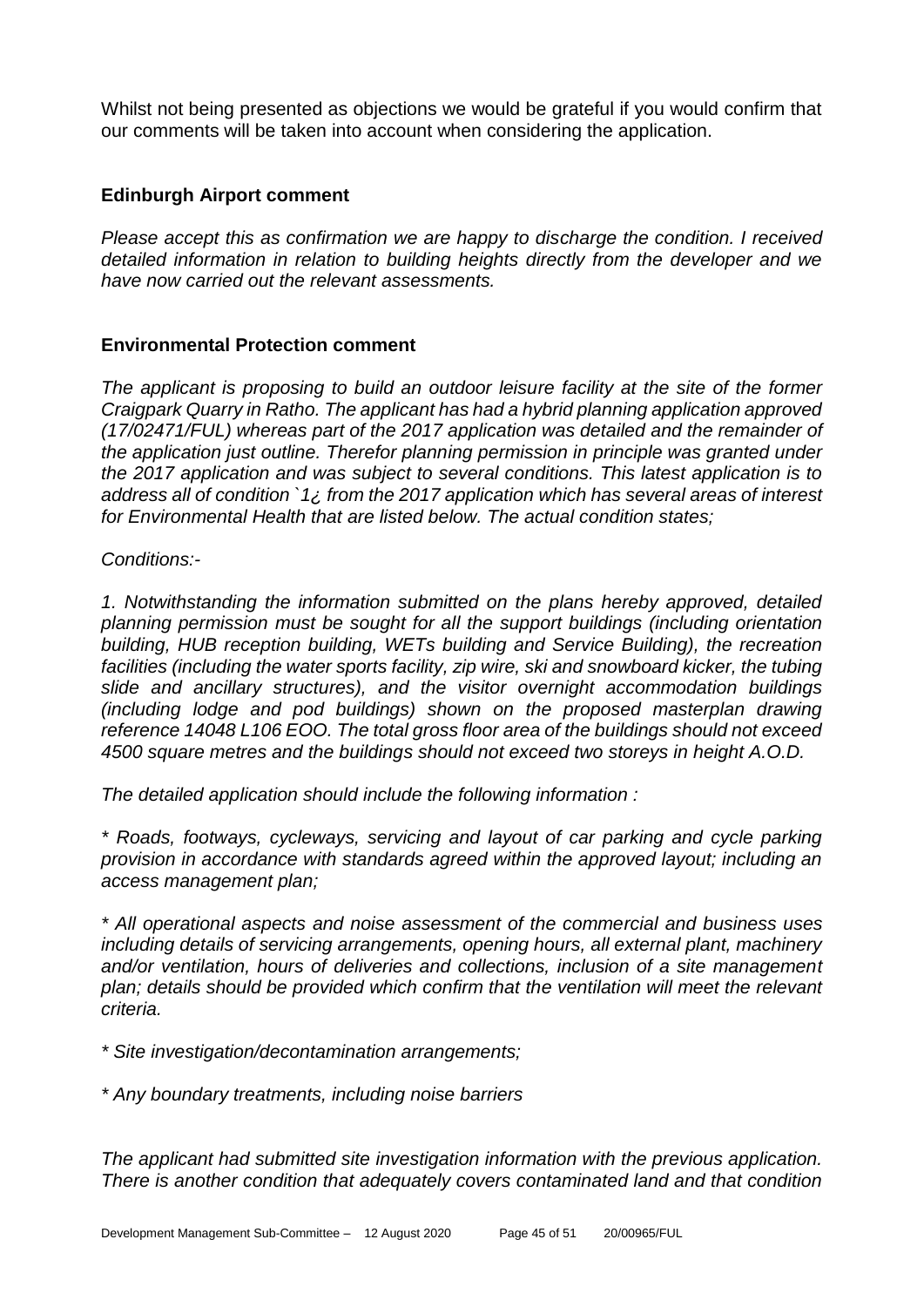Whilst not being presented as objections we would be grateful if you would confirm that our comments will be taken into account when considering the application.

#### **Edinburgh Airport comment**

*Please accept this as confirmation we are happy to discharge the condition. I received detailed information in relation to building heights directly from the developer and we have now carried out the relevant assessments.*

#### **Environmental Protection comment**

*The applicant is proposing to build an outdoor leisure facility at the site of the former Craigpark Quarry in Ratho. The applicant has had a hybrid planning application approved (17/02471/FUL) whereas part of the 2017 application was detailed and the remainder of the application just outline. Therefor planning permission in principle was granted under the 2017 application and was subject to several conditions. This latest application is to address all of condition `1¿ from the 2017 application which has several areas of interest for Environmental Health that are listed below. The actual condition states;*

*Conditions:-*

*1. Notwithstanding the information submitted on the plans hereby approved, detailed planning permission must be sought for all the support buildings (including orientation building, HUB reception building, WETs building and Service Building), the recreation*  facilities (including the water sports facility, zip wire, ski and snowboard kicker, the tubing *slide and ancillary structures), and the visitor overnight accommodation buildings (including lodge and pod buildings) shown on the proposed masterplan drawing reference 14048 L106 EOO. The total gross floor area of the buildings should not exceed 4500 square metres and the buildings should not exceed two storeys in height A.O.D.*

*The detailed application should include the following information :* 

*\* Roads, footways, cycleways, servicing and layout of car parking and cycle parking provision in accordance with standards agreed within the approved layout; including an access management plan;* 

*\* All operational aspects and noise assessment of the commercial and business uses including details of servicing arrangements, opening hours, all external plant, machinery and/or ventilation, hours of deliveries and collections, inclusion of a site management plan; details should be provided which confirm that the ventilation will meet the relevant criteria.* 

*\* Site investigation/decontamination arrangements;* 

*\* Any boundary treatments, including noise barriers*

*The applicant had submitted site investigation information with the previous application. There is another condition that adequately covers contaminated land and that condition*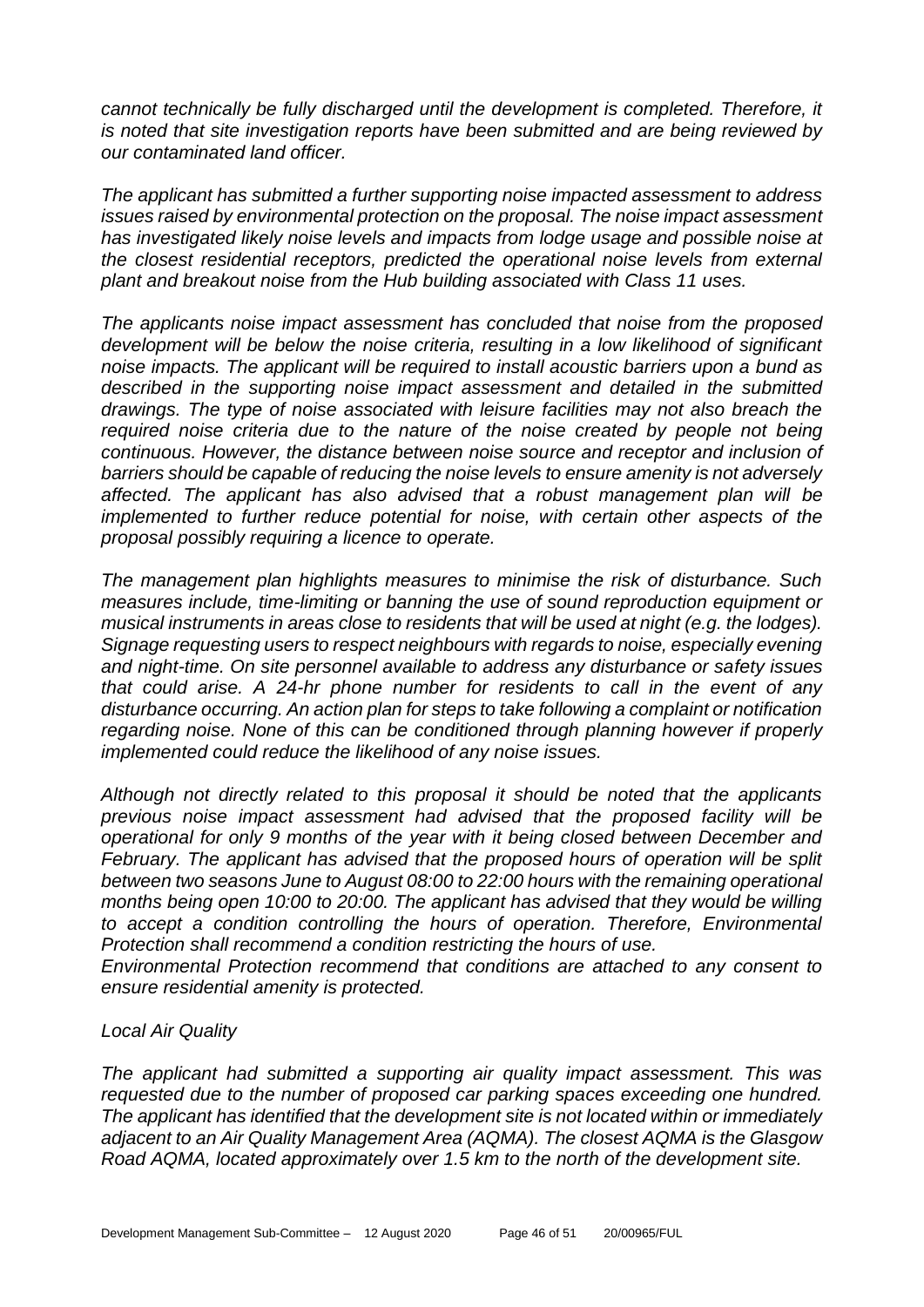*cannot technically be fully discharged until the development is completed. Therefore, it is noted that site investigation reports have been submitted and are being reviewed by our contaminated land officer.*

*The applicant has submitted a further supporting noise impacted assessment to address issues raised by environmental protection on the proposal. The noise impact assessment has investigated likely noise levels and impacts from lodge usage and possible noise at the closest residential receptors, predicted the operational noise levels from external plant and breakout noise from the Hub building associated with Class 11 uses.*

*The applicants noise impact assessment has concluded that noise from the proposed development will be below the noise criteria, resulting in a low likelihood of significant noise impacts. The applicant will be required to install acoustic barriers upon a bund as described in the supporting noise impact assessment and detailed in the submitted drawings. The type of noise associated with leisure facilities may not also breach the required noise criteria due to the nature of the noise created by people not being continuous. However, the distance between noise source and receptor and inclusion of barriers should be capable of reducing the noise levels to ensure amenity is not adversely affected. The applicant has also advised that a robust management plan will be implemented to further reduce potential for noise, with certain other aspects of the proposal possibly requiring a licence to operate.* 

*The management plan highlights measures to minimise the risk of disturbance. Such measures include, time-limiting or banning the use of sound reproduction equipment or musical instruments in areas close to residents that will be used at night (e.g. the lodges). Signage requesting users to respect neighbours with regards to noise, especially evening and night-time. On site personnel available to address any disturbance or safety issues that could arise. A 24-hr phone number for residents to call in the event of any disturbance occurring. An action plan for steps to take following a complaint or notification regarding noise. None of this can be conditioned through planning however if properly implemented could reduce the likelihood of any noise issues.*

*Although not directly related to this proposal it should be noted that the applicants previous noise impact assessment had advised that the proposed facility will be operational for only 9 months of the year with it being closed between December and February. The applicant has advised that the proposed hours of operation will be split between two seasons June to August 08:00 to 22:00 hours with the remaining operational months being open 10:00 to 20:00. The applicant has advised that they would be willing to accept a condition controlling the hours of operation. Therefore, Environmental Protection shall recommend a condition restricting the hours of use.*

*Environmental Protection recommend that conditions are attached to any consent to ensure residential amenity is protected.* 

# *Local Air Quality*

*The applicant had submitted a supporting air quality impact assessment. This was requested due to the number of proposed car parking spaces exceeding one hundred. The applicant has identified that the development site is not located within or immediately adjacent to an Air Quality Management Area (AQMA). The closest AQMA is the Glasgow Road AQMA, located approximately over 1.5 km to the north of the development site.*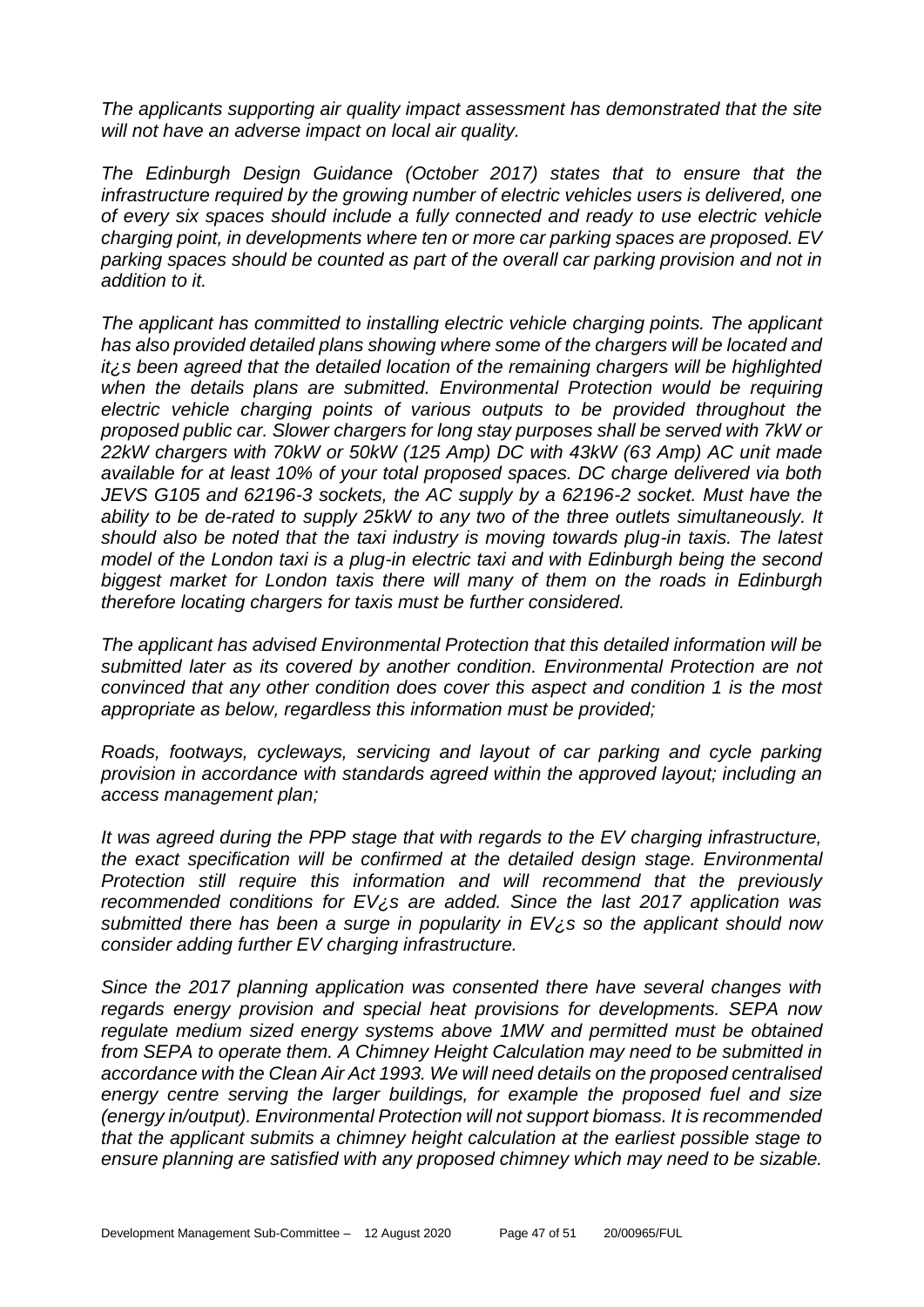*The applicants supporting air quality impact assessment has demonstrated that the site will not have an adverse impact on local air quality.*

*The Edinburgh Design Guidance (October 2017) states that to ensure that the infrastructure required by the growing number of electric vehicles users is delivered, one of every six spaces should include a fully connected and ready to use electric vehicle charging point, in developments where ten or more car parking spaces are proposed. EV parking spaces should be counted as part of the overall car parking provision and not in addition to it.* 

*The applicant has committed to installing electric vehicle charging points. The applicant has also provided detailed plans showing where some of the chargers will be located and it¿s been agreed that the detailed location of the remaining chargers will be highlighted*  when the details plans are submitted. Environmental Protection would be requiring *electric vehicle charging points of various outputs to be provided throughout the proposed public car. Slower chargers for long stay purposes shall be served with 7kW or 22kW chargers with 70kW or 50kW (125 Amp) DC with 43kW (63 Amp) AC unit made available for at least 10% of your total proposed spaces. DC charge delivered via both JEVS G105 and 62196-3 sockets, the AC supply by a 62196-2 socket. Must have the ability to be de-rated to supply 25kW to any two of the three outlets simultaneously. It should also be noted that the taxi industry is moving towards plug-in taxis. The latest model of the London taxi is a plug-in electric taxi and with Edinburgh being the second biggest market for London taxis there will many of them on the roads in Edinburgh therefore locating chargers for taxis must be further considered.* 

*The applicant has advised Environmental Protection that this detailed information will be submitted later as its covered by another condition. Environmental Protection are not convinced that any other condition does cover this aspect and condition 1 is the most appropriate as below, regardless this information must be provided;*

*Roads, footways, cycleways, servicing and layout of car parking and cycle parking provision in accordance with standards agreed within the approved layout; including an access management plan;* 

*It was agreed during the PPP stage that with regards to the EV charging infrastructure, the exact specification will be confirmed at the detailed design stage. Environmental Protection still require this information and will recommend that the previously recommended conditions for EV¿s are added. Since the last 2017 application was submitted there has been a surge in popularity in EV¿s so the applicant should now consider adding further EV charging infrastructure.*

*Since the 2017 planning application was consented there have several changes with regards energy provision and special heat provisions for developments. SEPA now regulate medium sized energy systems above 1MW and permitted must be obtained from SEPA to operate them. A Chimney Height Calculation may need to be submitted in accordance with the Clean Air Act 1993. We will need details on the proposed centralised energy centre serving the larger buildings, for example the proposed fuel and size (energy in/output). Environmental Protection will not support biomass. It is recommended that the applicant submits a chimney height calculation at the earliest possible stage to ensure planning are satisfied with any proposed chimney which may need to be sizable.*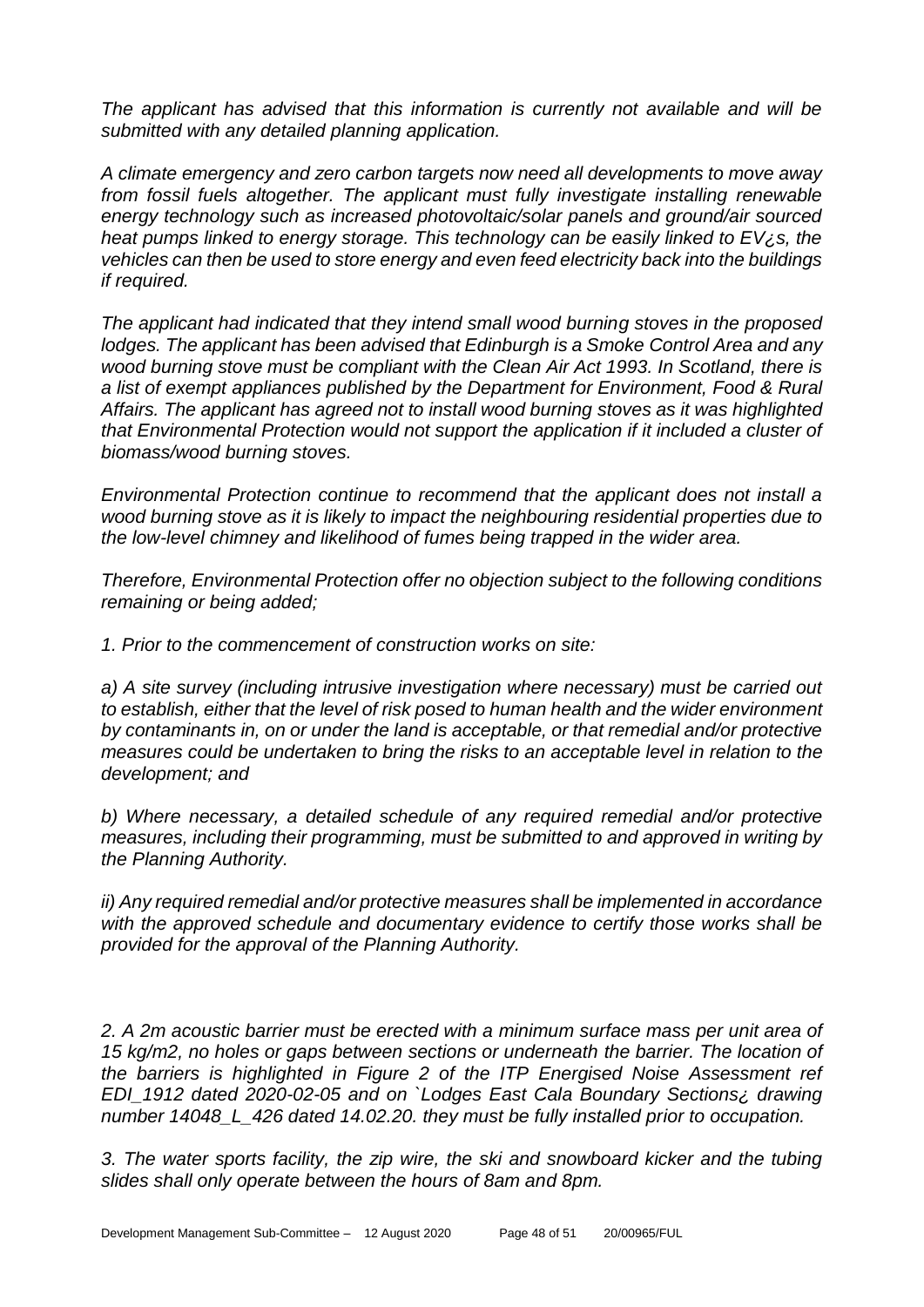*The applicant has advised that this information is currently not available and will be submitted with any detailed planning application.*

*A climate emergency and zero carbon targets now need all developments to move away from fossil fuels altogether. The applicant must fully investigate installing renewable energy technology such as increased photovoltaic/solar panels and ground/air sourced heat pumps linked to energy storage. This technology can be easily linked to EV¿s, the vehicles can then be used to store energy and even feed electricity back into the buildings if required.* 

*The applicant had indicated that they intend small wood burning stoves in the proposed lodges. The applicant has been advised that Edinburgh is a Smoke Control Area and any wood burning stove must be compliant with the Clean Air Act 1993. In Scotland, there is a list of exempt appliances published by the Department for Environment, Food & Rural Affairs. The applicant has agreed not to install wood burning stoves as it was highlighted that Environmental Protection would not support the application if it included a cluster of biomass/wood burning stoves.* 

*Environmental Protection continue to recommend that the applicant does not install a wood burning stove as it is likely to impact the neighbouring residential properties due to the low-level chimney and likelihood of fumes being trapped in the wider area.* 

*Therefore, Environmental Protection offer no objection subject to the following conditions remaining or being added;*

*1. Prior to the commencement of construction works on site:*

*a) A site survey (including intrusive investigation where necessary) must be carried out to establish, either that the level of risk posed to human health and the wider environment by contaminants in, on or under the land is acceptable, or that remedial and/or protective measures could be undertaken to bring the risks to an acceptable level in relation to the development; and*

*b) Where necessary, a detailed schedule of any required remedial and/or protective measures, including their programming, must be submitted to and approved in writing by the Planning Authority.*

*ii) Any required remedial and/or protective measures shall be implemented in accordance with the approved schedule and documentary evidence to certify those works shall be provided for the approval of the Planning Authority.*

*2. A 2m acoustic barrier must be erected with a minimum surface mass per unit area of 15 kg/m2, no holes or gaps between sections or underneath the barrier. The location of the barriers is highlighted in Figure 2 of the ITP Energised Noise Assessment ref EDI\_1912 dated 2020-02-05 and on `Lodges East Cala Boundary Sections¿ drawing number 14048\_L\_426 dated 14.02.20. they must be fully installed prior to occupation.*

*3. The water sports facility, the zip wire, the ski and snowboard kicker and the tubing slides shall only operate between the hours of 8am and 8pm.*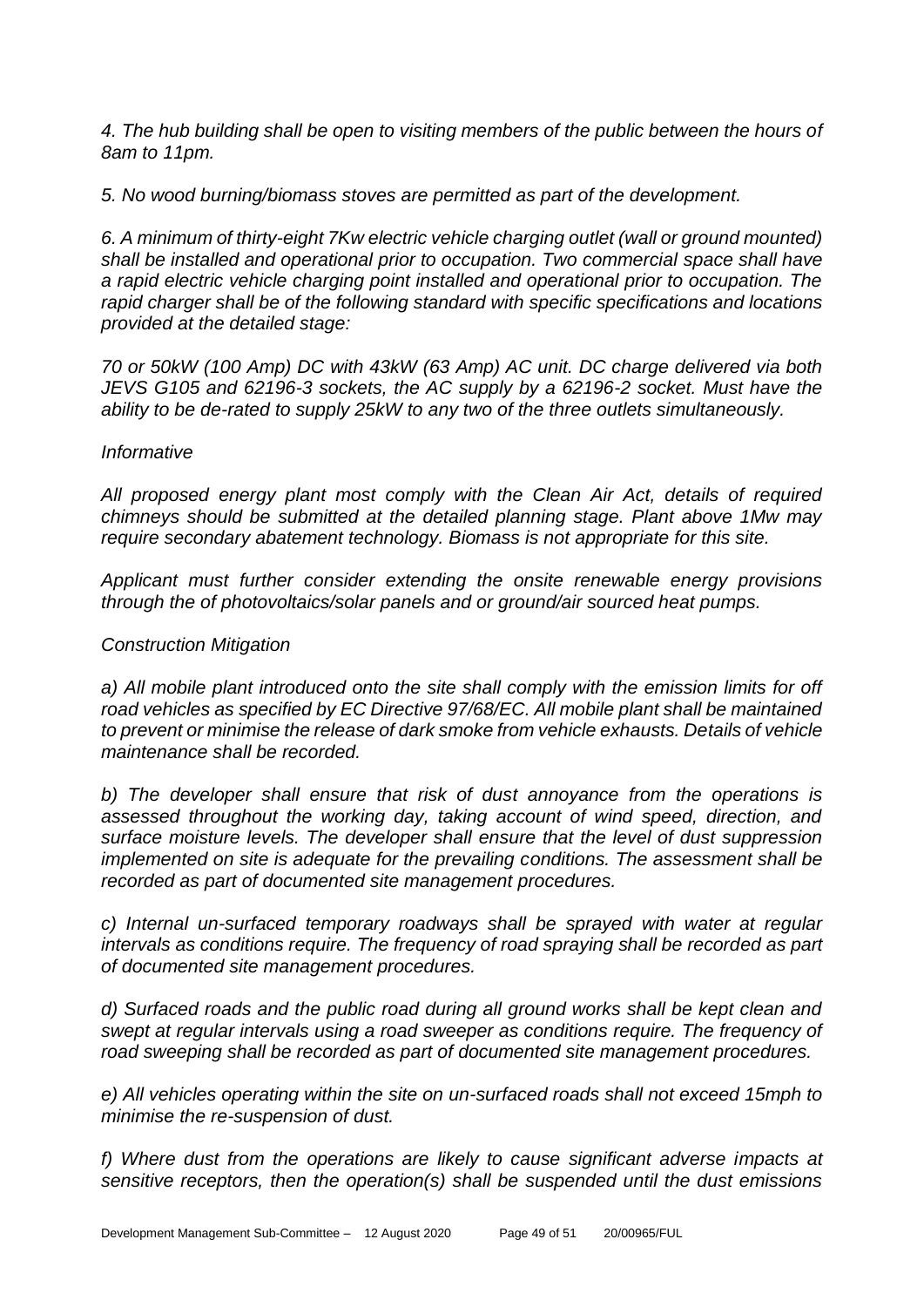*4. The hub building shall be open to visiting members of the public between the hours of 8am to 11pm.*

*5. No wood burning/biomass stoves are permitted as part of the development.* 

*6. A minimum of thirty-eight 7Kw electric vehicle charging outlet (wall or ground mounted) shall be installed and operational prior to occupation. Two commercial space shall have a rapid electric vehicle charging point installed and operational prior to occupation. The rapid charger shall be of the following standard with specific specifications and locations provided at the detailed stage:*

*70 or 50kW (100 Amp) DC with 43kW (63 Amp) AC unit. DC charge delivered via both JEVS G105 and 62196-3 sockets, the AC supply by a 62196-2 socket. Must have the ability to be de-rated to supply 25kW to any two of the three outlets simultaneously.*

#### *Informative*

All proposed energy plant most comply with the Clean Air Act, details of required *chimneys should be submitted at the detailed planning stage. Plant above 1Mw may require secondary abatement technology. Biomass is not appropriate for this site.* 

*Applicant must further consider extending the onsite renewable energy provisions through the of photovoltaics/solar panels and or ground/air sourced heat pumps.*

#### *Construction Mitigation*

a) All mobile plant introduced onto the site shall comply with the emission limits for off *road vehicles as specified by EC Directive 97/68/EC. All mobile plant shall be maintained to prevent or minimise the release of dark smoke from vehicle exhausts. Details of vehicle maintenance shall be recorded.*

*b) The developer shall ensure that risk of dust annoyance from the operations is assessed throughout the working day, taking account of wind speed, direction, and surface moisture levels. The developer shall ensure that the level of dust suppression implemented on site is adequate for the prevailing conditions. The assessment shall be recorded as part of documented site management procedures.*

*c) Internal un-surfaced temporary roadways shall be sprayed with water at regular intervals as conditions require. The frequency of road spraying shall be recorded as part of documented site management procedures.*

*d) Surfaced roads and the public road during all ground works shall be kept clean and swept at regular intervals using a road sweeper as conditions require. The frequency of road sweeping shall be recorded as part of documented site management procedures.*

*e) All vehicles operating within the site on un-surfaced roads shall not exceed 15mph to minimise the re-suspension of dust.*

*f) Where dust from the operations are likely to cause significant adverse impacts at sensitive receptors, then the operation(s) shall be suspended until the dust emissions*